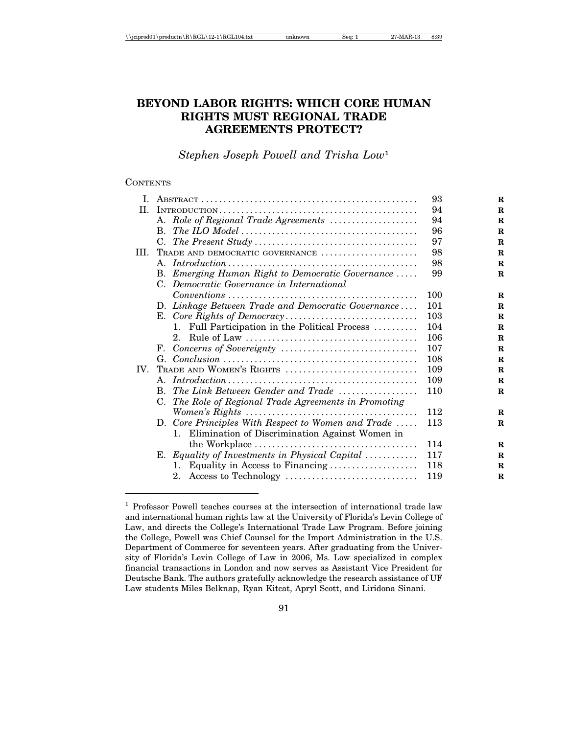# **BEYOND LABOR RIGHTS: WHICH CORE HUMAN RIGHTS MUST REGIONAL TRADE AGREEMENTS PROTECT?**

*Stephen Joseph Powell and Trisha Low*<sup>1</sup>

### **CONTENTS**

|                                                                                                                            | 93                                                                                                                                                                                     |
|----------------------------------------------------------------------------------------------------------------------------|----------------------------------------------------------------------------------------------------------------------------------------------------------------------------------------|
|                                                                                                                            | 94                                                                                                                                                                                     |
| A. Role of Regional Trade Agreements                                                                                       | 94                                                                                                                                                                                     |
| $\mathbf{B}$ .                                                                                                             | 96                                                                                                                                                                                     |
| C.                                                                                                                         | 97                                                                                                                                                                                     |
| TRADE AND DEMOCRATIC GOVERNANCE                                                                                            | 98                                                                                                                                                                                     |
|                                                                                                                            | 98                                                                                                                                                                                     |
| B. Emerging Human Right to Democratic Governance                                                                           | 99                                                                                                                                                                                     |
| C. Democratic Governance in International                                                                                  |                                                                                                                                                                                        |
| $Conventions \dots \dots \dots \dots \dots \dots \dots \dots \dots \dots \dots \dots \dots \dots \dots$                    | 100                                                                                                                                                                                    |
|                                                                                                                            | 101                                                                                                                                                                                    |
|                                                                                                                            | 103                                                                                                                                                                                    |
| $\mathbf{1}$ .                                                                                                             | 104                                                                                                                                                                                    |
| $2^{\circ}$                                                                                                                | 106                                                                                                                                                                                    |
| F.                                                                                                                         | 107                                                                                                                                                                                    |
|                                                                                                                            | 108                                                                                                                                                                                    |
| TRADE AND WOMEN'S RIGHTS                                                                                                   | 109                                                                                                                                                                                    |
| $Introduction \dots \dots \dots \dots \dots \dots \dots \dots \dots \dots \dots \dots \dots \dots \dots$<br>$\mathsf{A}$ . | 109                                                                                                                                                                                    |
| The Link Between Gender and Trade<br>B.                                                                                    | 110                                                                                                                                                                                    |
| C. The Role of Regional Trade Agreements in Promoting                                                                      |                                                                                                                                                                                        |
|                                                                                                                            | 112                                                                                                                                                                                    |
| D. Core Principles With Respect to Women and Trade                                                                         | 113                                                                                                                                                                                    |
| 1. Elimination of Discrimination Against Women in                                                                          |                                                                                                                                                                                        |
|                                                                                                                            | 114                                                                                                                                                                                    |
|                                                                                                                            | 117                                                                                                                                                                                    |
| 1.                                                                                                                         | 118                                                                                                                                                                                    |
|                                                                                                                            | 119                                                                                                                                                                                    |
|                                                                                                                            | D. Linkage Between Trade and Democratic Governance<br>Full Participation in the Political Process<br>E. Equality of Investments in Physical Capital<br>Equality in Access to Financing |

<sup>&</sup>lt;sup>1</sup> Professor Powell teaches courses at the intersection of international trade law and international human rights law at the University of Florida's Levin College of Law, and directs the College's International Trade Law Program. Before joining the College, Powell was Chief Counsel for the Import Administration in the U.S. Department of Commerce for seventeen years. After graduating from the University of Florida's Levin College of Law in 2006, Ms. Low specialized in complex financial transactions in London and now serves as Assistant Vice President for Deutsche Bank. The authors gratefully acknowledge the research assistance of UF Law students Miles Belknap, Ryan Kitcat, Apryl Scott, and Liridona Sinani.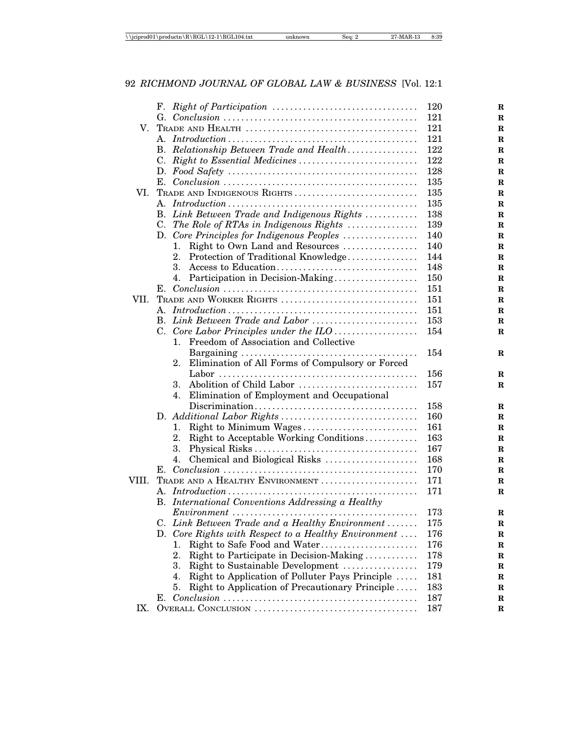|       |                                                        | 120 |
|-------|--------------------------------------------------------|-----|
|       |                                                        | 121 |
| V.    |                                                        | 121 |
|       |                                                        | 121 |
|       | B. Relationship Between Trade and Health               | 122 |
|       |                                                        | 122 |
|       |                                                        | 128 |
|       |                                                        | 135 |
| VL.   | TRADE AND INDIGENOUS RIGHTS                            | 135 |
|       |                                                        | 135 |
|       | B. Link Between Trade and Indigenous Rights            | 138 |
|       | C. The Role of RTAs in Indigenous Rights               | 139 |
|       | D. Core Principles for Indigenous Peoples              | 140 |
|       | Right to Own Land and Resources<br>ı.                  | 140 |
|       | Protection of Traditional Knowledge<br>2.              | 144 |
|       | 3.                                                     | 148 |
|       | 4. Participation in Decision-Making                    | 150 |
|       |                                                        | 151 |
| VII.  | TRADE AND WORKER RIGHTS                                | 151 |
|       |                                                        | 151 |
|       | B. Link Between Trade and Labor                        | 153 |
|       |                                                        | 154 |
|       | Freedom of Association and Collective<br>1.            |     |
|       |                                                        | 154 |
|       | Elimination of All Forms of Compulsory or Forced<br>2. |     |
|       |                                                        | 156 |
|       | Abolition of Child Labor<br>3.                         | 157 |
|       | 4.<br>Elimination of Employment and Occupational       |     |
|       |                                                        | 158 |
|       |                                                        | 160 |
|       | Right to Minimum Wages<br>1.                           | 161 |
|       | 2.<br>Right to Acceptable Working Conditions           | 163 |
|       | 3.                                                     | 167 |
|       | 4.<br>Chemical and Biological Risks                    | 168 |
|       | Е.                                                     | 170 |
| VIII. | TRADE AND A HEALTHY ENVIRONMENT                        | 171 |
|       | А.                                                     | 171 |
|       | B. International Conventions Addressing a Healthy      |     |
|       |                                                        | 173 |
|       | C. Link Between Trade and a Healthy Environment        | 175 |
|       | D. Core Rights with Respect to a Healthy Environment   | 176 |
|       | Right to Safe Food and Water<br>1.                     | 176 |
|       | 2.<br>Right to Participate in Decision-Making          | 178 |
|       | 3.<br>Right to Sustainable Development                 | 179 |
|       | Right to Application of Polluter Pays Principle<br>4.  | 181 |
|       | Right to Application of Precautionary Principle<br>5.  | 183 |
|       | E.,                                                    | 187 |
| IX.   |                                                        | 187 |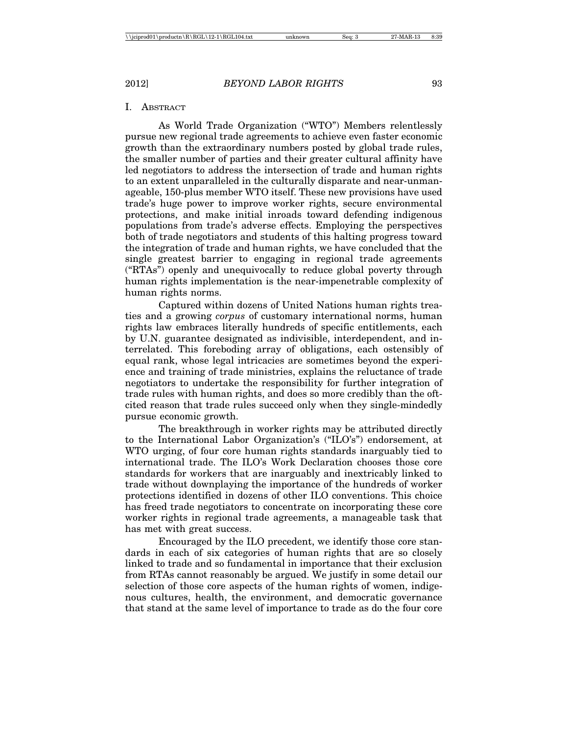#### I. ABSTRACT

As World Trade Organization ("WTO") Members relentlessly pursue new regional trade agreements to achieve even faster economic growth than the extraordinary numbers posted by global trade rules, the smaller number of parties and their greater cultural affinity have led negotiators to address the intersection of trade and human rights to an extent unparalleled in the culturally disparate and near-unmanageable, 150-plus member WTO itself. These new provisions have used trade's huge power to improve worker rights, secure environmental protections, and make initial inroads toward defending indigenous populations from trade's adverse effects. Employing the perspectives both of trade negotiators and students of this halting progress toward the integration of trade and human rights, we have concluded that the single greatest barrier to engaging in regional trade agreements ("RTAs") openly and unequivocally to reduce global poverty through human rights implementation is the near-impenetrable complexity of human rights norms.

Captured within dozens of United Nations human rights treaties and a growing *corpus* of customary international norms, human rights law embraces literally hundreds of specific entitlements, each by U.N. guarantee designated as indivisible, interdependent, and interrelated. This foreboding array of obligations, each ostensibly of equal rank, whose legal intricacies are sometimes beyond the experience and training of trade ministries, explains the reluctance of trade negotiators to undertake the responsibility for further integration of trade rules with human rights, and does so more credibly than the oftcited reason that trade rules succeed only when they single-mindedly pursue economic growth.

The breakthrough in worker rights may be attributed directly to the International Labor Organization's ("ILO's") endorsement, at WTO urging, of four core human rights standards inarguably tied to international trade. The ILO's Work Declaration chooses those core standards for workers that are inarguably and inextricably linked to trade without downplaying the importance of the hundreds of worker protections identified in dozens of other ILO conventions. This choice has freed trade negotiators to concentrate on incorporating these core worker rights in regional trade agreements, a manageable task that has met with great success.

Encouraged by the ILO precedent, we identify those core standards in each of six categories of human rights that are so closely linked to trade and so fundamental in importance that their exclusion from RTAs cannot reasonably be argued. We justify in some detail our selection of those core aspects of the human rights of women, indigenous cultures, health, the environment, and democratic governance that stand at the same level of importance to trade as do the four core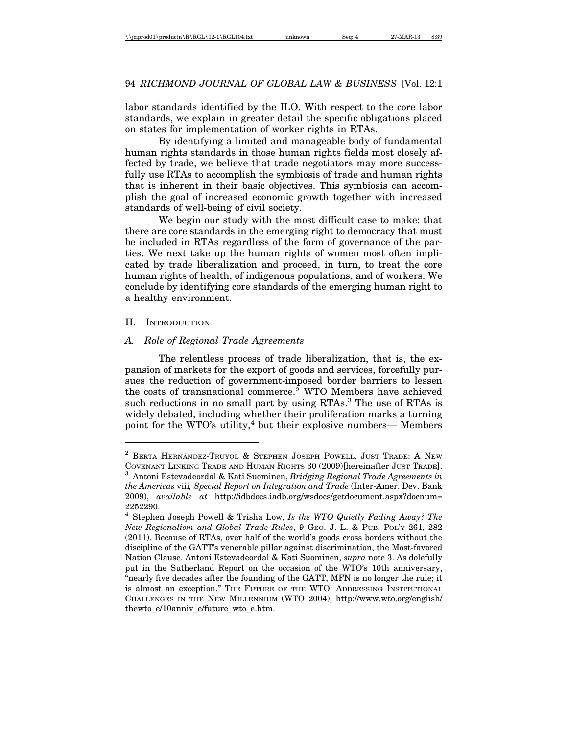labor standards identified by the ILO. With respect to the core labor standards, we explain in greater detail the specific obligations placed on states for implementation of worker rights in RTAs.

By identifying a limited and manageable body of fundamental human rights standards in those human rights fields most closely affected by trade, we believe that trade negotiators may more successfully use RTAs to accomplish the symbiosis of trade and human rights that is inherent in their basic objectives. This symbiosis can accomplish the goal of increased economic growth together with increased standards of well-being of civil society.

We begin our study with the most difficult case to make: that there are core standards in the emerging right to democracy that must be included in RTAs regardless of the form of governance of the parties. We next take up the human rights of women most often implicated by trade liberalization and proceed, in turn, to treat the core human rights of health, of indigenous populations, and of workers. We conclude by identifying core standards of the emerging human right to a healthy environment.

### II. INTRODUCTION

#### *A. Role of Regional Trade Agreements*

The relentless process of trade liberalization, that is, the expansion of markets for the export of goods and services, forcefully pursues the reduction of government-imposed border barriers to lessen the costs of transnational commerce.<sup>2</sup> WTO Members have achieved such reductions in no small part by using RTAs.<sup>3</sup> The use of RTAs is widely debated, including whether their proliferation marks a turning point for the WTO's utility,<sup>4</sup> but their explosive numbers— Members

 $2$  BERTA HERNANDEZ-TRUYOL & STEPHEN JOSEPH POWELL, JUST TRADE: A NEW COVENANT LINKING TRADE AND HUMAN RIGHTS 30 (2009)[hereinafter JUST TRADE]. <sup>3</sup> Antoni Estevadeordal & Kati Suominen, *Bridging Regional Trade Agreements in*

*the Americas* viii*, Special Report on Integration and Trade* (Inter-Amer. Dev. Bank 2009), *available at* http://idbdocs.iadb.org/wsdocs/getdocument.aspx?docnum= 2252290.

<sup>4</sup> Stephen Joseph Powell & Trisha Low, *Is the WTO Quietly Fading Away? The New Regionalism and Global Trade Rules*, 9 GEO. J. L. & PUB. POL'Y 261, 282 (2011). Because of RTAs, over half of the world's goods cross borders without the discipline of the GATT's venerable pillar against discrimination, the Most-favored Nation Clause. Antoni Estevadeordal & Kati Suominen, *supra* note 3. As dolefully put in the Sutherland Report on the occasion of the WTO's 10th anniversary, "nearly five decades after the founding of the GATT, MFN is no longer the rule; it is almost an exception." THE FUTURE OF THE WTO: ADDRESSING INSTITUTIONAL CHALLENGES IN THE NEW MILLENNIUM (WTO 2004), http://www.wto.org/english/ thewto\_e/10anniv\_e/future\_wto\_e.htm.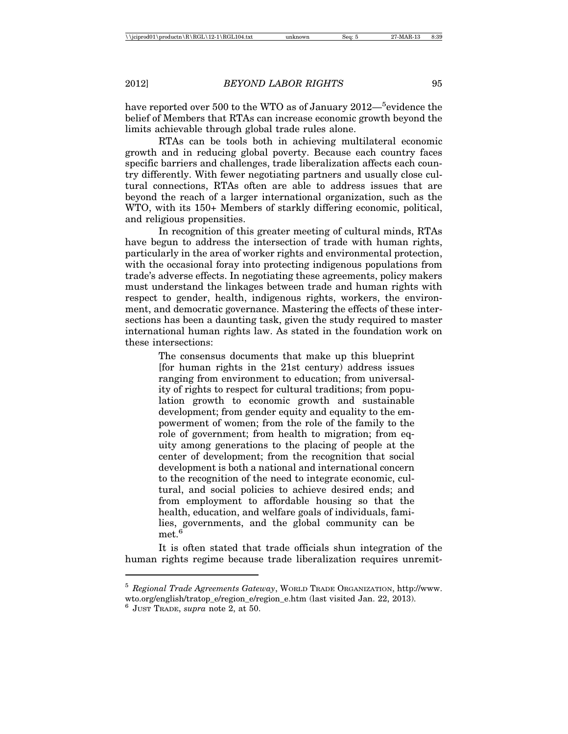have reported over 500 to the WTO as of January 2012—<sup>5</sup>evidence the belief of Members that RTAs can increase economic growth beyond the limits achievable through global trade rules alone.

RTAs can be tools both in achieving multilateral economic growth and in reducing global poverty. Because each country faces specific barriers and challenges, trade liberalization affects each country differently. With fewer negotiating partners and usually close cultural connections, RTAs often are able to address issues that are beyond the reach of a larger international organization, such as the WTO, with its 150+ Members of starkly differing economic, political, and religious propensities.

In recognition of this greater meeting of cultural minds, RTAs have begun to address the intersection of trade with human rights, particularly in the area of worker rights and environmental protection, with the occasional foray into protecting indigenous populations from trade's adverse effects. In negotiating these agreements, policy makers must understand the linkages between trade and human rights with respect to gender, health, indigenous rights, workers, the environment, and democratic governance. Mastering the effects of these intersections has been a daunting task, given the study required to master international human rights law. As stated in the foundation work on these intersections:

> The consensus documents that make up this blueprint [for human rights in the 21st century) address issues ranging from environment to education; from universality of rights to respect for cultural traditions; from population growth to economic growth and sustainable development; from gender equity and equality to the empowerment of women; from the role of the family to the role of government; from health to migration; from equity among generations to the placing of people at the center of development; from the recognition that social development is both a national and international concern to the recognition of the need to integrate economic, cultural, and social policies to achieve desired ends; and from employment to affordable housing so that the health, education, and welfare goals of individuals, families, governments, and the global community can be met.<sup>6</sup>

It is often stated that trade officials shun integration of the human rights regime because trade liberalization requires unremit-

<sup>5</sup> *Regional Trade Agreements Gateway*, WORLD TRADE ORGANIZATION, http://www. wto.org/english/tratop\_e/region\_e/region\_e.htm (last visited Jan. 22, 2013).

<sup>6</sup> JUST TRADE, *supra* note 2, at 50.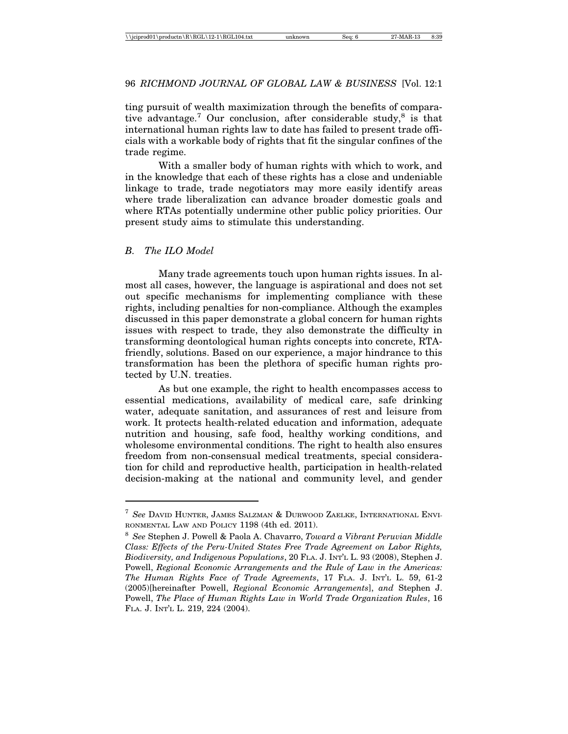ting pursuit of wealth maximization through the benefits of comparative advantage.<sup>7</sup> Our conclusion, after considerable study,<sup>8</sup> is that international human rights law to date has failed to present trade officials with a workable body of rights that fit the singular confines of the trade regime.

With a smaller body of human rights with which to work, and in the knowledge that each of these rights has a close and undeniable linkage to trade, trade negotiators may more easily identify areas where trade liberalization can advance broader domestic goals and where RTAs potentially undermine other public policy priorities. Our present study aims to stimulate this understanding.

#### *B. The ILO Model*

Many trade agreements touch upon human rights issues. In almost all cases, however, the language is aspirational and does not set out specific mechanisms for implementing compliance with these rights, including penalties for non-compliance. Although the examples discussed in this paper demonstrate a global concern for human rights issues with respect to trade, they also demonstrate the difficulty in transforming deontological human rights concepts into concrete, RTAfriendly, solutions. Based on our experience, a major hindrance to this transformation has been the plethora of specific human rights protected by U.N. treaties.

As but one example, the right to health encompasses access to essential medications, availability of medical care, safe drinking water, adequate sanitation, and assurances of rest and leisure from work. It protects health-related education and information, adequate nutrition and housing, safe food, healthy working conditions, and wholesome environmental conditions. The right to health also ensures freedom from non-consensual medical treatments, special consideration for child and reproductive health, participation in health-related decision-making at the national and community level, and gender

<sup>7</sup> *See* DAVID HUNTER, JAMES SALZMAN & DURWOOD ZAELKE, INTERNATIONAL ENVI-RONMENTAL LAW AND POLICY 1198 (4th ed. 2011).

<sup>8</sup> *See* Stephen J. Powell & Paola A. Chavarro, *Toward a Vibrant Peruvian Middle Class: Effects of the Peru-United States Free Trade Agreement on Labor Rights, Biodiversity, and Indigenous Populations*, 20 FLA. J. INT'L L. 93 (2008), Stephen J. Powell, *Regional Economic Arrangements and the Rule of Law in the Americas: The Human Rights Face of Trade Agreements*, 17 FLA. J. INT'L L. 59, 61-2 (2005)[hereinafter Powell, *Regional Economic Arrangements*], *and* Stephen J. Powell, *The Place of Human Rights Law in World Trade Organization Rules*, 16 FLA. J. INT'L L. 219, 224 (2004).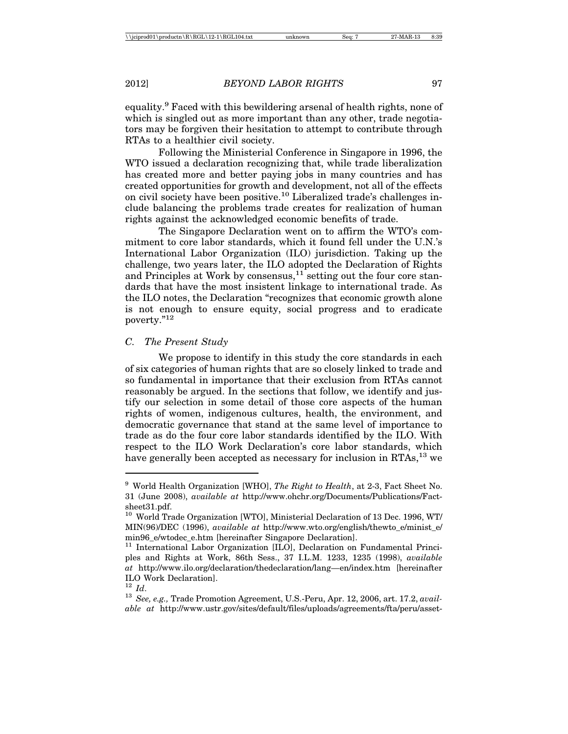equality.<sup>9</sup> Faced with this bewildering arsenal of health rights, none of which is singled out as more important than any other, trade negotiators may be forgiven their hesitation to attempt to contribute through RTAs to a healthier civil society.

Following the Ministerial Conference in Singapore in 1996, the WTO issued a declaration recognizing that, while trade liberalization has created more and better paying jobs in many countries and has created opportunities for growth and development, not all of the effects on civil society have been positive.10 Liberalized trade's challenges include balancing the problems trade creates for realization of human rights against the acknowledged economic benefits of trade.

The Singapore Declaration went on to affirm the WTO's commitment to core labor standards, which it found fell under the U.N.'s International Labor Organization (ILO) jurisdiction. Taking up the challenge, two years later, the ILO adopted the Declaration of Rights and Principles at Work by consensus, $11$  setting out the four core standards that have the most insistent linkage to international trade. As the ILO notes, the Declaration "recognizes that economic growth alone is not enough to ensure equity, social progress and to eradicate poverty."12

#### *C. The Present Study*

We propose to identify in this study the core standards in each of six categories of human rights that are so closely linked to trade and so fundamental in importance that their exclusion from RTAs cannot reasonably be argued. In the sections that follow, we identify and justify our selection in some detail of those core aspects of the human rights of women, indigenous cultures, health, the environment, and democratic governance that stand at the same level of importance to trade as do the four core labor standards identified by the ILO. With respect to the ILO Work Declaration's core labor standards, which have generally been accepted as necessary for inclusion in RTAs,<sup>13</sup> we

<sup>9</sup> World Health Organization [WHO], *The Right to Health*, at 2-3, Fact Sheet No. 31 (June 2008), *available at* http://www.ohchr.org/Documents/Publications/Factsheet31.pdf.

<sup>10</sup> World Trade Organization [WTO], Ministerial Declaration of 13 Dec. 1996, WT/ MIN(96)/DEC (1996), *available at* http://www.wto.org/english/thewto\_e/minist\_e/ min96\_e/wtodec\_e.htm [hereinafter Singapore Declaration].

<sup>&</sup>lt;sup>11</sup> International Labor Organization [ILO], Declaration on Fundamental Principles and Rights at Work, 86th Sess., 37 I.L.M. 1233, 1235 (1998), *available at* http://www.ilo.org/declaration/thedeclaration/lang—en/index.htm [hereinafter ILO Work Declaration].<br> $12$   $Id$ .

<sup>&</sup>lt;sup>13</sup> *See, e.g., Trade Promotion Agreement, U.S.-Peru, Apr. 12, 2006, art. 17.2, <i>available at* http://www.ustr.gov/sites/default/files/uploads/agreements/fta/peru/asset-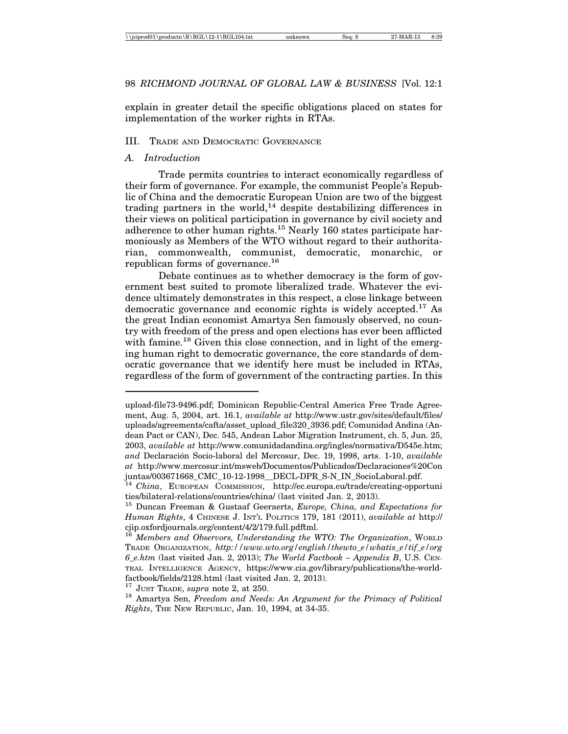explain in greater detail the specific obligations placed on states for implementation of the worker rights in RTAs.

### III. TRADE AND DEMOCRATIC GOVERNANCE

#### *A. Introduction*

Trade permits countries to interact economically regardless of their form of governance. For example, the communist People's Republic of China and the democratic European Union are two of the biggest trading partners in the world,<sup>14</sup> despite destabilizing differences in their views on political participation in governance by civil society and adherence to other human rights.15 Nearly 160 states participate harmoniously as Members of the WTO without regard to their authoritarian, commonwealth, communist, democratic, monarchic, or republican forms of governance.<sup>16</sup>

Debate continues as to whether democracy is the form of government best suited to promote liberalized trade. Whatever the evidence ultimately demonstrates in this respect, a close linkage between democratic governance and economic rights is widely accepted.<sup>17</sup> As the great Indian economist Amartya Sen famously observed, no country with freedom of the press and open elections has ever been afflicted with famine.<sup>18</sup> Given this close connection, and in light of the emerging human right to democratic governance, the core standards of democratic governance that we identify here must be included in RTAs, regardless of the form of government of the contracting parties. In this

upload-file73-9496.pdf; Dominican Republic-Central America Free Trade Agreement, Aug. 5, 2004, art. 16.1, *available at* http://www.ustr.gov/sites/default/files/ uploads/agreements/cafta/asset\_upload\_file320\_3936.pdf; Comunidad Andina (Andean Pact or CAN), Dec. 545, Andean Labor Migration Instrument, ch. 5, Jun. 25, 2003, *available at* http://www.comunidadandina.org/ingles/normativa/D545e.htm; *and* Declaraci´on Socio-laboral del Mercosur, Dec. 19, 1998, arts. 1-10, *available at* http://www.mercosur.int/msweb/Documentos/Publicados/Declaraciones%20Con juntas/003671668\_CMC\_10-12-1998\_\_DECL-DPR\_S-N\_IN\_SocioLaboral.pdf.

<sup>14</sup> *China*, EUROPEAN COMMISSION, http://ec.europa.eu/trade/creating-opportuni ties/bilateral-relations/countries/china/ (last visited Jan. 2, 2013).

<sup>15</sup> Duncan Freeman & Gustaaf Geeraerts, *Europe, China, and Expectations for Human Rights*, 4 CHINESE J. INT'L POLITICS 179, 181 (2011), *available at* http:// cjip.oxfordjournals.org/content/4/2/179.full.pdfˇtml. <sup>16</sup> *Members and Observors, Understanding the WTO: The Organization*, WORLD

TRADE ORGANIZATION, *http://www.wto.org/english/thewto\_e/whatis\_e/tif\_e/org 6\_e.htm* (last visited Jan. 2, 2013); *The World Factbook – Appendix B*, U.S. CEN-TRAL INTELLIGENCE AGENCY, https://www.cia.gov/library/publications/the-worldfactbook/fields/2128.html (last visited Jan. 2, 2013).<br><sup>17</sup> JUST TRADE, *supra* note 2, at 250.

<sup>&</sup>lt;sup>18</sup> Amartya Sen, *Freedom and Needs: An Argument for the Primacy of Political Rights*, THE NEW REPUBLIC, Jan. 10, 1994, at 34-35.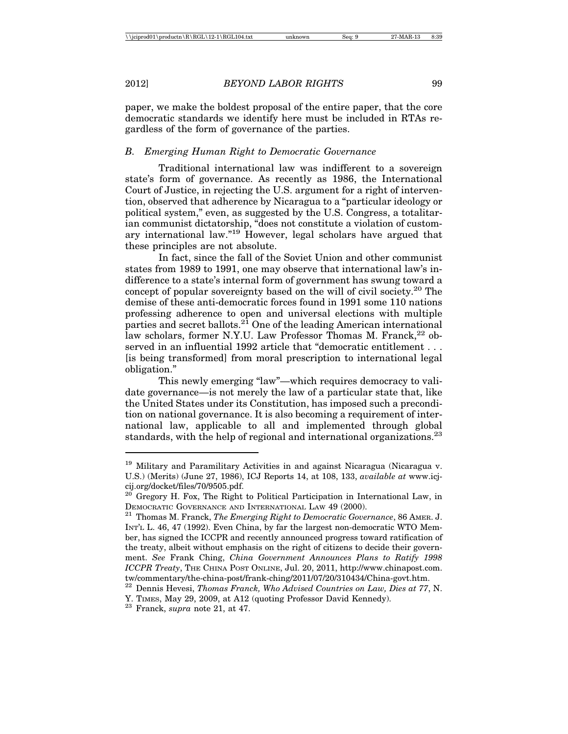paper, we make the boldest proposal of the entire paper, that the core democratic standards we identify here must be included in RTAs regardless of the form of governance of the parties.

### *B. Emerging Human Right to Democratic Governance*

Traditional international law was indifferent to a sovereign state's form of governance. As recently as 1986, the International Court of Justice, in rejecting the U.S. argument for a right of intervention, observed that adherence by Nicaragua to a "particular ideology or political system," even, as suggested by the U.S. Congress, a totalitarian communist dictatorship, "does not constitute a violation of customary international law."19 However, legal scholars have argued that these principles are not absolute.

In fact, since the fall of the Soviet Union and other communist states from 1989 to 1991, one may observe that international law's indifference to a state's internal form of government has swung toward a concept of popular sovereignty based on the will of civil society.20 The demise of these anti-democratic forces found in 1991 some 110 nations professing adherence to open and universal elections with multiple parties and secret ballots.<sup>21</sup> One of the leading American international law scholars, former N.Y.U. Law Professor Thomas M. Franck, $^{22}$  observed in an influential 1992 article that "democratic entitlement . . . [is being transformed] from moral prescription to international legal obligation."

This newly emerging "law"—which requires democracy to validate governance—is not merely the law of a particular state that, like the United States under its Constitution, has imposed such a precondition on national governance. It is also becoming a requirement of international law, applicable to all and implemented through global standards, with the help of regional and international organizations.<sup>23</sup>

<sup>&</sup>lt;sup>19</sup> Military and Paramilitary Activities in and against Nicaragua (Nicaragua v. U.S.) (Merits) (June 27, 1986), ICJ Reports 14, at 108, 133, *available at* www.icjcij.org/docket/files/70/9505.pdf.

 $20$  Gregory H. Fox, The Right to Political Participation in International Law, in DEMOCRATIC GOVERNANCE AND INTERNATIONAL LAW 49 (2000). <sup>21</sup> Thomas M. Franck, *The Emerging Right to Democratic Governance*, 86 AMER. J.

INT'L L. 46, 47 (1992). Even China, by far the largest non-democratic WTO Member, has signed the ICCPR and recently announced progress toward ratification of the treaty, albeit without emphasis on the right of citizens to decide their government. *See* Frank Ching, *China Government Announces Plans to Ratify 1998 ICCPR Treaty*, THE CHINA POST ONLINE, Jul. 20, 2011, http://www.chinapost.com. tw/commentary/the-china-post/frank-ching/2011/07/20/310434/China-govt.htm.

<sup>22</sup> Dennis Hevesi, *Thomas Franck, Who Advised Countries on Law, Dies at 77*, N. Y. TIMES, May 29, 2009, at A12 (quoting Professor David Kennedy). <sup>23</sup> Franck, *supra* note 21, at 47.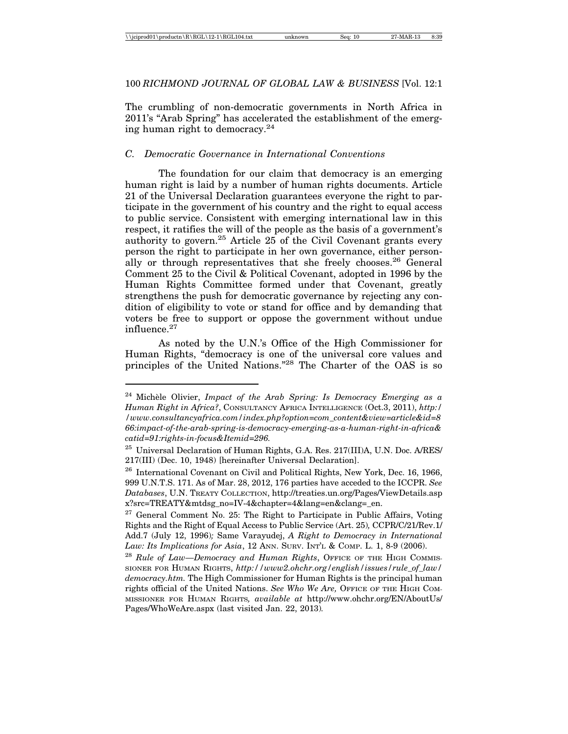### 100 *RICHMOND JOURNAL OF GLOBAL LAW & BUSINESS* [Vol. 12:1

The crumbling of non-democratic governments in North Africa in 2011's "Arab Spring" has accelerated the establishment of the emerging human right to democracy.<sup>24</sup>

### *C. Democratic Governance in International Conventions*

The foundation for our claim that democracy is an emerging human right is laid by a number of human rights documents. Article 21 of the Universal Declaration guarantees everyone the right to participate in the government of his country and the right to equal access to public service. Consistent with emerging international law in this respect, it ratifies the will of the people as the basis of a government's authority to govern.<sup>25</sup> Article  $25$  of the Civil Covenant grants every person the right to participate in her own governance, either personally or through representatives that she freely chooses.<sup>26</sup> General Comment 25 to the Civil & Political Covenant, adopted in 1996 by the Human Rights Committee formed under that Covenant, greatly strengthens the push for democratic governance by rejecting any condition of eligibility to vote or stand for office and by demanding that voters be free to support or oppose the government without undue influence.27

As noted by the U.N.'s Office of the High Commissioner for Human Rights, "democracy is one of the universal core values and principles of the United Nations."28 The Charter of the OAS is so

<sup>&</sup>lt;sup>24</sup> Michèle Olivier, *Impact of the Arab Spring: Is Democracy Emerging as a Human Right in Africa?*, CONSULTANCY AFRICA INTELLIGENCE (Oct.3, 2011), *http:/ /www.consultancyafrica.com/index.php?option=com\_content&view=article&id=8 66:impact-of-the-arab-spring-is-democracy-emerging-as-a-human-right-in-africa& catid=91:rights-in-focus&Itemid=296.*

 $^{25}$  Universal Declaration of Human Rights, G.A. Res. 217(III)A, U.N. Doc. A/RES/ 217(III) (Dec. 10, 1948) [hereinafter Universal Declaration].

<sup>&</sup>lt;sup>26</sup> International Covenant on Civil and Political Rights, New York, Dec. 16, 1966, 999 U.N.T.S. 171. As of Mar. 28, 2012, 176 parties have acceded to the ICCPR. *See Databases*, U.N. TREATY COLLECTION, http://treaties.un.org/Pages/ViewDetails.asp x?src=TREATY&mtdsg\_no=IV-4&chapter=4&lang=en&clang=\_en.

 $27$  General Comment No. 25: The Right to Participate in Public Affairs, Voting Rights and the Right of Equal Access to Public Service (Art. 25)*,* CCPR/C/21/Rev.1/ Add.7 (July 12, 1996)*;* Same Varayudej, *A Right to Democracy in International Law: Its Implications for Asia*, 12 ANN. SURV. INT'L & COMP. L. 1, 8-9 (2006).

<sup>&</sup>lt;sup>28</sup> Rule of Law—Democracy and Human Rights, OFFICE OF THE HIGH COMMIS-SIONER FOR HUMAN RIGHTS, *http://www2.ohchr.org/english/issues/rule\_of\_law/ democracy.htm.* The High Commissioner for Human Rights is the principal human rights official of the United Nations. *See Who We Are,* OFFICE OF THE HIGH COM-MISSIONER FOR HUMAN RIGHTS*, available at* http://www.ohchr.org/EN/AboutUs/ Pages/WhoWeAre.aspx (last visited Jan. 22, 2013)*.*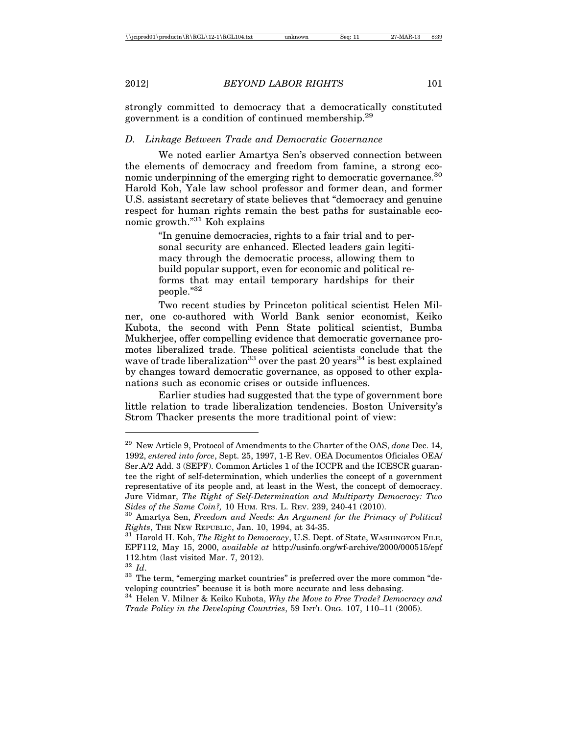strongly committed to democracy that a democratically constituted government is a condition of continued membership.29

### *D. Linkage Between Trade and Democratic Governance*

We noted earlier Amartya Sen's observed connection between the elements of democracy and freedom from famine, a strong economic underpinning of the emerging right to democratic governance.<sup>30</sup> Harold Koh, Yale law school professor and former dean, and former U.S. assistant secretary of state believes that "democracy and genuine respect for human rights remain the best paths for sustainable economic growth."31 Koh explains

> "In genuine democracies, rights to a fair trial and to personal security are enhanced. Elected leaders gain legitimacy through the democratic process, allowing them to build popular support, even for economic and political reforms that may entail temporary hardships for their people."32

Two recent studies by Princeton political scientist Helen Milner, one co-authored with World Bank senior economist, Keiko Kubota, the second with Penn State political scientist, Bumba Mukherjee, offer compelling evidence that democratic governance promotes liberalized trade. These political scientists conclude that the wave of trade liberalization<sup>33</sup> over the past 20 years<sup>34</sup> is best explained by changes toward democratic governance, as opposed to other explanations such as economic crises or outside influences.

Earlier studies had suggested that the type of government bore little relation to trade liberalization tendencies. Boston University's Strom Thacker presents the more traditional point of view:

<sup>29</sup> New Article 9, Protocol of Amendments to the Charter of the OAS, *done* Dec. 14, 1992, *entered into force*, Sept. 25, 1997, 1-E Rev. OEA Documentos Oficiales OEA/ Ser.A/2 Add. 3 (SEPF). Common Articles 1 of the ICCPR and the ICESCR guarantee the right of self-determination, which underlies the concept of a government representative of its people and, at least in the West, the concept of democracy. Jure Vidmar, *The Right of Self-Determination and Multiparty Democracy: Two Sides of the Same Coin?,* 10 HUM. RTS. L. REV. 239, 240-41 (2010). <sup>30</sup> Amartya Sen, *Freedom and Needs: An Argument for the Primacy of Political*

*Rights*, THE NEW REPUBLIC, Jan. 10, 1994, at 34-35. <sup>31</sup> Harold H. Koh, *The Right to Democracy*, U.S. Dept. of State, WASHINGTON FILE,

EPF112, May 15, 2000, *available at* http://usinfo.org/wf-archive/2000/000515/epf 112.htm (last visited Mar. 7, 2012).<br> $\frac{32}{1}$  *Id*.

<sup>&</sup>lt;sup>33</sup> The term, "emerging market countries" is preferred over the more common "developing countries" because it is both more accurate and less debasing.

<sup>34</sup> Helen V. Milner & Keiko Kubota, *Why the Move to Free Trade? Democracy and Trade Policy in the Developing Countries*, 59 INT'L ORG. 107, 110–11 (2005).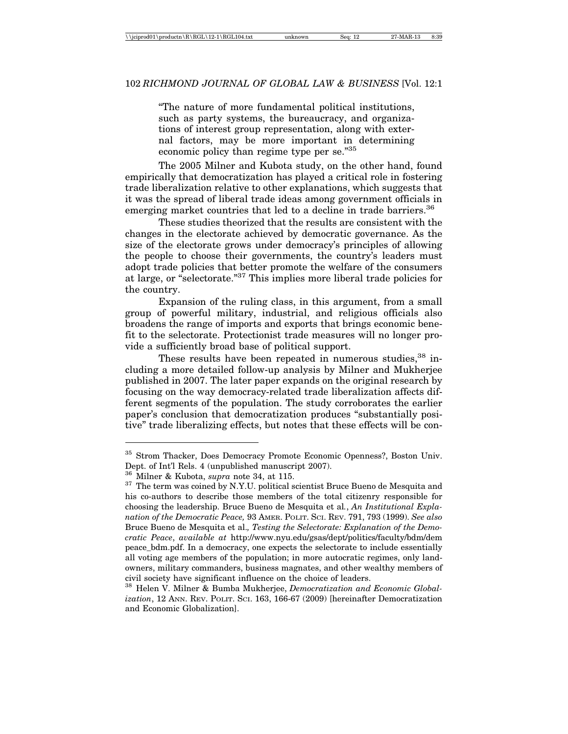"The nature of more fundamental political institutions, such as party systems, the bureaucracy, and organizations of interest group representation, along with external factors, may be more important in determining economic policy than regime type per se."35

The 2005 Milner and Kubota study, on the other hand, found empirically that democratization has played a critical role in fostering trade liberalization relative to other explanations, which suggests that it was the spread of liberal trade ideas among government officials in emerging market countries that led to a decline in trade barriers.<sup>36</sup>

These studies theorized that the results are consistent with the changes in the electorate achieved by democratic governance. As the size of the electorate grows under democracy's principles of allowing the people to choose their governments, the country's leaders must adopt trade policies that better promote the welfare of the consumers at large, or "selectorate."37 This implies more liberal trade policies for the country.

Expansion of the ruling class, in this argument, from a small group of powerful military, industrial, and religious officials also broadens the range of imports and exports that brings economic benefit to the selectorate. Protectionist trade measures will no longer provide a sufficiently broad base of political support.

These results have been repeated in numerous studies,  $38$  including a more detailed follow-up analysis by Milner and Mukherjee published in 2007. The later paper expands on the original research by focusing on the way democracy-related trade liberalization affects different segments of the population. The study corroborates the earlier paper's conclusion that democratization produces "substantially positive" trade liberalizing effects, but notes that these effects will be con-

<sup>35</sup> Strom Thacker, Does Democracy Promote Economic Openness?, Boston Univ. Dept. of Int'l Rels. 4 (unpublished manuscript 2007).

 $36$  Milner & Kubota, *supra* note 34, at 115.<br><sup>37</sup> The term was coined by N.Y.U. political scientist Bruce Bueno de Mesquita and his co-authors to describe those members of the total citizenry responsible for choosing the leadership. Bruce Bueno de Mesquita et al*.*, *An Institutional Explanation of the Democratic Peace,* 93 AMER. POLIT. SCI. REV. 791, 793 (1999). *See also* Bruce Bueno de Mesquita et al.*, Testing the Selectorate: Explanation of the Democratic Peace*, *available at* http://www.nyu.edu/gsas/dept/politics/faculty/bdm/dem peace\_bdm.pdf. In a democracy, one expects the selectorate to include essentially all voting age members of the population; in more autocratic regimes, only landowners, military commanders, business magnates, and other wealthy members of civil society have significant influence on the choice of leaders.

<sup>38</sup> Helen V. Milner & Bumba Mukherjee, *Democratization and Economic Globalization*, 12 ANN. REV. POLIT. SCI. 163, 166-67 (2009) [hereinafter Democratization and Economic Globalization].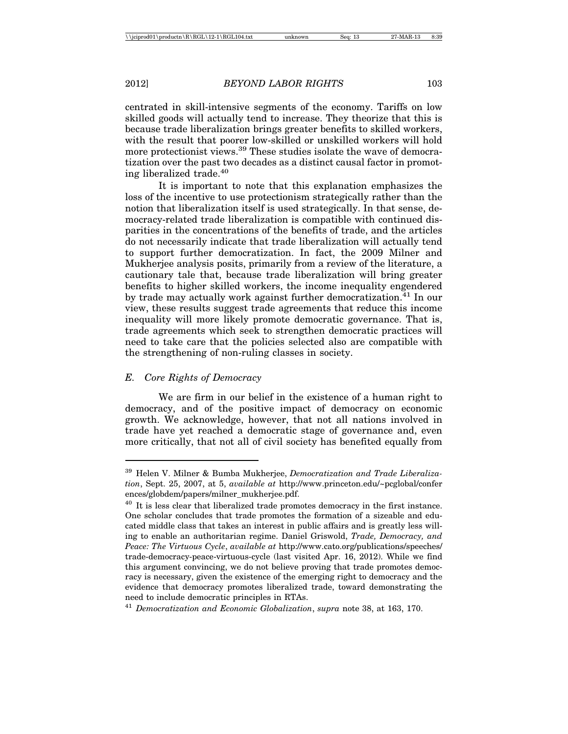centrated in skill-intensive segments of the economy. Tariffs on low skilled goods will actually tend to increase. They theorize that this is because trade liberalization brings greater benefits to skilled workers, with the result that poorer low-skilled or unskilled workers will hold more protectionist views.<sup>39</sup> These studies isolate the wave of democratization over the past two decades as a distinct causal factor in promoting liberalized trade.40

It is important to note that this explanation emphasizes the loss of the incentive to use protectionism strategically rather than the notion that liberalization itself is used strategically. In that sense, democracy-related trade liberalization is compatible with continued disparities in the concentrations of the benefits of trade, and the articles do not necessarily indicate that trade liberalization will actually tend to support further democratization. In fact, the 2009 Milner and Mukherjee analysis posits, primarily from a review of the literature, a cautionary tale that, because trade liberalization will bring greater benefits to higher skilled workers, the income inequality engendered by trade may actually work against further democratization.<sup>41</sup> In our view, these results suggest trade agreements that reduce this income inequality will more likely promote democratic governance. That is, trade agreements which seek to strengthen democratic practices will need to take care that the policies selected also are compatible with the strengthening of non-ruling classes in society.

#### *E. Core Rights of Democracy*

We are firm in our belief in the existence of a human right to democracy, and of the positive impact of democracy on economic growth. We acknowledge, however, that not all nations involved in trade have yet reached a democratic stage of governance and, even more critically, that not all of civil society has benefited equally from

<sup>39</sup> Helen V. Milner & Bumba Mukherjee, *Democratization and Trade Liberalization*, Sept. 25, 2007, at 5, *available at* http://www.princeton.edu/~pcglobal/confer ences/globdem/papers/milner\_mukherjee.pdf.

 $40$  It is less clear that liberalized trade promotes democracy in the first instance. One scholar concludes that trade promotes the formation of a sizeable and educated middle class that takes an interest in public affairs and is greatly less willing to enable an authoritarian regime. Daniel Griswold, *Trade, Democracy, and Peace: The Virtuous Cycle*, *available at* http://www.cato.org/publications/speeches/ trade-democracy-peace-virtuous-cycle (last visited Apr. 16, 2012). While we find this argument convincing, we do not believe proving that trade promotes democracy is necessary, given the existence of the emerging right to democracy and the evidence that democracy promotes liberalized trade, toward demonstrating the need to include democratic principles in RTAs.

<sup>41</sup> *Democratization and Economic Globalization*, *supra* note 38, at 163, 170.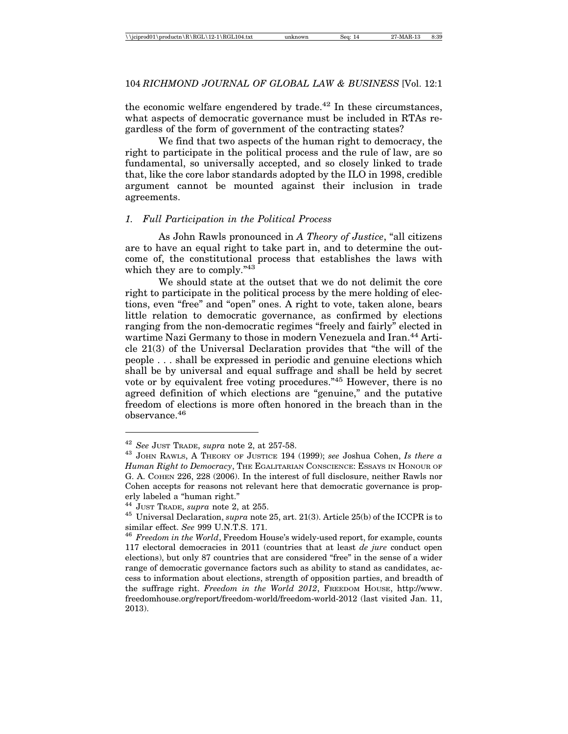the economic welfare engendered by trade.<sup>42</sup> In these circumstances, what aspects of democratic governance must be included in RTAs regardless of the form of government of the contracting states?

We find that two aspects of the human right to democracy, the right to participate in the political process and the rule of law, are so fundamental, so universally accepted, and so closely linked to trade that, like the core labor standards adopted by the ILO in 1998, credible argument cannot be mounted against their inclusion in trade agreements.

#### *1. Full Participation in the Political Process*

As John Rawls pronounced in *A Theory of Justice*, "all citizens are to have an equal right to take part in, and to determine the outcome of, the constitutional process that establishes the laws with which they are to comply."<sup>43</sup>

We should state at the outset that we do not delimit the core right to participate in the political process by the mere holding of elections, even "free" and "open" ones. A right to vote, taken alone, bears little relation to democratic governance, as confirmed by elections ranging from the non-democratic regimes "freely and fairly" elected in wartime Nazi Germany to those in modern Venezuela and Iran.<sup>44</sup> Article 21(3) of the Universal Declaration provides that "the will of the people . . . shall be expressed in periodic and genuine elections which shall be by universal and equal suffrage and shall be held by secret vote or by equivalent free voting procedures."45 However, there is no agreed definition of which elections are "genuine," and the putative freedom of elections is more often honored in the breach than in the observance.46

<sup>42</sup> *See* JUST TRADE, *supra* note 2, at 257-58.

<sup>43</sup> JOHN RAWLS, A THEORY OF JUSTICE 194 (1999); *see* Joshua Cohen, *Is there a Human Right to Democracy*, THE EGALITARIAN CONSCIENCE: ESSAYS IN HONOUR OF G. A. COHEN 226, 228 (2006). In the interest of full disclosure, neither Rawls nor Cohen accepts for reasons not relevant here that democratic governance is properly labeled a "human right."

<sup>44</sup> JUST TRADE, *supra* note 2, at 255. <sup>45</sup> Universal Declaration, *supra* note 25, art. 21(3). Article 25(b) of the ICCPR is to similar effect. *See* 999 U.N.T.S. 171.<br><sup>46</sup> *Freedom in the World*, Freedom House's widely-used report, for example, counts

<sup>117</sup> electoral democracies in 2011 (countries that at least *de jure* conduct open elections), but only 87 countries that are considered "free" in the sense of a wider range of democratic governance factors such as ability to stand as candidates, access to information about elections, strength of opposition parties, and breadth of the suffrage right. *Freedom in the World 2012*, FREEDOM HOUSE, http://www. freedomhouse.org/report/freedom-world/freedom-world-2012 (last visited Jan. 11, 2013).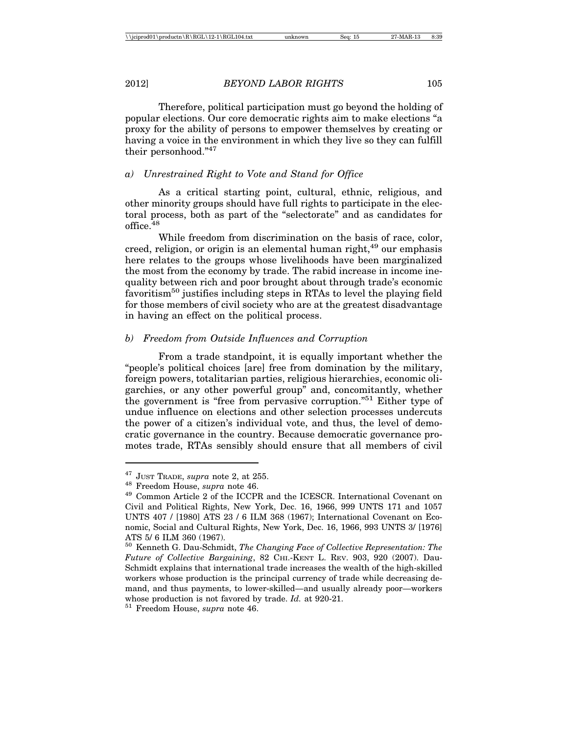Therefore, political participation must go beyond the holding of popular elections. Our core democratic rights aim to make elections "a proxy for the ability of persons to empower themselves by creating or having a voice in the environment in which they live so they can fulfill their personhood."47

### *a) Unrestrained Right to Vote and Stand for Office*

As a critical starting point, cultural, ethnic, religious, and other minority groups should have full rights to participate in the electoral process, both as part of the "selectorate" and as candidates for office  $48$ 

While freedom from discrimination on the basis of race, color, creed, religion, or origin is an elemental human right, <sup>49</sup> our emphasis here relates to the groups whose livelihoods have been marginalized the most from the economy by trade. The rabid increase in income inequality between rich and poor brought about through trade's economic favoritism50 justifies including steps in RTAs to level the playing field for those members of civil society who are at the greatest disadvantage in having an effect on the political process.

#### *b) Freedom from Outside Influences and Corruption*

From a trade standpoint, it is equally important whether the "people's political choices [are] free from domination by the military, foreign powers, totalitarian parties, religious hierarchies, economic oligarchies, or any other powerful group" and, concomitantly, whether the government is "free from pervasive corruption."51 Either type of undue influence on elections and other selection processes undercuts the power of a citizen's individual vote, and thus, the level of democratic governance in the country. Because democratic governance promotes trade, RTAs sensibly should ensure that all members of civil

<sup>&</sup>lt;sup>47</sup> JUST TRADE, *supra* note 2, at 255.<br><sup>48</sup> Freedom House, *supra* note 46.<br><sup>49</sup> Common Article 2 of the ICCPR and the ICESCR. International Covenant on Civil and Political Rights, New York, Dec. 16, 1966, 999 UNTS 171 and 1057 UNTS 407 / [1980] ATS 23 / 6 ILM 368 (1967); International Covenant on Economic, Social and Cultural Rights, New York, Dec. 16, 1966, 993 UNTS 3/ [1976] ATS 5/ 6 ILM 360 (1967).

<sup>50</sup> Kenneth G. Dau-Schmidt, *The Changing Face of Collective Representation: The Future of Collective Bargaining*, 82 CHI.-KENT L. REV. 903, 920 (2007). Dau-Schmidt explains that international trade increases the wealth of the high-skilled workers whose production is the principal currency of trade while decreasing demand, and thus payments, to lower-skilled—and usually already poor—workers whose production is not favored by trade. *Id.* at 920-21. <sup>51</sup> Freedom House, *supra* note 46.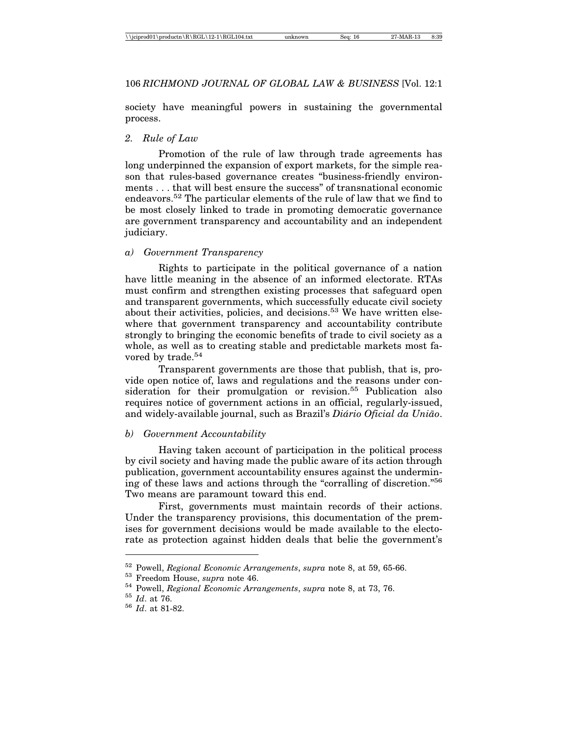society have meaningful powers in sustaining the governmental process.

### *2. Rule of Law*

Promotion of the rule of law through trade agreements has long underpinned the expansion of export markets, for the simple reason that rules-based governance creates "business-friendly environments . . . that will best ensure the success" of transnational economic endeavors.52 The particular elements of the rule of law that we find to be most closely linked to trade in promoting democratic governance are government transparency and accountability and an independent judiciary.

### *a) Government Transparency*

Rights to participate in the political governance of a nation have little meaning in the absence of an informed electorate. RTAs must confirm and strengthen existing processes that safeguard open and transparent governments, which successfully educate civil society about their activities, policies, and decisions.<sup>53</sup> We have written elsewhere that government transparency and accountability contribute strongly to bringing the economic benefits of trade to civil society as a whole, as well as to creating stable and predictable markets most favored by trade.<sup>54</sup>

Transparent governments are those that publish, that is, provide open notice of, laws and regulations and the reasons under consideration for their promulgation or revision.<sup>55</sup> Publication also requires notice of government actions in an official, regularly-issued, and widely-available journal, such as Brazil's *Diário Oficial da União*.

### *b) Government Accountability*

Having taken account of participation in the political process by civil society and having made the public aware of its action through publication, government accountability ensures against the undermining of these laws and actions through the "corralling of discretion."56 Two means are paramount toward this end.

First, governments must maintain records of their actions. Under the transparency provisions, this documentation of the premises for government decisions would be made available to the electorate as protection against hidden deals that belie the government's

<sup>&</sup>lt;sup>52</sup> Powell, *Regional Economic Arrangements*, *supra* note 8, at 59, 65-66.<br><sup>53</sup> Freedom House, *supra* note 46.<br><sup>54</sup> Powell, *Regional Economic Arrangements*, *supra* note 8, at 73, 76.<br><sup>55</sup> Id. at 76.<br><sup>56</sup> Id. at 81-82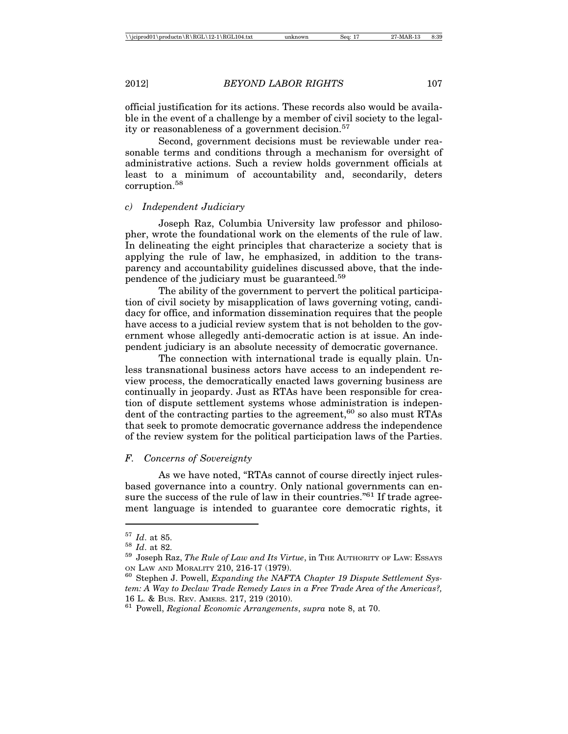official justification for its actions. These records also would be available in the event of a challenge by a member of civil society to the legality or reasonableness of a government decision.<sup>57</sup>

Second, government decisions must be reviewable under reasonable terms and conditions through a mechanism for oversight of administrative actions. Such a review holds government officials at least to a minimum of accountability and, secondarily, deters corruption.58

#### *c) Independent Judiciary*

Joseph Raz, Columbia University law professor and philosopher, wrote the foundational work on the elements of the rule of law. In delineating the eight principles that characterize a society that is applying the rule of law, he emphasized, in addition to the transparency and accountability guidelines discussed above, that the independence of the judiciary must be guaranteed.59

The ability of the government to pervert the political participation of civil society by misapplication of laws governing voting, candidacy for office, and information dissemination requires that the people have access to a judicial review system that is not beholden to the government whose allegedly anti-democratic action is at issue. An independent judiciary is an absolute necessity of democratic governance.

The connection with international trade is equally plain. Unless transnational business actors have access to an independent review process, the democratically enacted laws governing business are continually in jeopardy. Just as RTAs have been responsible for creation of dispute settlement systems whose administration is independent of the contracting parties to the agreement,<sup>60</sup> so also must  $\angle RTAs$ that seek to promote democratic governance address the independence of the review system for the political participation laws of the Parties.

#### *F. Concerns of Sovereignty*

As we have noted, "RTAs cannot of course directly inject rulesbased governance into a country. Only national governments can ensure the success of the rule of law in their countries.<sup>"61</sup> If trade agreement language is intended to guarantee core democratic rights, it

 $^{57}$  *Id.* at 85.<br> $^{58}$  *Id.* at 82.<br> $^{58}$  Joseph Raz, *The Rule of Law and Its Virtue,* in THE AUTHORITY OF LAW: Essays

ON LAW AND MORALITY 210, 216-17 (1979). <sup>60</sup> Stephen J. Powell, *Expanding the NAFTA Chapter 19 Dispute Settlement System: A Way to Declaw Trade Remedy Laws in a Free Trade Area of the Americas?,* 16 L. & BUS. REV. AMERS. 217, 219 (2010). <sup>61</sup> Powell, *Regional Economic Arrangements*, *supra* note 8, at 70.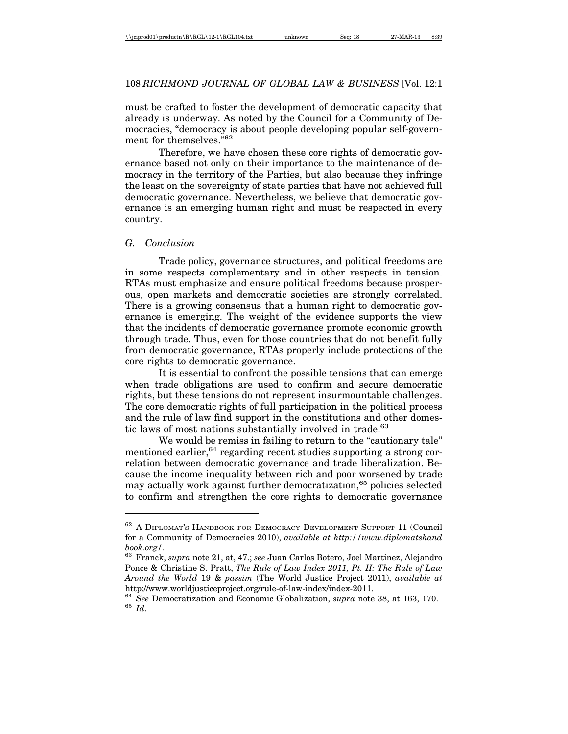must be crafted to foster the development of democratic capacity that already is underway. As noted by the Council for a Community of Democracies, "democracy is about people developing popular self-government for themselves."62

Therefore, we have chosen these core rights of democratic governance based not only on their importance to the maintenance of democracy in the territory of the Parties, but also because they infringe the least on the sovereignty of state parties that have not achieved full democratic governance. Nevertheless, we believe that democratic governance is an emerging human right and must be respected in every country.

#### *G. Conclusion*

Trade policy, governance structures, and political freedoms are in some respects complementary and in other respects in tension. RTAs must emphasize and ensure political freedoms because prosperous, open markets and democratic societies are strongly correlated. There is a growing consensus that a human right to democratic governance is emerging. The weight of the evidence supports the view that the incidents of democratic governance promote economic growth through trade. Thus, even for those countries that do not benefit fully from democratic governance, RTAs properly include protections of the core rights to democratic governance.

It is essential to confront the possible tensions that can emerge when trade obligations are used to confirm and secure democratic rights, but these tensions do not represent insurmountable challenges. The core democratic rights of full participation in the political process and the rule of law find support in the constitutions and other domestic laws of most nations substantially involved in trade.<sup>63</sup>

We would be remiss in failing to return to the "cautionary tale" mentioned earlier,<sup>64</sup> regarding recent studies supporting a strong correlation between democratic governance and trade liberalization. Because the income inequality between rich and poor worsened by trade may actually work against further democratization,<sup>65</sup> policies selected to confirm and strengthen the core rights to democratic governance

<sup>&</sup>lt;sup>62</sup> A DIPLOMAT'S HANDBOOK FOR DEMOCRACY DEVELOPMENT SUPPORT 11 (Council for a Community of Democracies 2010), *available at http://www.diplomatshand book.org/*. <sup>63</sup> Franck, *supra* note 21, at, 47.; *see* Juan Carlos Botero, Joel Martinez, Alejandro

Ponce & Christine S. Pratt, *The Rule of Law Index 2011, Pt. II: The Rule of Law Around the World* 19 & *passim* (The World Justice Project 2011), *available at* http://www.worldjusticeproject.org/rule-of-law-index/index-2011.

<sup>64</sup> *See* Democratization and Economic Globalization, *supra* note 38, at 163, 170. <sup>65</sup> *Id*.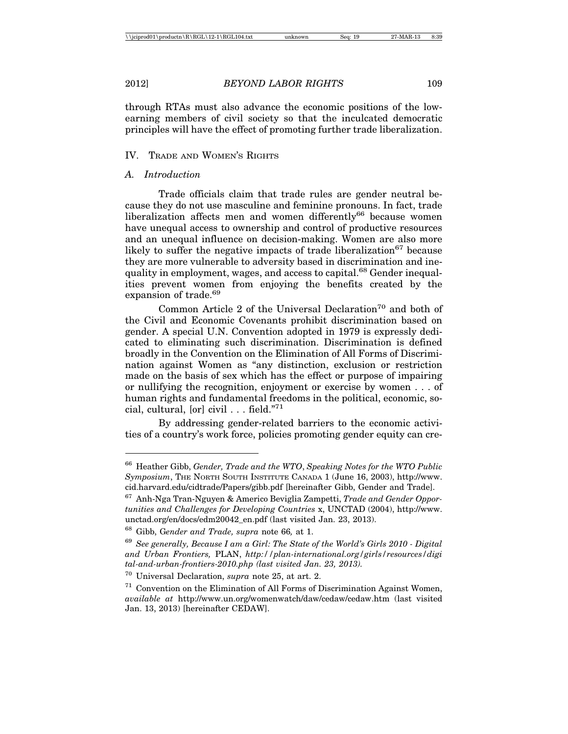through RTAs must also advance the economic positions of the lowearning members of civil society so that the inculcated democratic principles will have the effect of promoting further trade liberalization.

#### IV. TRADE AND WOMEN'S RIGHTS

#### *A. Introduction*

Trade officials claim that trade rules are gender neutral because they do not use masculine and feminine pronouns. In fact, trade liberalization affects men and women differently<sup>66</sup> because women have unequal access to ownership and control of productive resources and an unequal influence on decision-making. Women are also more likely to suffer the negative impacts of trade liberalization<sup>67</sup> because they are more vulnerable to adversity based in discrimination and inequality in employment, wages, and access to capital.<sup>68</sup> Gender inequalities prevent women from enjoying the benefits created by the expansion of trade.<sup>69</sup>

Common Article 2 of the Universal Declaration<sup>70</sup> and both of the Civil and Economic Covenants prohibit discrimination based on gender. A special U.N. Convention adopted in 1979 is expressly dedicated to eliminating such discrimination. Discrimination is defined broadly in the Convention on the Elimination of All Forms of Discrimination against Women as "any distinction, exclusion or restriction made on the basis of sex which has the effect or purpose of impairing or nullifying the recognition, enjoyment or exercise by women . . . of human rights and fundamental freedoms in the political, economic, social, cultural,  $\lceil \text{or} \rceil$  civil . . . field."<sup>71</sup>

By addressing gender-related barriers to the economic activities of a country's work force, policies promoting gender equity can cre-

<sup>66</sup> Heather Gibb, *Gender, Trade and the WTO*, *Speaking Notes for the WTO Public Symposium*, THE NORTH SOUTH INSTITUTE CANADA 1 (June 16, 2003), http://www. cid.harvard.edu/cidtrade/Papers/gibb.pdf [hereinafter Gibb, Gender and Trade].

<sup>67</sup> Anh-Nga Tran-Nguyen & Americo Beviglia Zampetti, *Trade and Gender Opportunities and Challenges for Developing Countries* x, UNCTAD (2004), http://www. unctad.org/en/docs/edm20042\_en.pdf (last visited Jan. 23, 2013).

<sup>68</sup> Gibb, G*ender and Trade, supra* note 66*,* at 1.

<sup>69</sup> *See generally, Because I am a Girl: The State of the World's Girls 2010 - Digital and Urban Frontiers,* PLAN, *http://plan-international.org/girls/resources/digi tal-and-urban-frontiers-2010.php (last visited Jan. 23, 2013).*

<sup>70</sup> Universal Declaration, *supra* note 25, at art. 2.

 $71$  Convention on the Elimination of All Forms of Discrimination Against Women, *available at* http://www.un.org/womenwatch/daw/cedaw/cedaw.htm (last visited Jan. 13, 2013) [hereinafter CEDAW].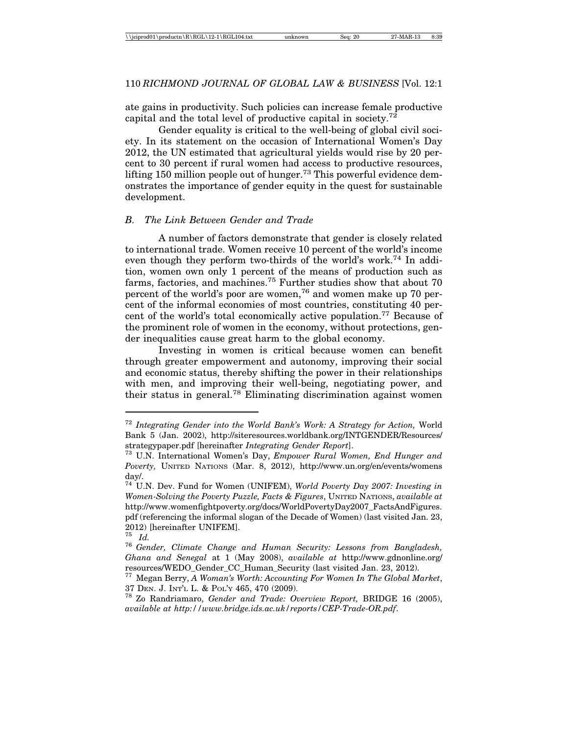ate gains in productivity. Such policies can increase female productive capital and the total level of productive capital in society.<sup>72</sup>

Gender equality is critical to the well-being of global civil society. In its statement on the occasion of International Women's Day 2012, the UN estimated that agricultural yields would rise by 20 percent to 30 percent if rural women had access to productive resources, lifting 150 million people out of hunger.<sup>73</sup> This powerful evidence demonstrates the importance of gender equity in the quest for sustainable development.

### *B. The Link Between Gender and Trade*

A number of factors demonstrate that gender is closely related to international trade. Women receive 10 percent of the world's income even though they perform two-thirds of the world's work.74 In addition, women own only 1 percent of the means of production such as farms, factories, and machines.<sup>75</sup> Further studies show that about 70 percent of the world's poor are women,76 and women make up 70 percent of the informal economies of most countries, constituting 40 percent of the world's total economically active population.<sup>77</sup> Because of the prominent role of women in the economy, without protections, gender inequalities cause great harm to the global economy.

Investing in women is critical because women can benefit through greater empowerment and autonomy, improving their social and economic status, thereby shifting the power in their relationships with men, and improving their well-being, negotiating power, and their status in general.78 Eliminating discrimination against women

<sup>72</sup> *Integrating Gender into the World Bank's Work: A Strategy for Action,* World Bank 5 (Jan. 2002), http://siteresources.worldbank.org/INTGENDER/Resources/ strategypaper.pdf [hereinafter *Integrating Gender Report*]. <sup>73</sup> U.N. International Women's Day, *Empower Rural Women, End Hunger and*

*Poverty,* UNITED NATIONS (Mar. 8, 2012), http://www.un.org/en/events/womens day/.

<sup>74</sup> U.N. Dev. Fund for Women (UNIFEM), *World Poverty Day 2007: Investing in Women-Solving the Poverty Puzzle, Facts & Figures*, UNITED NATIONS, *available at* http://www.womenfightpoverty.org/docs/WorldPovertyDay2007\_FactsAndFigures. pdf (referencing the informal slogan of the Decade of Women) (last visited Jan. 23, 2012) [hereinafter UNIFEM].  $^{75}$   $^{17}$ 

<sup>75</sup> *Id.* <sup>76</sup> *Gender, Climate Change and Human Security: Lessons from Bangladesh, Ghana and Senegal* at 1 (May 2008), *available at* http://www.gdnonline.org/ resources/WEDO\_Gender\_CC\_Human\_Security (last visited Jan. 23, 2012).

<sup>77</sup> Megan Berry, *A Woman's Worth: Accounting For Women In The Global Market*, 37 DEN. J. INT'L L. & POL'Y 465, 470 (2009). <sup>78</sup> Zo Randriamaro, *Gender and Trade: Overview Report,* BRIDGE 16 (2005),

*available at http://www.bridge.ids.ac.uk/reports/CEP-Trade-OR.pdf*.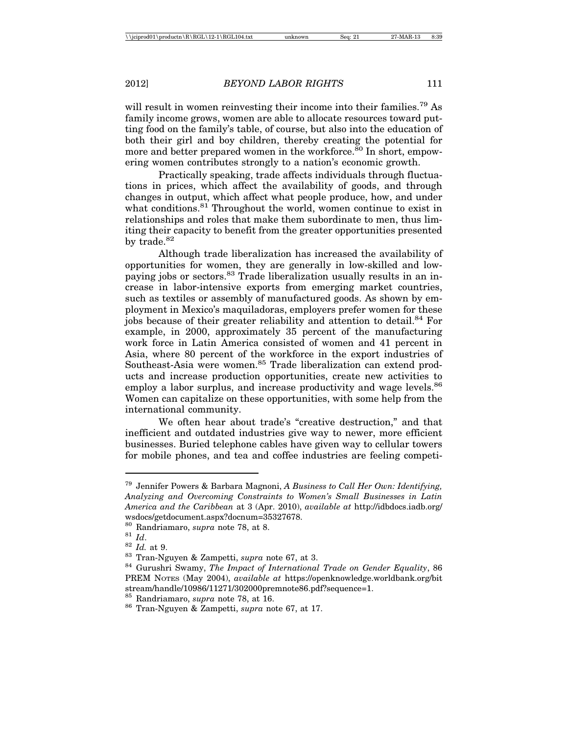will result in women reinvesting their income into their families.<sup>79</sup> As family income grows, women are able to allocate resources toward putting food on the family's table, of course, but also into the education of both their girl and boy children, thereby creating the potential for more and better prepared women in the workforce.<sup>80</sup> In short, empowering women contributes strongly to a nation's economic growth.

Practically speaking, trade affects individuals through fluctuations in prices, which affect the availability of goods, and through changes in output, which affect what people produce, how, and under what conditions.<sup>81</sup> Throughout the world, women continue to exist in relationships and roles that make them subordinate to men, thus limiting their capacity to benefit from the greater opportunities presented by trade.<sup>82</sup>

Although trade liberalization has increased the availability of opportunities for women, they are generally in low-skilled and lowpaying jobs or sectors.<sup>83</sup> Trade liberalization usually results in an increase in labor-intensive exports from emerging market countries, such as textiles or assembly of manufactured goods. As shown by employment in Mexico's maquiladoras, employers prefer women for these jobs because of their greater reliability and attention to detail.<sup>84</sup> For example, in 2000, approximately 35 percent of the manufacturing work force in Latin America consisted of women and 41 percent in Asia, where 80 percent of the workforce in the export industries of Southeast-Asia were women.<sup>85</sup> Trade liberalization can extend products and increase production opportunities, create new activities to employ a labor surplus, and increase productivity and wage levels.<sup>86</sup> Women can capitalize on these opportunities, with some help from the international community.

We often hear about trade's "creative destruction," and that inefficient and outdated industries give way to newer, more efficient businesses. Buried telephone cables have given way to cellular towers for mobile phones, and tea and coffee industries are feeling competi-

<sup>79</sup> Jennifer Powers & Barbara Magnoni, *A Business to Call Her Own: Identifying, Analyzing and Overcoming Constraints to Women's Small Businesses in Latin America and the Caribbean* at 3 (Apr. 2010), *available at* http://idbdocs.iadb.org/ wsdocs/getdocument.aspx?docnum=35327678.<br><sup>80</sup> Randriamaro, *supra* note 78, at 8.

<sup>&</sup>lt;sup>81</sup> *Id.*<br><sup>82</sup> *Id.* at 9.<br><sup>83</sup> Tran-Nguyen & Zampetti, *supra* note 67, at 3.<br><sup>84</sup> Gurushri Swamy, *The Impact of International Trade on Gender Equality*, 86 PREM NOTES (May 2004), *available at* https://openknowledge.worldbank.org/bit stream/handle/10986/11271/302000premnote86.pdf?sequence=1.

<sup>85</sup> Randriamaro, *supra* note 78, at 16. <sup>86</sup> Tran-Nguyen & Zampetti, *supra* note 67, at 17.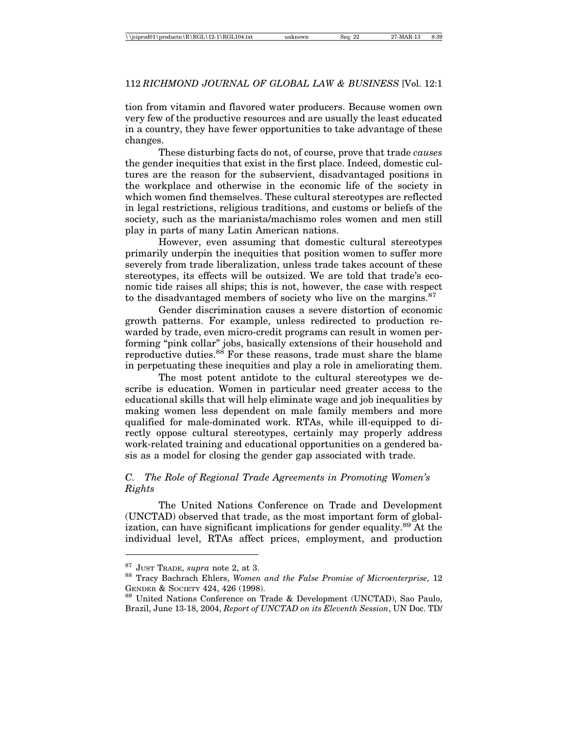tion from vitamin and flavored water producers. Because women own very few of the productive resources and are usually the least educated in a country, they have fewer opportunities to take advantage of these changes.

These disturbing facts do not, of course, prove that trade *causes* the gender inequities that exist in the first place. Indeed, domestic cultures are the reason for the subservient, disadvantaged positions in the workplace and otherwise in the economic life of the society in which women find themselves. These cultural stereotypes are reflected in legal restrictions, religious traditions, and customs or beliefs of the society, such as the marianista/machismo roles women and men still play in parts of many Latin American nations.

However, even assuming that domestic cultural stereotypes primarily underpin the inequities that position women to suffer more severely from trade liberalization, unless trade takes account of these stereotypes, its effects will be outsized. We are told that trade's economic tide raises all ships; this is not, however, the case with respect to the disadvantaged members of society who live on the margins.<sup>87</sup>

Gender discrimination causes a severe distortion of economic growth patterns. For example, unless redirected to production rewarded by trade, even micro-credit programs can result in women performing "pink collar" jobs, basically extensions of their household and reproductive duties.<sup>88</sup> For these reasons, trade must share the blame in perpetuating these inequities and play a role in ameliorating them.

The most potent antidote to the cultural stereotypes we describe is education. Women in particular need greater access to the educational skills that will help eliminate wage and job inequalities by making women less dependent on male family members and more qualified for male-dominated work. RTAs, while ill-equipped to directly oppose cultural stereotypes, certainly may properly address work-related training and educational opportunities on a gendered basis as a model for closing the gender gap associated with trade.

# *C. The Role of Regional Trade Agreements in Promoting Women's Rights*

The United Nations Conference on Trade and Development (UNCTAD) observed that trade, as the most important form of globalization, can have significant implications for gender equality.<sup>89</sup> At the individual level, RTAs affect prices, employment, and production

<sup>&</sup>lt;sup>87</sup> JUST TRADE, *supra* note 2, at 3.<br><sup>88</sup> Tracy Bachrach Ehlers, *Women and the False Promise of Microenterprise*, 12 GENDER & SOCIETY 424, 426 (1998).<br><sup>89</sup> United Nations Conference on Trade & Development (UNCTAD), Sao Paulo,

Brazil, June 13-18, 2004, *Report of UNCTAD on its Eleventh Session*, UN Doc. TD/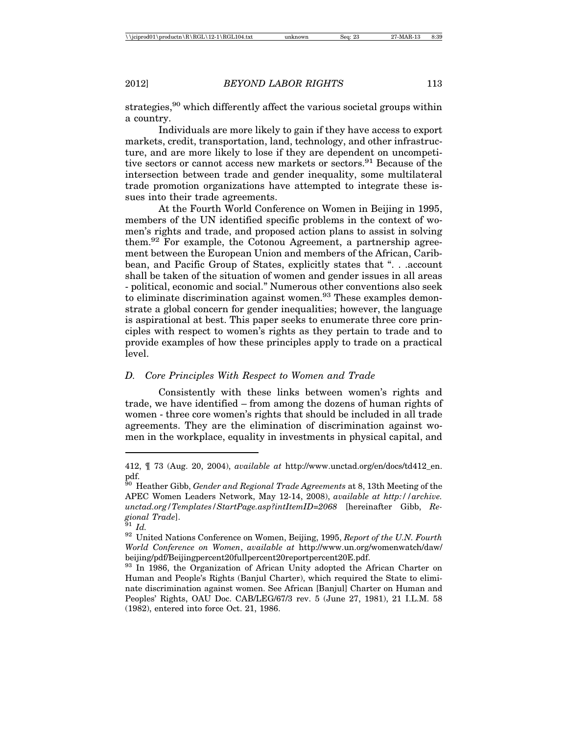strategies,<sup>90</sup> which differently affect the various societal groups within a country.

Individuals are more likely to gain if they have access to export markets, credit, transportation, land, technology, and other infrastructure, and are more likely to lose if they are dependent on uncompetitive sectors or cannot access new markets or sectors.<sup>91</sup> Because of the intersection between trade and gender inequality, some multilateral trade promotion organizations have attempted to integrate these issues into their trade agreements.

At the Fourth World Conference on Women in Beijing in 1995, members of the UN identified specific problems in the context of women's rights and trade, and proposed action plans to assist in solving them.<sup>92</sup> For example, the Cotonou Agreement, a partnership agreement between the European Union and members of the African, Caribbean, and Pacific Group of States, explicitly states that ". . .account shall be taken of the situation of women and gender issues in all areas - political, economic and social." Numerous other conventions also seek to eliminate discrimination against women.<sup>93</sup> These examples demonstrate a global concern for gender inequalities; however, the language is aspirational at best. This paper seeks to enumerate three core principles with respect to women's rights as they pertain to trade and to provide examples of how these principles apply to trade on a practical level.

### *D. Core Principles With Respect to Women and Trade*

Consistently with these links between women's rights and trade, we have identified – from among the dozens of human rights of women - three core women's rights that should be included in all trade agreements. They are the elimination of discrimination against women in the workplace, equality in investments in physical capital, and

<sup>412, ¶ 73 (</sup>Aug. 20, 2004), *available at* http://www.unctad.org/en/docs/td412\_en. pdf.

<sup>90</sup> Heather Gibb, *Gender and Regional Trade Agreements* at 8, 13th Meeting of the APEC Women Leaders Network, May 12-14, 2008), *available at http://archive. unctad.org/Templates/StartPage.asp?intItemID=2068* [hereinafter Gibb, *Regional Trade*]. <sup>91</sup> *Id.* <sup>92</sup> United Nations Conference on Women, Beijing, 1995, *Report of the U.N. Fourth*

*World Conference on Women*, *available at* http://www.un.org/womenwatch/daw/ beijing/pdf/Beijingpercent20fullpercent20reportpercent20E.pdf.

<sup>&</sup>lt;sup>93</sup> In 1986, the Organization of African Unity adopted the African Charter on Human and People's Rights (Banjul Charter), which required the State to eliminate discrimination against women. See African [Banjul] Charter on Human and Peoples' Rights, OAU Doc. CAB/LEG/67/3 rev. 5 (June 27, 1981), 21 I.L.M. 58 (1982), entered into force Oct. 21, 1986.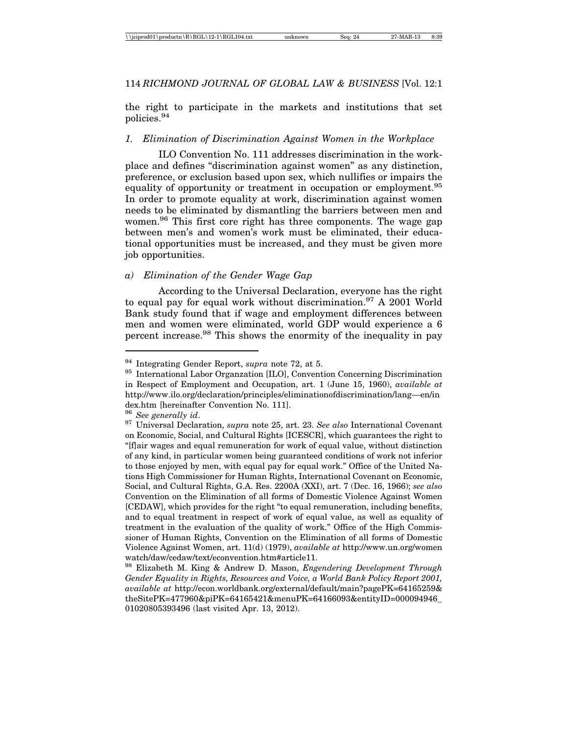the right to participate in the markets and institutions that set policies.94

#### *1. Elimination of Discrimination Against Women in the Workplace*

ILO Convention No. 111 addresses discrimination in the workplace and defines "discrimination against women" as any distinction, preference, or exclusion based upon sex, which nullifies or impairs the equality of opportunity or treatment in occupation or employment.<sup>95</sup> In order to promote equality at work, discrimination against women needs to be eliminated by dismantling the barriers between men and women.96 This first core right has three components. The wage gap between men's and women's work must be eliminated, their educational opportunities must be increased, and they must be given more job opportunities.

### *a) Elimination of the Gender Wage Gap*

According to the Universal Declaration, everyone has the right to equal pay for equal work without discrimination.<sup>97</sup> A 2001 World Bank study found that if wage and employment differences between men and women were eliminated, world GDP would experience a 6 percent increase.98 This shows the enormity of the inequality in pay

<sup>&</sup>lt;sup>94</sup> Integrating Gender Report, *supra* note 72, at 5.<br><sup>95</sup> International Labor Organzation [ILO], Convention Concerning Discrimination in Respect of Employment and Occupation, art. 1 (June 15, 1960), *available at* http://www.ilo.org/declaration/principles/eliminationofdiscrimination/lang—en/in dex.htm [hereinafter Convention No. 111].

<sup>96</sup> *See generally id*. <sup>97</sup> Universal Declaration, *supra* note 25, art. 23. *See also* International Covenant on Economic, Social, and Cultural Rights [ICESCR], which guarantees the right to "[f]air wages and equal remuneration for work of equal value, without distinction of any kind, in particular women being guaranteed conditions of work not inferior to those enjoyed by men, with equal pay for equal work." Office of the United Nations High Commissioner for Human Rights, International Covenant on Economic, Social, and Cultural Rights, G.A. Res. 2200A (XXI), art. 7 (Dec. 16, 1966); *see also* Convention on the Elimination of all forms of Domestic Violence Against Women [CEDAW], which provides for the right "to equal remuneration, including benefits, and to equal treatment in respect of work of equal value, as well as equality of treatment in the evaluation of the quality of work." Office of the High Commissioner of Human Rights, Convention on the Elimination of all forms of Domestic Violence Against Women, art. 11(d) (1979), *available at* http://www.un.org/women watch/daw/cedaw/text/econvention.htm#article11.

<sup>98</sup> Elizabeth M. King & Andrew D. Mason, *Engendering Development Through Gender Equality in Rights, Resources and Voice, a World Bank Policy Report 2001, available at* http://econ.worldbank.org/external/default/main?pagePK=64165259& theSitePK=477960&piPK=64165421&menuPK=64166093&entityID=000094946\_ 01020805393496 (last visited Apr. 13, 2012).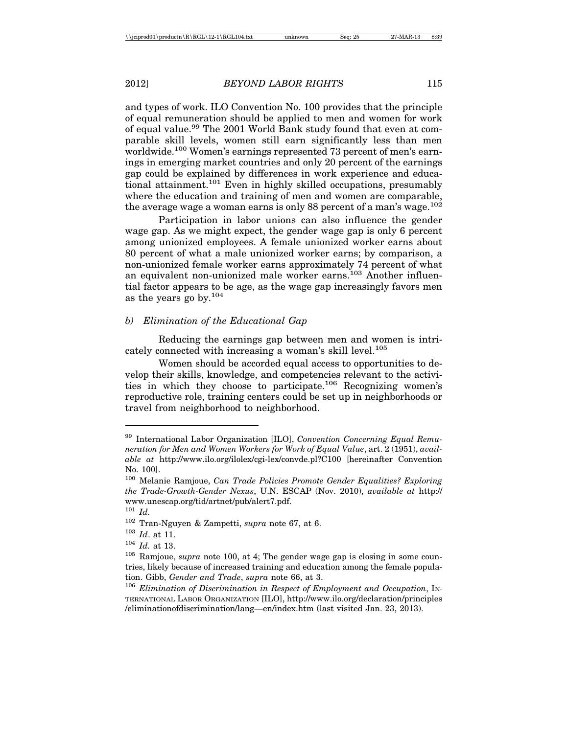and types of work. ILO Convention No. 100 provides that the principle of equal remuneration should be applied to men and women for work of equal value.<sup>99</sup> The 2001 World Bank study found that even at comparable skill levels, women still earn significantly less than men worldwide.<sup>100</sup> Women's earnings represented 73 percent of men's earnings in emerging market countries and only 20 percent of the earnings gap could be explained by differences in work experience and educational attainment.<sup>101</sup> Even in highly skilled occupations, presumably where the education and training of men and women are comparable, the average wage a woman earns is only 88 percent of a man's wage.<sup>102</sup>

Participation in labor unions can also influence the gender wage gap. As we might expect, the gender wage gap is only 6 percent among unionized employees. A female unionized worker earns about 80 percent of what a male unionized worker earns; by comparison, a non-unionized female worker earns approximately 74 percent of what an equivalent non-unionized male worker earns.<sup>103</sup> Another influential factor appears to be age, as the wage gap increasingly favors men as the years go by. $104$ 

### *b) Elimination of the Educational Gap*

Reducing the earnings gap between men and women is intricately connected with increasing a woman's skill level.<sup>105</sup>

Women should be accorded equal access to opportunities to develop their skills, knowledge, and competencies relevant to the activities in which they choose to participate.106 Recognizing women's reproductive role, training centers could be set up in neighborhoods or travel from neighborhood to neighborhood.

<sup>99</sup> International Labor Organization [ILO], *Convention Concerning Equal Remuneration for Men and Women Workers for Work of Equal Value*, art. 2 (1951), *available at* http://www.ilo.org/ilolex/cgi-lex/convde.pl?C100 [hereinafter Convention No. 100].

<sup>100</sup> Melanie Ramjoue, *Can Trade Policies Promote Gender Equalities? Exploring the Trade-Growth-Gender Nexus*, U.N. ESCAP (Nov. 2010), *available at* http:// www.unescap.org/tid/artnet/pub/alert7.pdf.

<sup>101</sup> *Id.*

<sup>102</sup> Tran-Nguyen & Zampetti, *supra* note 67, at 6.

<sup>103</sup> *Id*. at 11.

<sup>104</sup> *Id.* at 13.

<sup>105</sup> Ramjoue, *supra* note 100, at 4; The gender wage gap is closing in some countries, likely because of increased training and education among the female population. Gibb, *Gender and Trade*, *supra* note 66, at 3.

<sup>106</sup> *Elimination of Discrimination in Respect of Employment and Occupation*, IN-TERNATIONAL LABOR ORGANIZATION [ILO], http://www.ilo.org/declaration/principles /eliminationofdiscrimination/lang—en/index.htm (last visited Jan. 23, 2013).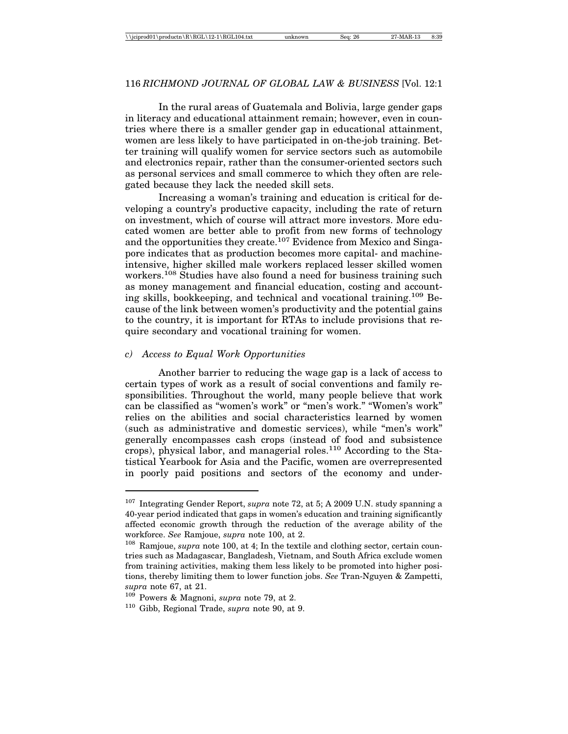### 116 *RICHMOND JOURNAL OF GLOBAL LAW & BUSINESS* [Vol. 12:1

In the rural areas of Guatemala and Bolivia, large gender gaps in literacy and educational attainment remain; however, even in countries where there is a smaller gender gap in educational attainment, women are less likely to have participated in on-the-job training. Better training will qualify women for service sectors such as automobile and electronics repair, rather than the consumer-oriented sectors such as personal services and small commerce to which they often are relegated because they lack the needed skill sets.

Increasing a woman's training and education is critical for developing a country's productive capacity, including the rate of return on investment, which of course will attract more investors. More educated women are better able to profit from new forms of technology and the opportunities they create.<sup>107</sup> Evidence from Mexico and Singapore indicates that as production becomes more capital- and machineintensive, higher skilled male workers replaced lesser skilled women workers.<sup>108</sup> Studies have also found a need for business training such as money management and financial education, costing and accounting skills, bookkeeping, and technical and vocational training.109 Because of the link between women's productivity and the potential gains to the country, it is important for RTAs to include provisions that require secondary and vocational training for women.

### *c) Access to Equal Work Opportunities*

Another barrier to reducing the wage gap is a lack of access to certain types of work as a result of social conventions and family responsibilities. Throughout the world, many people believe that work can be classified as "women's work" or "men's work." "Women's work" relies on the abilities and social characteristics learned by women (such as administrative and domestic services), while "men's work" generally encompasses cash crops (instead of food and subsistence crops), physical labor, and managerial roles.<sup>110</sup> According to the Statistical Yearbook for Asia and the Pacific, women are overrepresented in poorly paid positions and sectors of the economy and under-

<sup>107</sup> Integrating Gender Report, *supra* note 72, at 5; A 2009 U.N. study spanning a 40-year period indicated that gaps in women's education and training significantly affected economic growth through the reduction of the average ability of the workforce. *See* Ramjoue, *supra* note 100, at 2.

<sup>108</sup> Ramjoue, *supra* note 100, at 4; In the textile and clothing sector, certain countries such as Madagascar, Bangladesh, Vietnam, and South Africa exclude women from training activities, making them less likely to be promoted into higher positions, thereby limiting them to lower function jobs. *See* Tran-Nguyen & Zampetti, *supra* note 67, at 21.

<sup>109</sup> Powers & Magnoni, *supra* note 79, at 2.

<sup>110</sup> Gibb, Regional Trade, *supra* note 90, at 9.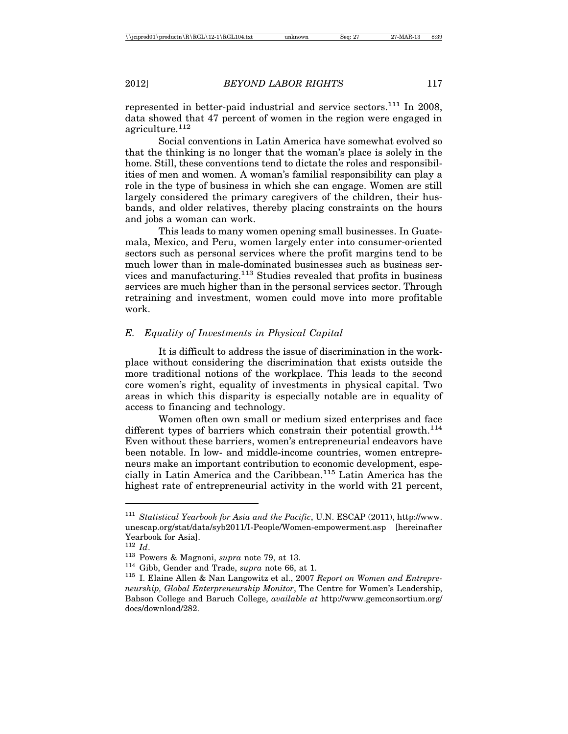represented in better-paid industrial and service sectors.<sup>111</sup> In 2008, data showed that 47 percent of women in the region were engaged in agriculture.<sup>112</sup>

Social conventions in Latin America have somewhat evolved so that the thinking is no longer that the woman's place is solely in the home. Still, these conventions tend to dictate the roles and responsibilities of men and women. A woman's familial responsibility can play a role in the type of business in which she can engage. Women are still largely considered the primary caregivers of the children, their husbands, and older relatives, thereby placing constraints on the hours and jobs a woman can work.

This leads to many women opening small businesses. In Guatemala, Mexico, and Peru, women largely enter into consumer-oriented sectors such as personal services where the profit margins tend to be much lower than in male-dominated businesses such as business services and manufacturing.113 Studies revealed that profits in business services are much higher than in the personal services sector. Through retraining and investment, women could move into more profitable work.

### *E. Equality of Investments in Physical Capital*

It is difficult to address the issue of discrimination in the workplace without considering the discrimination that exists outside the more traditional notions of the workplace. This leads to the second core women's right, equality of investments in physical capital. Two areas in which this disparity is especially notable are in equality of access to financing and technology.

Women often own small or medium sized enterprises and face different types of barriers which constrain their potential growth.<sup>114</sup> Even without these barriers, women's entrepreneurial endeavors have been notable. In low- and middle-income countries, women entrepreneurs make an important contribution to economic development, especially in Latin America and the Caribbean.115 Latin America has the highest rate of entrepreneurial activity in the world with 21 percent,

<sup>111</sup> *Statistical Yearbook for Asia and the Pacific*, U.N. ESCAP (2011), http://www. unescap.org/stat/data/syb2011/I-People/Women-empowerment.asp [hereinafter Yearbook for Asia].<br> $^{112}$  *Id*.

<sup>112</sup> *Id*. <sup>113</sup> Powers & Magnoni, *supra* note 79, at 13. <sup>114</sup> Gibb, Gender and Trade, *supra* note 66, at 1. <sup>115</sup> I. Elaine Allen & Nan Langowitz et al., 2007 *Report on Women and Entrepreneurship, Global Enterpreneurship Monitor*, The Centre for Women's Leadership, Babson College and Baruch College, *available at* http://www.gemconsortium.org/ docs/download/282.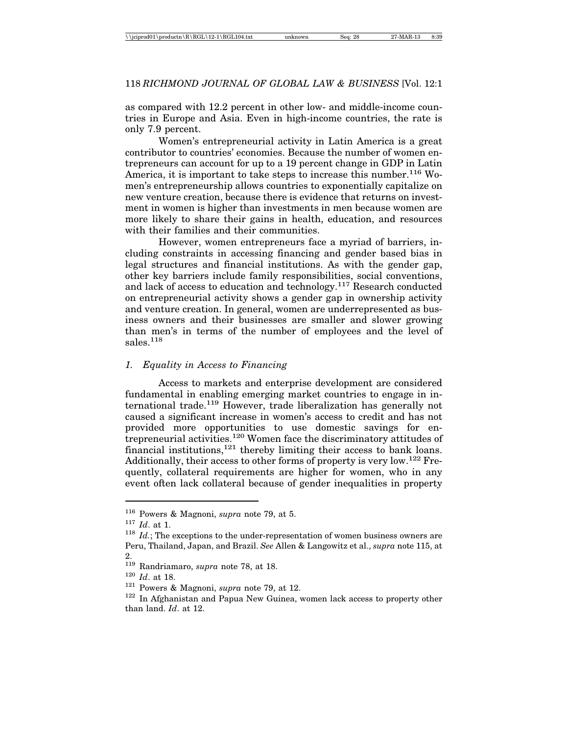as compared with 12.2 percent in other low- and middle-income countries in Europe and Asia. Even in high-income countries, the rate is only 7.9 percent.

Women's entrepreneurial activity in Latin America is a great contributor to countries' economies. Because the number of women entrepreneurs can account for up to a 19 percent change in GDP in Latin America, it is important to take steps to increase this number.<sup>116</sup> Women's entrepreneurship allows countries to exponentially capitalize on new venture creation, because there is evidence that returns on investment in women is higher than investments in men because women are more likely to share their gains in health, education, and resources with their families and their communities.

However, women entrepreneurs face a myriad of barriers, including constraints in accessing financing and gender based bias in legal structures and financial institutions. As with the gender gap, other key barriers include family responsibilities, social conventions, and lack of access to education and technology.<sup>117</sup> Research conducted on entrepreneurial activity shows a gender gap in ownership activity and venture creation. In general, women are underrepresented as business owners and their businesses are smaller and slower growing than men's in terms of the number of employees and the level of sales.118

### *1. Equality in Access to Financing*

Access to markets and enterprise development are considered fundamental in enabling emerging market countries to engage in international trade.<sup>119</sup> However, trade liberalization has generally not caused a significant increase in women's access to credit and has not provided more opportunities to use domestic savings for entrepreneurial activities.<sup>120</sup> Women face the discriminatory attitudes of financial institutions, $121$  thereby limiting their access to bank loans. Additionally, their access to other forms of property is very low.<sup>122</sup> Frequently, collateral requirements are higher for women, who in any event often lack collateral because of gender inequalities in property

<sup>116</sup> Powers & Magnoni, *supra* note 79, at 5.

<sup>117</sup> *Id*. at 1.

<sup>118</sup> *Id.*; The exceptions to the under-representation of women business owners are Peru, Thailand, Japan, and Brazil. *See* Allen & Langowitz et al., *supra* note 115, at 2.

<sup>119</sup> Randriamaro, *supra* note 78, at 18.

<sup>120</sup> *Id*. at 18.

<sup>121</sup> Powers & Magnoni, *supra* note 79, at 12.

<sup>&</sup>lt;sup>122</sup> In Afghanistan and Papua New Guinea, women lack access to property other than land. *Id*. at 12.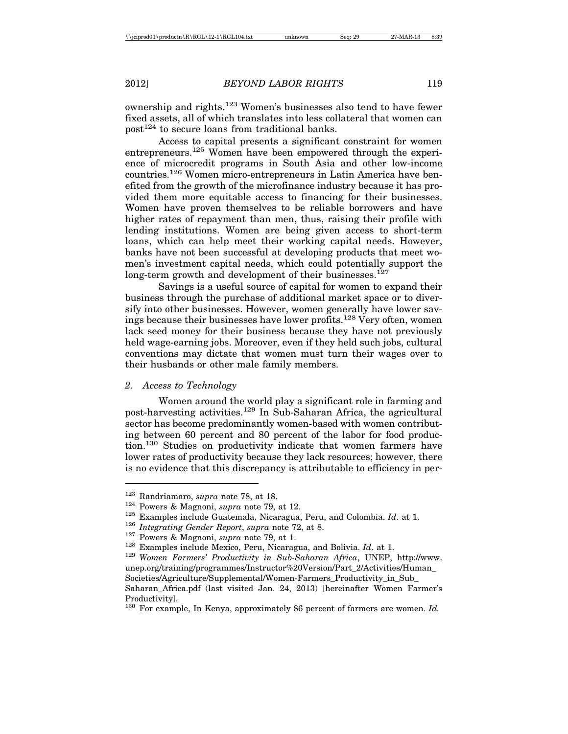ownership and rights.123 Women's businesses also tend to have fewer fixed assets, all of which translates into less collateral that women can  $post^{124}$  to secure loans from traditional banks.

Access to capital presents a significant constraint for women entrepreneurs.125 Women have been empowered through the experience of microcredit programs in South Asia and other low-income countries.126 Women micro-entrepreneurs in Latin America have benefited from the growth of the microfinance industry because it has provided them more equitable access to financing for their businesses. Women have proven themselves to be reliable borrowers and have higher rates of repayment than men, thus, raising their profile with lending institutions. Women are being given access to short-term loans, which can help meet their working capital needs. However, banks have not been successful at developing products that meet women's investment capital needs, which could potentially support the long-term growth and development of their businesses.<sup>127</sup>

Savings is a useful source of capital for women to expand their business through the purchase of additional market space or to diversify into other businesses. However, women generally have lower savings because their businesses have lower profits.128 Very often, women lack seed money for their business because they have not previously held wage-earning jobs. Moreover, even if they held such jobs, cultural conventions may dictate that women must turn their wages over to their husbands or other male family members.

#### *2. Access to Technology*

Women around the world play a significant role in farming and post-harvesting activities.<sup>129</sup> In Sub-Saharan Africa, the agricultural sector has become predominantly women-based with women contributing between 60 percent and 80 percent of the labor for food production.130 Studies on productivity indicate that women farmers have lower rates of productivity because they lack resources; however, there is no evidence that this discrepancy is attributable to efficiency in per-

<sup>&</sup>lt;sup>123</sup> Randriamaro, *supra* note 78, at 18.<br>
<sup>124</sup> Powers & Magnoni, *supra* note 79, at 12.<br>
<sup>125</sup> Examples include Guatemala, Nicaragua, Peru, and Colombia. *Id.* at 1.<br>
<sup>126</sup> Integrating Gender Report, *supra* note 72, unep.org/training/programmes/Instructor%20Version/Part\_2/Activities/Human\_ Societies/Agriculture/Supplemental/Women-Farmers\_Productivity\_in\_Sub\_ Saharan\_Africa.pdf (last visited Jan. 24, 2013) [hereinafter Women Farmer's Productivity].

<sup>130</sup> For example, In Kenya, approximately 86 percent of farmers are women. *Id.*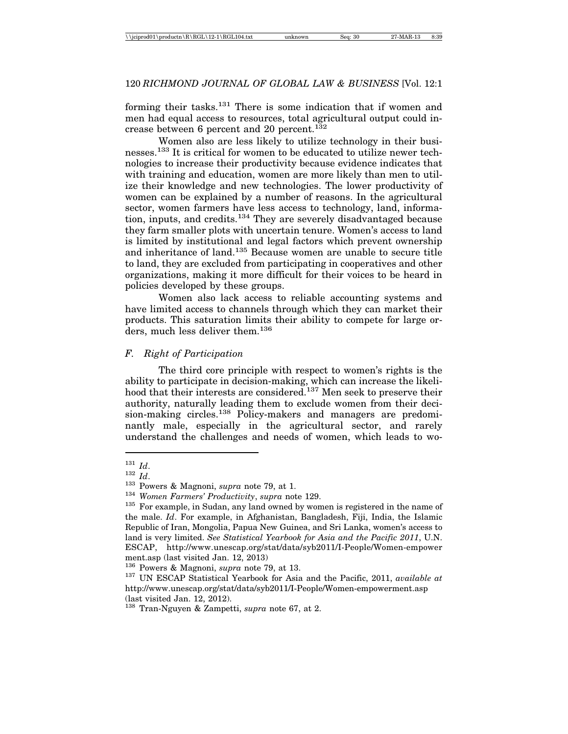forming their tasks.<sup>131</sup> There is some indication that if women and men had equal access to resources, total agricultural output could increase between 6 percent and 20 percent.<sup>132</sup>

Women also are less likely to utilize technology in their businesses.133 It is critical for women to be educated to utilize newer technologies to increase their productivity because evidence indicates that with training and education, women are more likely than men to utilize their knowledge and new technologies. The lower productivity of women can be explained by a number of reasons. In the agricultural sector, women farmers have less access to technology, land, information, inputs, and credits.134 They are severely disadvantaged because they farm smaller plots with uncertain tenure. Women's access to land is limited by institutional and legal factors which prevent ownership and inheritance of land.135 Because women are unable to secure title to land, they are excluded from participating in cooperatives and other organizations, making it more difficult for their voices to be heard in policies developed by these groups.

Women also lack access to reliable accounting systems and have limited access to channels through which they can market their products. This saturation limits their ability to compete for large orders, much less deliver them.<sup>136</sup>

# *F. Right of Participation*

The third core principle with respect to women's rights is the ability to participate in decision-making, which can increase the likelihood that their interests are considered.<sup>137</sup> Men seek to preserve their authority, naturally leading them to exclude women from their decision-making circles.<sup>138</sup> Policy-makers and managers are predominantly male, especially in the agricultural sector, and rarely understand the challenges and needs of women, which leads to wo-

<sup>&</sup>lt;sup>131</sup> *Id.*<br><sup>132</sup> *Id.*<br><sup>133</sup> Powers & Magnoni, *supra* note 79, at 1.<br><sup>135</sup> Women Farmers' Productivity, *supra* note 129.<br><sup>135</sup> For example, in Sudan, any land owned by women is registered in the name of the male. *Id*. For example, in Afghanistan, Bangladesh, Fiji, India, the Islamic Republic of Iran, Mongolia, Papua New Guinea, and Sri Lanka, women's access to land is very limited. *See Statistical Yearbook for Asia and the Pacific 2011*, U.N. ESCAP, http://www.unescap.org/stat/data/syb2011/I-People/Women-empower ment.asp (last visited Jan. 12, 2013)

<sup>&</sup>lt;sup>136</sup> Powers & Magnoni, *supra* note 79, at 13.<br><sup>137</sup> UN ESCAP Statistical Yearbook for Asia and the Pacific, 2011, *available at* http://www.unescap.org/stat/data/syb2011/I-People/Women-empowerment.asp (last visited Jan. 12, 2012).

<sup>138</sup> Tran-Nguyen & Zampetti, *supra* note 67, at 2.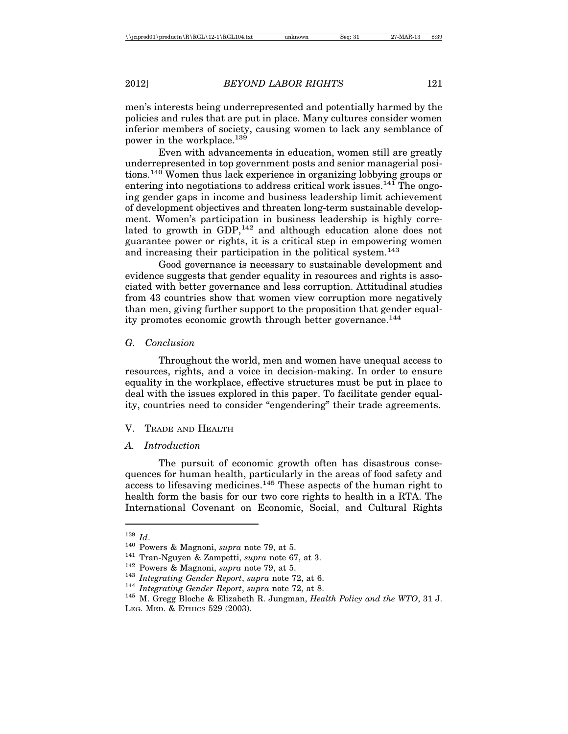men's interests being underrepresented and potentially harmed by the policies and rules that are put in place. Many cultures consider women inferior members of society, causing women to lack any semblance of power in the workplace.139

Even with advancements in education, women still are greatly underrepresented in top government posts and senior managerial positions.140 Women thus lack experience in organizing lobbying groups or entering into negotiations to address critical work issues.<sup>141</sup> The ongoing gender gaps in income and business leadership limit achievement of development objectives and threaten long-term sustainable development. Women's participation in business leadership is highly correlated to growth in GDP,<sup>142</sup> and although education alone does not guarantee power or rights, it is a critical step in empowering women and increasing their participation in the political system.<sup>143</sup>

Good governance is necessary to sustainable development and evidence suggests that gender equality in resources and rights is associated with better governance and less corruption. Attitudinal studies from 43 countries show that women view corruption more negatively than men, giving further support to the proposition that gender equality promotes economic growth through better governance.<sup>144</sup>

#### *G. Conclusion*

Throughout the world, men and women have unequal access to resources, rights, and a voice in decision-making. In order to ensure equality in the workplace, effective structures must be put in place to deal with the issues explored in this paper. To facilitate gender equality, countries need to consider "engendering" their trade agreements.

### V. TRADE AND HEALTH

### *A. Introduction*

The pursuit of economic growth often has disastrous consequences for human health, particularly in the areas of food safety and access to lifesaving medicines.145 These aspects of the human right to health form the basis for our two core rights to health in a RTA. The International Covenant on Economic, Social, and Cultural Rights

<sup>&</sup>lt;sup>139</sup> *Id.*<br>
<sup>140</sup> Powers & Magnoni, *supra* note 79, at 5.<br>
<sup>141</sup> Tran-Nguyen & Zampetti, *supra* note 67, at 3.<br>
<sup>142</sup> Powers & Magnoni, *supra* note 79, at 5.<br>
<sup>143</sup> *Integrating Gender Report, supra* note 72, at 6.<br>
<sup></sup> LEG. MED. & ETHICS 529 (2003).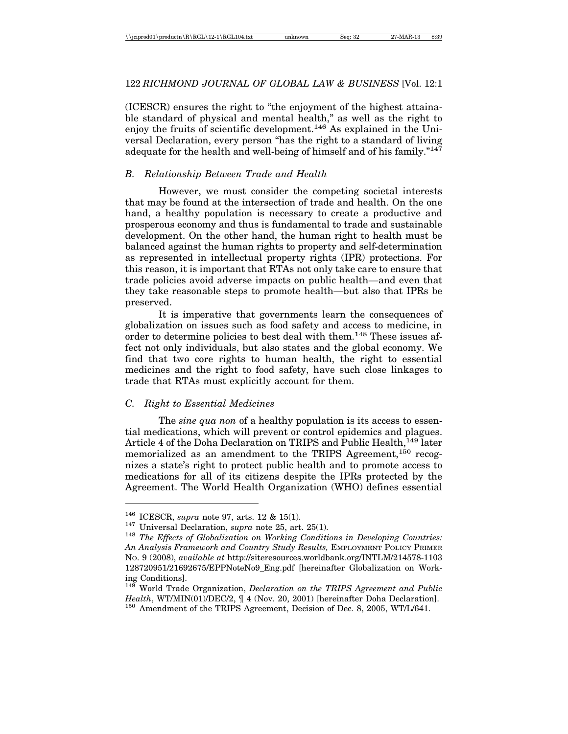# 122 *RICHMOND JOURNAL OF GLOBAL LAW & BUSINESS* [Vol. 12:1

(ICESCR) ensures the right to "the enjoyment of the highest attainable standard of physical and mental health," as well as the right to enjoy the fruits of scientific development.<sup>146</sup> As explained in the Universal Declaration, every person "has the right to a standard of living adequate for the health and well-being of himself and of his family." $147$ 

# *B. Relationship Between Trade and Health*

However, we must consider the competing societal interests that may be found at the intersection of trade and health. On the one hand, a healthy population is necessary to create a productive and prosperous economy and thus is fundamental to trade and sustainable development. On the other hand, the human right to health must be balanced against the human rights to property and self-determination as represented in intellectual property rights (IPR) protections. For this reason, it is important that RTAs not only take care to ensure that trade policies avoid adverse impacts on public health—and even that they take reasonable steps to promote health—but also that IPRs be preserved.

It is imperative that governments learn the consequences of globalization on issues such as food safety and access to medicine, in order to determine policies to best deal with them.<sup>148</sup> These issues affect not only individuals, but also states and the global economy. We find that two core rights to human health, the right to essential medicines and the right to food safety, have such close linkages to trade that RTAs must explicitly account for them.

### *C. Right to Essential Medicines*

The *sine qua non* of a healthy population is its access to essential medications, which will prevent or control epidemics and plagues. Article 4 of the Doha Declaration on TRIPS and Public Health,<sup>149</sup> later memorialized as an amendment to the TRIPS Agreement,<sup>150</sup> recognizes a state's right to protect public health and to promote access to medications for all of its citizens despite the IPRs protected by the Agreement. The World Health Organization (WHO) defines essential

<sup>&</sup>lt;sup>146</sup> ICESCR, *supra* note 97, arts. 12 & 15(1).<br><sup>147</sup> Universal Declaration, *supra* note 25, art. 25(1).<br><sup>148</sup> *The Effects of Globalization on Working Conditions in Developing Countries: An Analysis Framework and Country Study Results,* EMPLOYMENT POLICY PRIMER NO. 9 (2008), *available at* http://siteresources.worldbank.org/INTLM/214578-1103 128720951/21692675/EPPNoteNo9\_Eng.pdf [hereinafter Globalization on Working Conditions].

<sup>149</sup> World Trade Organization, *Declaration on the TRIPS Agreement and Public Health*, WT/MIN(01)/DEC/2,  $\parallel$  4 (Nov. 20, 2001) [hereinafter Doha Declaration].<br><sup>150</sup> Amendment of the TRIPS Agreement, Decision of Dec. 8, 2005, WT/L/641.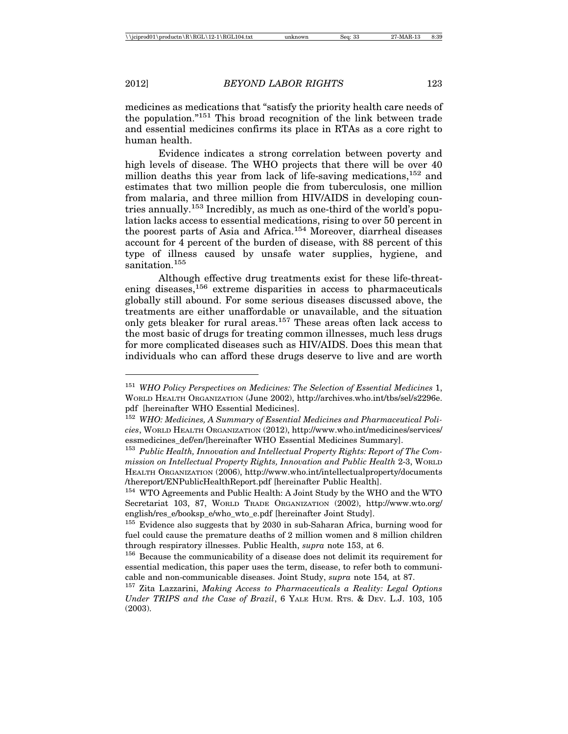medicines as medications that "satisfy the priority health care needs of the population."151 This broad recognition of the link between trade and essential medicines confirms its place in RTAs as a core right to human health.

Evidence indicates a strong correlation between poverty and high levels of disease. The WHO projects that there will be over 40 million deaths this year from lack of life-saving medications,  $152$  and estimates that two million people die from tuberculosis, one million from malaria, and three million from HIV/AIDS in developing countries annually.<sup>153</sup> Incredibly, as much as one-third of the world's population lacks access to essential medications, rising to over 50 percent in the poorest parts of Asia and Africa.154 Moreover, diarrheal diseases account for 4 percent of the burden of disease, with 88 percent of this type of illness caused by unsafe water supplies, hygiene, and sanitation.<sup>155</sup>

Although effective drug treatments exist for these life-threatening diseases,<sup>156</sup> extreme disparities in access to pharmaceuticals globally still abound. For some serious diseases discussed above, the treatments are either unaffordable or unavailable, and the situation only gets bleaker for rural areas.157 These areas often lack access to the most basic of drugs for treating common illnesses, much less drugs for more complicated diseases such as HIV/AIDS. Does this mean that individuals who can afford these drugs deserve to live and are worth

<sup>151</sup> *WHO Policy Perspectives on Medicines: The Selection of Essential Medicines* 1, WORLD HEALTH ORGANIZATION (June 2002), http://archives.who.int/tbs/sel/s2296e. pdf [hereinafter WHO Essential Medicines].

<sup>152</sup> *WHO: Medicines, A Summary of Essential Medicines and Pharmaceutical Policies*, WORLD HEALTH ORGANIZATION (2012), http://www.who.int/medicines/services/ essmedicines\_def/en/[hereinafter WHO Essential Medicines Summary].

<sup>153</sup> *Public Health, Innovation and Intellectual Property Rights: Report of The Commission on Intellectual Property Rights, Innovation and Public Health* 2-3, WORLD HEALTH ORGANIZATION (2006), http://www.who.int/intellectualproperty/documents /thereport/ENPublicHealthReport.pdf [hereinafter Public Health].

<sup>154</sup> WTO Agreements and Public Health: A Joint Study by the WHO and the WTO Secretariat 103, 87, WORLD TRADE ORGANIZATION (2002), http://www.wto.org/ english/res\_e/booksp\_e/who\_wto\_e.pdf [hereinafter Joint Study].

<sup>&</sup>lt;sup>155</sup> Evidence also suggests that by 2030 in sub-Saharan Africa, burning wood for fuel could cause the premature deaths of 2 million women and 8 million children through respiratory illnesses. Public Health, *supra* note 153, at 6.

<sup>&</sup>lt;sup>156</sup> Because the communicability of a disease does not delimit its requirement for essential medication, this paper uses the term, disease, to refer both to communicable and non-communicable diseases. Joint Study, *supra* note 154*,* at 87.

<sup>157</sup> Zita Lazzarini, *Making Access to Pharmaceuticals a Reality: Legal Options Under TRIPS and the Case of Brazil*, 6 YALE HUM. RTS. & DEV. L.J. 103, 105 (2003).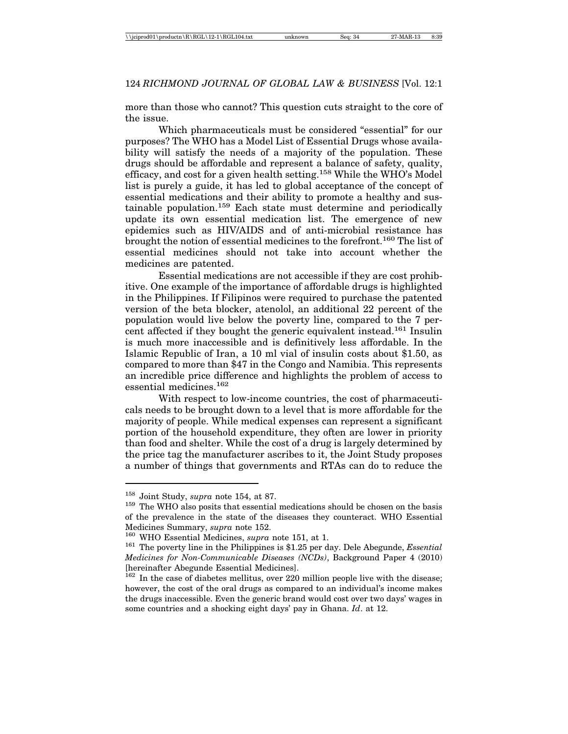### 124 *RICHMOND JOURNAL OF GLOBAL LAW & BUSINESS* [Vol. 12:1

more than those who cannot? This question cuts straight to the core of the issue.

Which pharmaceuticals must be considered "essential" for our purposes? The WHO has a Model List of Essential Drugs whose availability will satisfy the needs of a majority of the population. These drugs should be affordable and represent a balance of safety, quality, efficacy, and cost for a given health setting.158 While the WHO's Model list is purely a guide, it has led to global acceptance of the concept of essential medications and their ability to promote a healthy and sustainable population.159 Each state must determine and periodically update its own essential medication list. The emergence of new epidemics such as HIV/AIDS and of anti-microbial resistance has brought the notion of essential medicines to the forefront.<sup>160</sup> The list of essential medicines should not take into account whether the medicines are patented.

Essential medications are not accessible if they are cost prohibitive. One example of the importance of affordable drugs is highlighted in the Philippines. If Filipinos were required to purchase the patented version of the beta blocker, atenolol, an additional 22 percent of the population would live below the poverty line, compared to the 7 percent affected if they bought the generic equivalent instead.161 Insulin is much more inaccessible and is definitively less affordable. In the Islamic Republic of Iran, a 10 ml vial of insulin costs about \$1.50, as compared to more than \$47 in the Congo and Namibia. This represents an incredible price difference and highlights the problem of access to essential medicines.162

With respect to low-income countries, the cost of pharmaceuticals needs to be brought down to a level that is more affordable for the majority of people. While medical expenses can represent a significant portion of the household expenditure, they often are lower in priority than food and shelter. While the cost of a drug is largely determined by the price tag the manufacturer ascribes to it, the Joint Study proposes a number of things that governments and RTAs can do to reduce the

<sup>&</sup>lt;sup>158</sup> Joint Study, *supra* note 154, at 87.<br><sup>159</sup> The WHO also posits that essential medications should be chosen on the basis of the prevalence in the state of the diseases they counteract. WHO Essential Medicines Summary, *supra* note 152.<br><sup>160</sup> WHO Essential Medicines, *supra* note 151, at 1.<br><sup>161</sup> The poverty line in the Philippines is \$1.25 per day. Dele Abegunde, *Essential* 

*Medicines for Non-Communicable Diseases (NCDs)*, Background Paper 4 (2010) [hereinafter Abegunde Essential Medicines].

<sup>162</sup> In the case of diabetes mellitus, over 220 million people live with the disease; however, the cost of the oral drugs as compared to an individual's income makes the drugs inaccessible. Even the generic brand would cost over two days' wages in some countries and a shocking eight days' pay in Ghana. *Id*. at 12.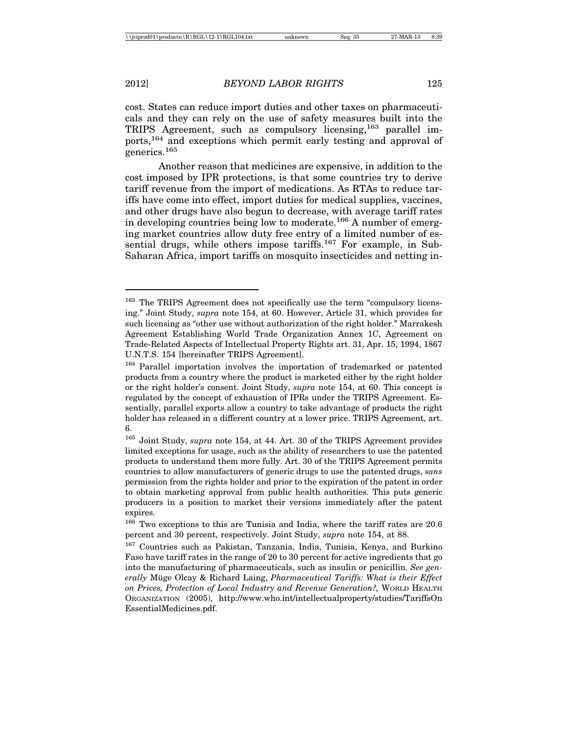cost. States can reduce import duties and other taxes on pharmaceuticals and they can rely on the use of safety measures built into the TRIPS Agreement, such as compulsory licensing,<sup>163</sup> parallel imports,164 and exceptions which permit early testing and approval of enerics.<sup>165</sup>

Another reason that medicines are expensive, in addition to the cost imposed by IPR protections, is that some countries try to derive tariff revenue from the import of medications. As RTAs to reduce tariffs have come into effect, import duties for medical supplies, vaccines, and other drugs have also begun to decrease, with average tariff rates in developing countries being low to moderate.<sup>166</sup> A number of emerging market countries allow duty free entry of a limited number of essential drugs, while others impose tariffs.<sup>167</sup> For example, in Sub-Saharan Africa, import tariffs on mosquito insecticides and netting in-

<sup>&</sup>lt;sup>163</sup> The TRIPS Agreement does not specifically use the term "compulsory licensing." Joint Study, *supra* note 154, at 60. However, Article 31, which provides for such licensing as "other use without authorization of the right holder." Marrakesh Agreement Establishing World Trade Organization Annex 1C, Agreement on Trade-Related Aspects of Intellectual Property Rights art. 31, Apr. 15, 1994, 1867 U.N.T.S. 154 [hereinafter TRIPS Agreement].

<sup>&</sup>lt;sup>164</sup> Parallel importation involves the importation of trademarked or patented products from a country where the product is marketed either by the right holder or the right holder's consent. Joint Study, *supra* note 154, at 60. This concept is regulated by the concept of exhaustion of IPRs under the TRIPS Agreement. Essentially, parallel exports allow a country to take advantage of products the right holder has released in a different country at a lower price. TRIPS Agreement, art. 6.

<sup>165</sup> Joint Study, *supra* note 154, at 44. Art. 30 of the TRIPS Agreement provides limited exceptions for usage, such as the ability of researchers to use the patented products to understand them more fully. Art. 30 of the TRIPS Agreement permits countries to allow manufacturers of generic drugs to use the patented drugs, *sans* permission from the rights holder and prior to the expiration of the patent in order to obtain marketing approval from public health authorities. This puts generic producers in a position to market their versions immediately after the patent expires.

<sup>166</sup> Two exceptions to this are Tunisia and India, where the tariff rates are 20.6 percent and 30 percent, respectively. Joint Study, *supra* note 154, at 88.

<sup>167</sup> Countries such as Pakistan, Tanzania, India, Tunisia, Kenya, and Burkino Faso have tariff rates in the range of 20 to 30 percent for active ingredients that go into the manufacturing of pharmaceuticals, such as insulin or penicillin. *See generally* Müge Olcay & Richard Laing, *Pharmaceutical Tariffs: What is their Effect on Prices, Protection of Local Industry and Revenue Generation?,* WORLD HEALTH ORGANIZATION (2005), http://www.who.int/intellectualproperty/studies/TariffsOn EssentialMedicines.pdf.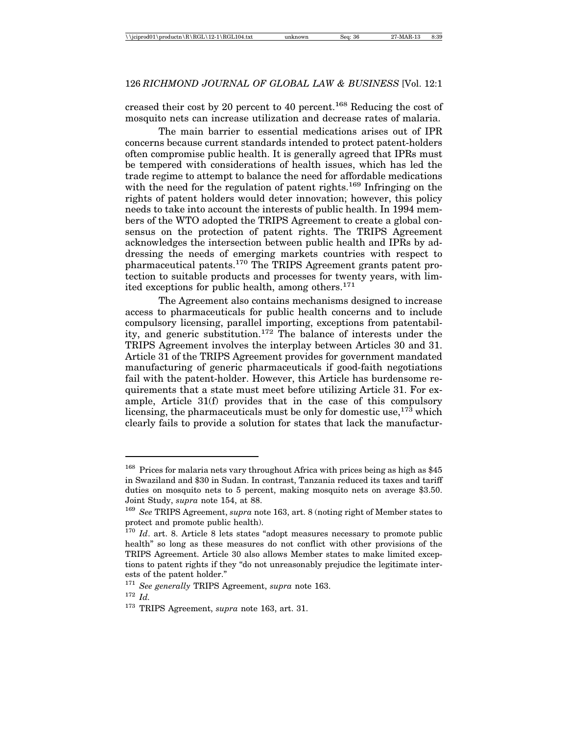creased their cost by 20 percent to 40 percent.168 Reducing the cost of mosquito nets can increase utilization and decrease rates of malaria.

The main barrier to essential medications arises out of IPR concerns because current standards intended to protect patent-holders often compromise public health. It is generally agreed that IPRs must be tempered with considerations of health issues, which has led the trade regime to attempt to balance the need for affordable medications with the need for the regulation of patent rights.<sup>169</sup> Infringing on the rights of patent holders would deter innovation; however, this policy needs to take into account the interests of public health. In 1994 members of the WTO adopted the TRIPS Agreement to create a global consensus on the protection of patent rights. The TRIPS Agreement acknowledges the intersection between public health and IPRs by addressing the needs of emerging markets countries with respect to pharmaceutical patents.170 The TRIPS Agreement grants patent protection to suitable products and processes for twenty years, with limited exceptions for public health, among others.<sup>171</sup>

The Agreement also contains mechanisms designed to increase access to pharmaceuticals for public health concerns and to include compulsory licensing, parallel importing, exceptions from patentability, and generic substitution.172 The balance of interests under the TRIPS Agreement involves the interplay between Articles 30 and 31. Article 31 of the TRIPS Agreement provides for government mandated manufacturing of generic pharmaceuticals if good-faith negotiations fail with the patent-holder. However, this Article has burdensome requirements that a state must meet before utilizing Article 31. For example, Article 31(f) provides that in the case of this compulsory licensing, the pharmaceuticals must be only for domestic use,  $173$  which clearly fails to provide a solution for states that lack the manufactur-

<sup>&</sup>lt;sup>168</sup> Prices for malaria nets vary throughout Africa with prices being as high as \$45 in Swaziland and \$30 in Sudan. In contrast, Tanzania reduced its taxes and tariff duties on mosquito nets to 5 percent, making mosquito nets on average \$3.50. Joint Study, *supra* note 154, at 88.

<sup>169</sup> *See* TRIPS Agreement, *supra* note 163, art. 8 (noting right of Member states to protect and promote public health).

<sup>&</sup>lt;sup>170</sup> *Id.* art. 8. Article 8 lets states "adopt measures necessary to promote public health" so long as these measures do not conflict with other provisions of the TRIPS Agreement. Article 30 also allows Member states to make limited exceptions to patent rights if they "do not unreasonably prejudice the legitimate interests of the patent holder."

<sup>171</sup> *See generally* TRIPS Agreement, *supra* note 163. <sup>172</sup> *Id.*

<sup>173</sup> TRIPS Agreement, *supra* note 163, art. 31.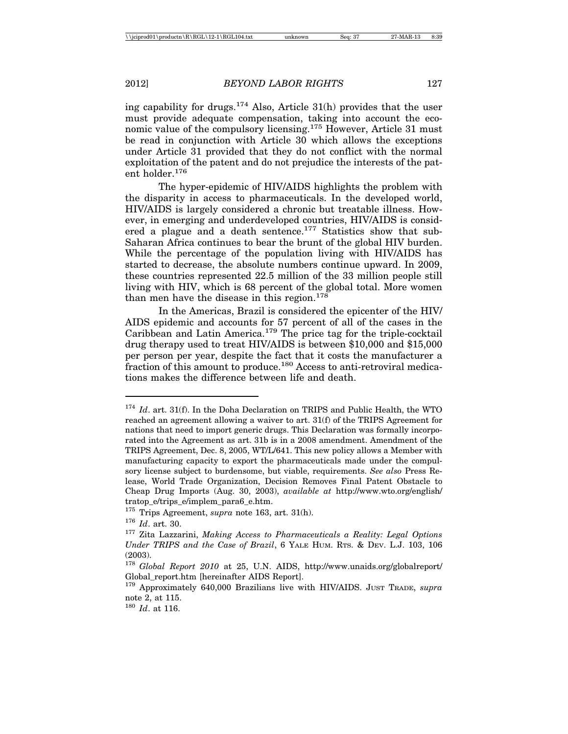ing capability for drugs.<sup>174</sup> Also, Article  $31(h)$  provides that the user must provide adequate compensation, taking into account the economic value of the compulsory licensing.<sup>175</sup> However, Article 31 must be read in conjunction with Article 30 which allows the exceptions under Article 31 provided that they do not conflict with the normal exploitation of the patent and do not prejudice the interests of the patent holder.176

The hyper-epidemic of HIV/AIDS highlights the problem with the disparity in access to pharmaceuticals. In the developed world, HIV/AIDS is largely considered a chronic but treatable illness. However, in emerging and underdeveloped countries, HIV/AIDS is considered a plague and a death sentence.<sup>177</sup> Statistics show that sub-Saharan Africa continues to bear the brunt of the global HIV burden. While the percentage of the population living with HIV/AIDS has started to decrease, the absolute numbers continue upward. In 2009, these countries represented 22.5 million of the 33 million people still living with HIV, which is 68 percent of the global total. More women than men have the disease in this region.<sup>178</sup>

In the Americas, Brazil is considered the epicenter of the HIV/ AIDS epidemic and accounts for 57 percent of all of the cases in the Caribbean and Latin America.<sup>179</sup> The price tag for the triple-cocktail drug therapy used to treat HIV/AIDS is between \$10,000 and \$15,000 per person per year, despite the fact that it costs the manufacturer a fraction of this amount to produce.180 Access to anti-retroviral medications makes the difference between life and death.

<sup>&</sup>lt;sup>174</sup> *Id.* art. 31(f). In the Doha Declaration on TRIPS and Public Health, the WTO reached an agreement allowing a waiver to art. 31(f) of the TRIPS Agreement for nations that need to import generic drugs. This Declaration was formally incorporated into the Agreement as art. 31b is in a 2008 amendment. Amendment of the TRIPS Agreement, Dec. 8, 2005, WT/L/641. This new policy allows a Member with manufacturing capacity to export the pharmaceuticals made under the compulsory license subject to burdensome, but viable, requirements. *See also* Press Release, World Trade Organization, Decision Removes Final Patent Obstacle to Cheap Drug Imports (Aug. 30, 2003), *available at* http://www.wto.org/english/ tratop e/trips e/implem para6 e.htm.

<sup>175</sup> Trips Agreement, *supra* note 163, art. 31(h).

<sup>176</sup> *Id*. art. 30.

<sup>177</sup> Zita Lazzarini, *Making Access to Pharmaceuticals a Reality: Legal Options Under TRIPS and the Case of Brazil*, 6 YALE HUM. RTS. & DEV. L.J. 103, 106 (2003).

<sup>178</sup> *Global Report 2010* at 25, U.N. AIDS, http://www.unaids.org/globalreport/ Global report.htm [hereinafter AIDS Report].

<sup>179</sup> Approximately 640,000 Brazilians live with HIV/AIDS. JUST TRADE, *supra* note 2, at 115.

<sup>180</sup> *Id*. at 116.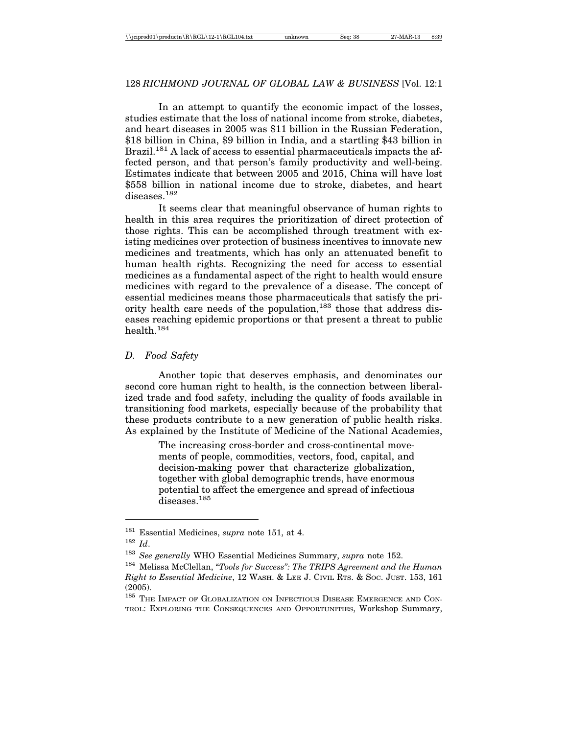In an attempt to quantify the economic impact of the losses, studies estimate that the loss of national income from stroke, diabetes, and heart diseases in 2005 was \$11 billion in the Russian Federation, \$18 billion in China, \$9 billion in India, and a startling \$43 billion in Brazil.<sup>181</sup> A lack of access to essential pharmaceuticals impacts the affected person, and that person's family productivity and well-being. Estimates indicate that between 2005 and 2015, China will have lost \$558 billion in national income due to stroke, diabetes, and heart  $d$ iseases. $182$ 

It seems clear that meaningful observance of human rights to health in this area requires the prioritization of direct protection of those rights. This can be accomplished through treatment with existing medicines over protection of business incentives to innovate new medicines and treatments, which has only an attenuated benefit to human health rights. Recognizing the need for access to essential medicines as a fundamental aspect of the right to health would ensure medicines with regard to the prevalence of a disease. The concept of essential medicines means those pharmaceuticals that satisfy the priority health care needs of the population,  $183$  those that address diseases reaching epidemic proportions or that present a threat to public health  $184$ 

### *D. Food Safety*

Another topic that deserves emphasis, and denominates our second core human right to health, is the connection between liberalized trade and food safety, including the quality of foods available in transitioning food markets, especially because of the probability that these products contribute to a new generation of public health risks. As explained by the Institute of Medicine of the National Academies,

> The increasing cross-border and cross-continental movements of people, commodities, vectors, food, capital, and decision-making power that characterize globalization, together with global demographic trends, have enormous potential to affect the emergence and spread of infectious diseases.<sup>185</sup>

<sup>181</sup> Essential Medicines, *supra* note 151, at 4.

<sup>182</sup> *Id*.

<sup>183</sup> *See generally* WHO Essential Medicines Summary, *supra* note 152.

<sup>184</sup> Melissa McClellan, "*Tools for Success": The TRIPS Agreement and the Human Right to Essential Medicine*, 12 WASH. & LEE J. CIVIL RTS. & SOC. JUST. 153, 161 (2005).

<sup>&</sup>lt;sup>185</sup> THE IMPACT OF GLOBALIZATION ON INFECTIOUS DISEASE EMERGENCE AND CON-TROL: EXPLORING THE CONSEQUENCES AND OPPORTUNITIES, Workshop Summary,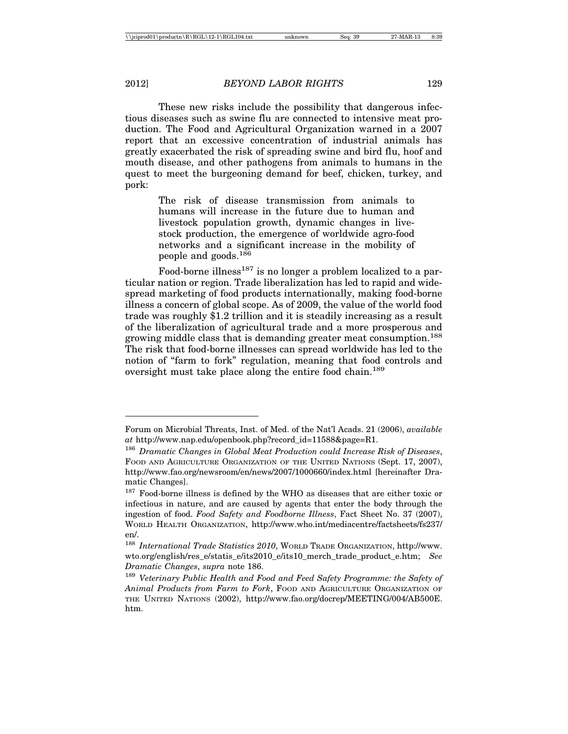These new risks include the possibility that dangerous infectious diseases such as swine flu are connected to intensive meat production. The Food and Agricultural Organization warned in a 2007 report that an excessive concentration of industrial animals has greatly exacerbated the risk of spreading swine and bird flu, hoof and mouth disease, and other pathogens from animals to humans in the quest to meet the burgeoning demand for beef, chicken, turkey, and pork:

> The risk of disease transmission from animals to humans will increase in the future due to human and livestock population growth, dynamic changes in livestock production, the emergence of worldwide agro-food networks and a significant increase in the mobility of people and goods.<sup>186</sup>

Food-borne illness<sup>187</sup> is no longer a problem localized to a particular nation or region. Trade liberalization has led to rapid and widespread marketing of food products internationally, making food-borne illness a concern of global scope. As of 2009, the value of the world food trade was roughly \$1.2 trillion and it is steadily increasing as a result of the liberalization of agricultural trade and a more prosperous and growing middle class that is demanding greater meat consumption.<sup>188</sup> The risk that food-borne illnesses can spread worldwide has led to the notion of "farm to fork" regulation, meaning that food controls and oversight must take place along the entire food chain.<sup>189</sup>

Forum on Microbial Threats, Inst. of Med. of the Nat'l Acads. 21 (2006), *available at* http://www.nap.edu/openbook.php?record\_id=11588&page=R1.

<sup>186</sup> *Dramatic Changes in Global Meat Production could Increase Risk of Diseases*, FOOD AND AGRICULTURE ORGANIZATION OF THE UNITED NATIONS (Sept. 17, 2007), http://www.fao.org/newsroom/en/news/2007/1000660/index.html [hereinafter Dramatic Changes].

<sup>&</sup>lt;sup>187</sup> Food-borne illness is defined by the WHO as diseases that are either toxic or infectious in nature, and are caused by agents that enter the body through the ingestion of food. *Food Safety and Foodborne Illness*, Fact Sheet No. 37 (2007), WORLD HEALTH ORGANIZATION, http://www.who.int/mediacentre/factsheets/fs237/ en/.

<sup>188</sup> *International Trade Statistics 2010*, WORLD TRADE ORGANIZATION, http://www. wto.org/english/res\_e/statis\_e/its2010\_e/its10\_merch\_trade\_product\_e.htm; *See Dramatic Changes*, *supra* note 186.

<sup>189</sup> *Veterinary Public Health and Food and Feed Safety Programme: the Safety of Animal Products from Farm to Fork*, FOOD AND AGRICULTURE ORGANIZATION OF THE UNITED NATIONS (2002), http://www.fao.org/docrep/MEETING/004/AB500E. htm.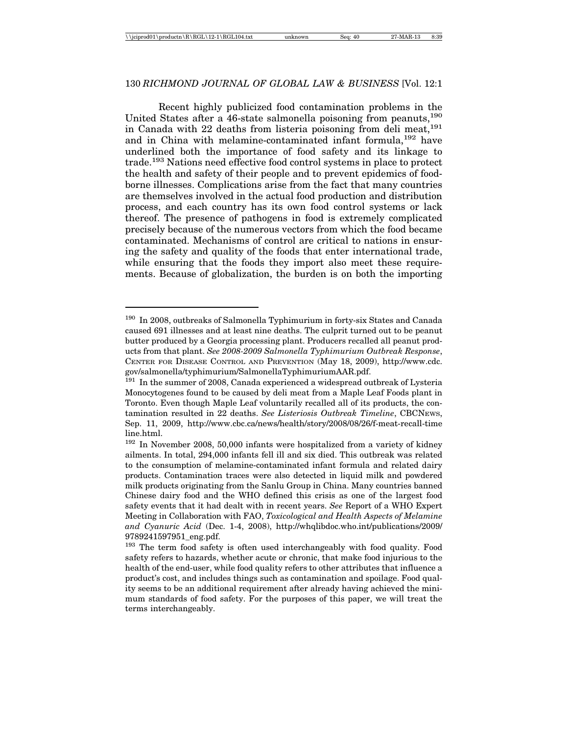Recent highly publicized food contamination problems in the United States after a 46-state salmonella poisoning from peanuts, <sup>190</sup> in Canada with 22 deaths from listeria poisoning from deli meat.<sup>191</sup> and in China with melamine-contaminated infant formula, <sup>192</sup> have underlined both the importance of food safety and its linkage to trade.193 Nations need effective food control systems in place to protect the health and safety of their people and to prevent epidemics of foodborne illnesses. Complications arise from the fact that many countries are themselves involved in the actual food production and distribution process, and each country has its own food control systems or lack thereof. The presence of pathogens in food is extremely complicated precisely because of the numerous vectors from which the food became contaminated. Mechanisms of control are critical to nations in ensuring the safety and quality of the foods that enter international trade, while ensuring that the foods they import also meet these requirements. Because of globalization, the burden is on both the importing

<sup>190</sup> In 2008, outbreaks of Salmonella Typhimurium in forty-six States and Canada caused 691 illnesses and at least nine deaths. The culprit turned out to be peanut butter produced by a Georgia processing plant. Producers recalled all peanut products from that plant. *See 2008-2009 Salmonella Typhimurium Outbreak Response*, CENTER FOR DISEASE CONTROL AND PREVENTION (May 18, 2009), http://www.cdc. gov/salmonella/typhimurium/SalmonellaTyphimuriumAAR.pdf.

 $191$  In the summer of 2008, Canada experienced a widespread outbreak of Lysteria Monocytogenes found to be caused by deli meat from a Maple Leaf Foods plant in Toronto. Even though Maple Leaf voluntarily recalled all of its products, the contamination resulted in 22 deaths. *See Listeriosis Outbreak Timeline*, CBCNEWS, Sep. 11, 2009, http://www.cbc.ca/news/health/story/2008/08/26/f-meat-recall-time line.html.

<sup>192</sup> In November 2008, 50,000 infants were hospitalized from a variety of kidney ailments. In total, 294,000 infants fell ill and six died. This outbreak was related to the consumption of melamine-contaminated infant formula and related dairy products. Contamination traces were also detected in liquid milk and powdered milk products originating from the Sanlu Group in China. Many countries banned Chinese dairy food and the WHO defined this crisis as one of the largest food safety events that it had dealt with in recent years. *See* Report of a WHO Expert Meeting in Collaboration with FAO, *Toxicological and Health Aspects of Melamine and Cyanuric Acid* (Dec. 1-4, 2008), http://whqlibdoc.who.int/publications/2009/ 9789241597951\_eng.pdf.

<sup>&</sup>lt;sup>193</sup> The term food safety is often used interchangeably with food quality. Food safety refers to hazards, whether acute or chronic, that make food injurious to the health of the end-user, while food quality refers to other attributes that influence a product's cost, and includes things such as contamination and spoilage. Food quality seems to be an additional requirement after already having achieved the minimum standards of food safety. For the purposes of this paper, we will treat the terms interchangeably.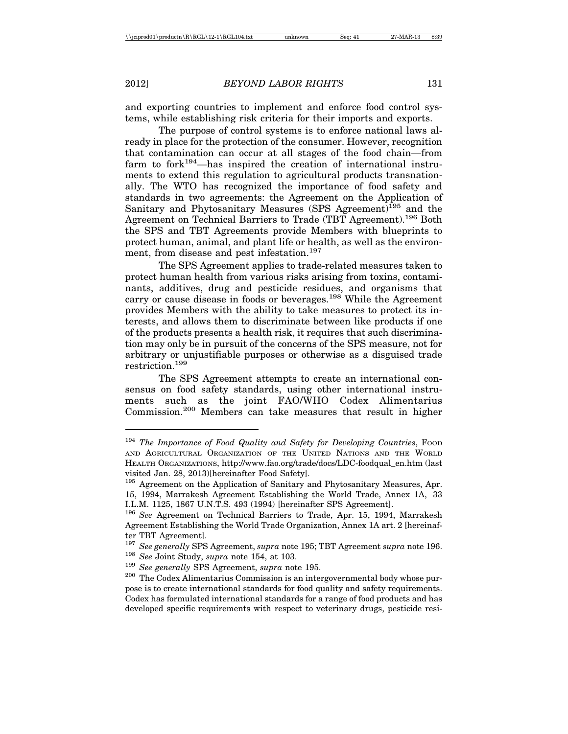and exporting countries to implement and enforce food control systems, while establishing risk criteria for their imports and exports.

The purpose of control systems is to enforce national laws already in place for the protection of the consumer. However, recognition that contamination can occur at all stages of the food chain—from farm to for $k^{194}$ —has inspired the creation of international instruments to extend this regulation to agricultural products transnationally. The WTO has recognized the importance of food safety and standards in two agreements: the Agreement on the Application of Sanitary and Phytosanitary Measures (SPS Agreement)<sup>195</sup> and the Agreement on Technical Barriers to Trade (TBT Agreement).196 Both the SPS and TBT Agreements provide Members with blueprints to protect human, animal, and plant life or health, as well as the environment, from disease and pest infestation.<sup>197</sup>

The SPS Agreement applies to trade-related measures taken to protect human health from various risks arising from toxins, contaminants, additives, drug and pesticide residues, and organisms that carry or cause disease in foods or beverages.<sup>198</sup> While the Agreement provides Members with the ability to take measures to protect its interests, and allows them to discriminate between like products if one of the products presents a health risk, it requires that such discrimination may only be in pursuit of the concerns of the SPS measure, not for arbitrary or unjustifiable purposes or otherwise as a disguised trade restriction.199

The SPS Agreement attempts to create an international consensus on food safety standards, using other international instruments such as the joint FAO/WHO Codex Alimentarius Commission.200 Members can take measures that result in higher

<sup>&</sup>lt;sup>194</sup> The Importance of Food Quality and Safety for Developing Countries, Food AND AGRICULTURAL ORGANIZATION OF THE UNITED NATIONS AND THE WORLD HEALTH ORGANIZATIONS, http://www.fao.org/trade/docs/LDC-foodqual\_en.htm (last visited Jan. 28, 2013)[hereinafter Food Safety].

<sup>&</sup>lt;sup>195</sup> Agreement on the Application of Sanitary and Phytosanitary Measures, Apr. 15, 1994, Marrakesh Agreement Establishing the World Trade, Annex 1A, 33 I.L.M. 1125, 1867 U.N.T.S. 493 (1994) [hereinafter SPS Agreement].

<sup>196</sup> *See* Agreement on Technical Barriers to Trade, Apr. 15, 1994, Marrakesh Agreement Establishing the World Trade Organization, Annex 1A art. 2 [hereinafter TBT Agreement].

<sup>197</sup> *See generally* SPS Agreement, *supra* note 195; TBT Agreement *supra* note 196. <sup>198</sup> *See* Joint Study, *supra* note 154, at 103.

<sup>199</sup> *See generally* SPS Agreement, *supra* note 195.

<sup>200</sup> The Codex Alimentarius Commission is an intergovernmental body whose purpose is to create international standards for food quality and safety requirements. Codex has formulated international standards for a range of food products and has developed specific requirements with respect to veterinary drugs, pesticide resi-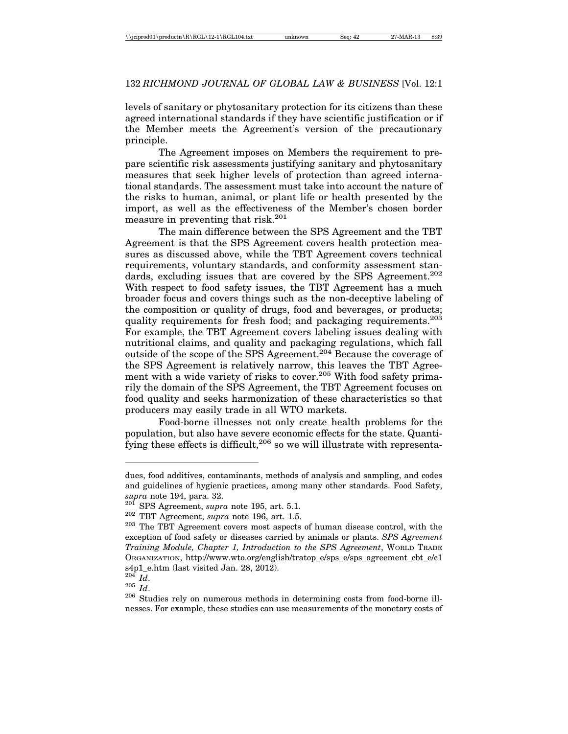levels of sanitary or phytosanitary protection for its citizens than these agreed international standards if they have scientific justification or if the Member meets the Agreement's version of the precautionary principle.

The Agreement imposes on Members the requirement to prepare scientific risk assessments justifying sanitary and phytosanitary measures that seek higher levels of protection than agreed international standards. The assessment must take into account the nature of the risks to human, animal, or plant life or health presented by the import, as well as the effectiveness of the Member's chosen border measure in preventing that risk.201

The main difference between the SPS Agreement and the TBT Agreement is that the SPS Agreement covers health protection measures as discussed above, while the TBT Agreement covers technical requirements, voluntary standards, and conformity assessment standards, excluding issues that are covered by the SPS Agreement.<sup>202</sup> With respect to food safety issues, the TBT Agreement has a much broader focus and covers things such as the non-deceptive labeling of the composition or quality of drugs, food and beverages, or products; quality requirements for fresh food; and packaging requirements.<sup>203</sup> For example, the TBT Agreement covers labeling issues dealing with nutritional claims, and quality and packaging regulations, which fall outside of the scope of the SPS Agreement.204 Because the coverage of the SPS Agreement is relatively narrow, this leaves the TBT Agreement with a wide variety of risks to cover.<sup>205</sup> With food safety primarily the domain of the SPS Agreement, the TBT Agreement focuses on food quality and seeks harmonization of these characteristics so that producers may easily trade in all WTO markets.

Food-borne illnesses not only create health problems for the population, but also have severe economic effects for the state. Quantifying these effects is difficult,<sup>206</sup> so we will illustrate with representa-

dues, food additives, contaminants, methods of analysis and sampling, and codes and guidelines of hygienic practices, among many other standards. Food Safety, *supra* note 194, para. 32.

<sup>201</sup> SPS Agreement, *supra* note 195, art. 5.1.

<sup>202</sup> TBT Agreement, *supra* note 196, art. 1.5.

<sup>&</sup>lt;sup>203</sup> The TBT Agreement covers most aspects of human disease control, with the exception of food safety or diseases carried by animals or plants. *SPS Agreement Training Module, Chapter 1, Introduction to the SPS Agreement*, WORLD TRADE ORGANIZATION, http://www.wto.org/english/tratop\_e/sps\_e/sps\_agreement\_cbt\_e/c1 s4p1\_e.htm (last visited Jan. 28, 2012).

 $^{204}$  *Id.* 

<sup>205</sup> *Id*.

<sup>206</sup> Studies rely on numerous methods in determining costs from food-borne illnesses. For example, these studies can use measurements of the monetary costs of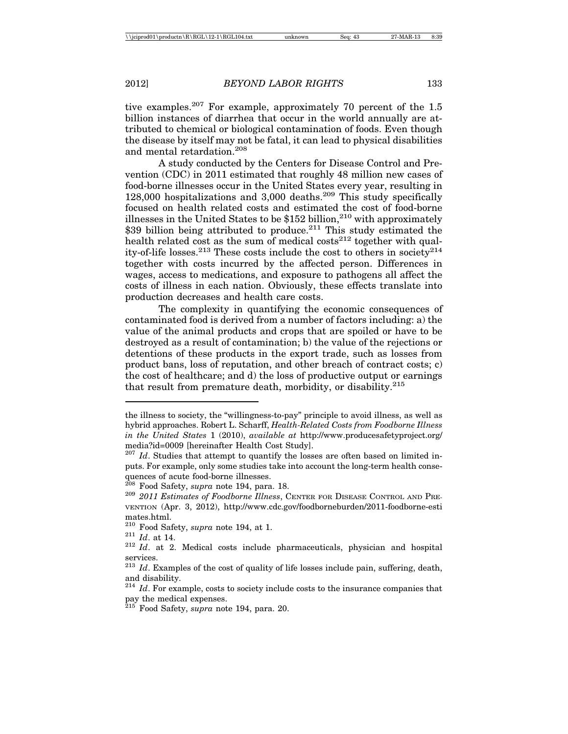tive examples.<sup>207</sup> For example, approximately 70 percent of the  $1.5$ billion instances of diarrhea that occur in the world annually are attributed to chemical or biological contamination of foods. Even though the disease by itself may not be fatal, it can lead to physical disabilities and mental retardation.208

A study conducted by the Centers for Disease Control and Prevention (CDC) in 2011 estimated that roughly 48 million new cases of food-borne illnesses occur in the United States every year, resulting in 128,000 hospitalizations and 3,000 deaths.<sup>209</sup> This study specifically focused on health related costs and estimated the cost of food-borne illnesses in the United States to be  $$152$  billion,<sup>210</sup> with approximately \$39 billion being attributed to produce.<sup>211</sup> This study estimated the health related cost as the sum of medical costs<sup>212</sup> together with quality-of-life losses.<sup>213</sup> These costs include the cost to others in society<sup>214</sup> together with costs incurred by the affected person. Differences in wages, access to medications, and exposure to pathogens all affect the costs of illness in each nation. Obviously, these effects translate into production decreases and health care costs.

The complexity in quantifying the economic consequences of contaminated food is derived from a number of factors including: a) the value of the animal products and crops that are spoiled or have to be destroyed as a result of contamination; b) the value of the rejections or detentions of these products in the export trade, such as losses from product bans, loss of reputation, and other breach of contract costs; c) the cost of healthcare; and d) the loss of productive output or earnings that result from premature death, morbidity, or disability. $2^{15}$ 

the illness to society, the "willingness-to-pay" principle to avoid illness, as well as hybrid approaches. Robert L. Scharff, *Health-Related Costs from Foodborne Illness in the United States* 1 (2010), *available at* http://www.producesafetyproject.org/ media?id=0009 [hereinafter Health Cost Study].

<sup>207</sup> *Id*. Studies that attempt to quantify the losses are often based on limited inputs. For example, only some studies take into account the long-term health consequences of acute food-borne illnesses.<br> $^{208}$  Food Safety, *supra* note 194, para. 18.

<sup>&</sup>lt;sup>209</sup> 2011 Estimates of Foodborne Illness, CENTER FOR DISEASE CONTROL AND PRE-VENTION (Apr. 3, 2012), http://www.cdc.gov/foodborneburden/2011-foodborne-esti mates.html.<br><sup>210</sup> Food Safety, *supra* note 194, at 1.

<sup>&</sup>lt;sup>211</sup> *Id.* at 14.  $\frac{212 \text{ } Id. \text{at } 14.}$  212 *Id.* at 2. Medical costs include pharmaceuticals, physician and hospital services.

<sup>&</sup>lt;sup>213</sup> *Id*. Examples of the cost of quality of life losses include pain, suffering, death, and disability.

<sup>214</sup> *Id*. For example, costs to society include costs to the insurance companies that pay the medical expenses.

<sup>215</sup> Food Safety, *supra* note 194, para. 20.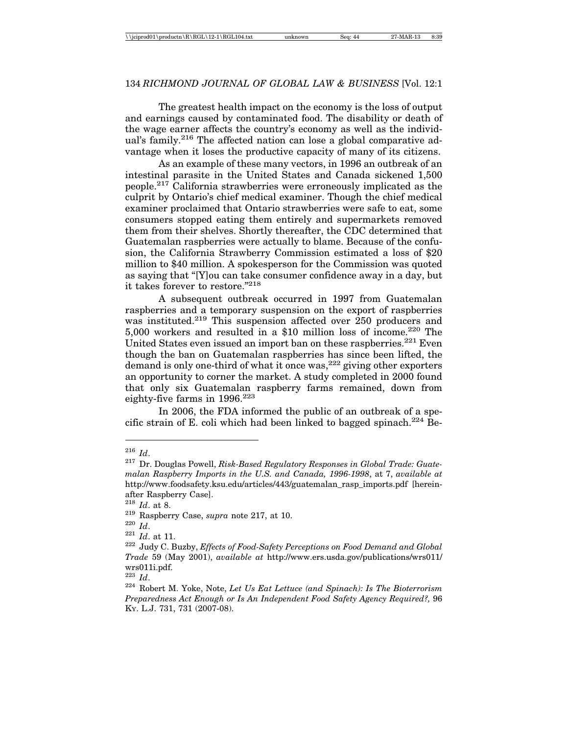The greatest health impact on the economy is the loss of output and earnings caused by contaminated food. The disability or death of the wage earner affects the country's economy as well as the individual's family.<sup>216</sup> The affected nation can lose a global comparative advantage when it loses the productive capacity of many of its citizens.

As an example of these many vectors, in 1996 an outbreak of an intestinal parasite in the United States and Canada sickened 1,500 people.217 California strawberries were erroneously implicated as the culprit by Ontario's chief medical examiner. Though the chief medical examiner proclaimed that Ontario strawberries were safe to eat, some consumers stopped eating them entirely and supermarkets removed them from their shelves. Shortly thereafter, the CDC determined that Guatemalan raspberries were actually to blame. Because of the confusion, the California Strawberry Commission estimated a loss of \$20 million to \$40 million. A spokesperson for the Commission was quoted as saying that "[Y]ou can take consumer confidence away in a day, but it takes forever to restore."218

A subsequent outbreak occurred in 1997 from Guatemalan raspberries and a temporary suspension on the export of raspberries was instituted.<sup>219</sup> This suspension affected over 250 producers and 5,000 workers and resulted in a \$10 million loss of income.<sup>220</sup> The United States even issued an import ban on these raspberries.<sup>221</sup> Even though the ban on Guatemalan raspberries has since been lifted, the demand is only one-third of what it once was,  $222$  giving other exporters an opportunity to corner the market. A study completed in 2000 found that only six Guatemalan raspberry farms remained, down from eighty-five farms in  $1996.<sup>223</sup>$ 

In 2006, the FDA informed the public of an outbreak of a specific strain of E. coli which had been linked to bagged spinach.<sup>224</sup> Be-

<sup>216</sup> *Id*.

<sup>217</sup> Dr. Douglas Powell, *Risk-Based Regulatory Responses in Global Trade: Guatemalan Raspberry Imports in the U.S. and Canada, 1996-1998*, at 7, *available at* http://www.foodsafety.ksu.edu/articles/443/guatemalan\_rasp\_imports.pdf [hereinafter Raspberry Case].

<sup>218</sup> *Id*. at 8.

<sup>219</sup> Raspberry Case, *supra* note 217, at 10.

<sup>220</sup> *Id*.

<sup>221</sup> *Id*. at 11.

<sup>222</sup> Judy C. Buzby, *Effects of Food-Safety Perceptions on Food Demand and Global Trade* 59 (May 2001), *available at* http://www.ers.usda.gov/publications/wrs011/ wrs011i.pdf.

<sup>223</sup> *Id*.

<sup>224</sup> Robert M. Yoke, Note, *Let Us Eat Lettuce (and Spinach): Is The Bioterrorism Preparedness Act Enough or Is An Independent Food Safety Agency Required?,* 96 KY. L.J. 731, 731 (2007-08).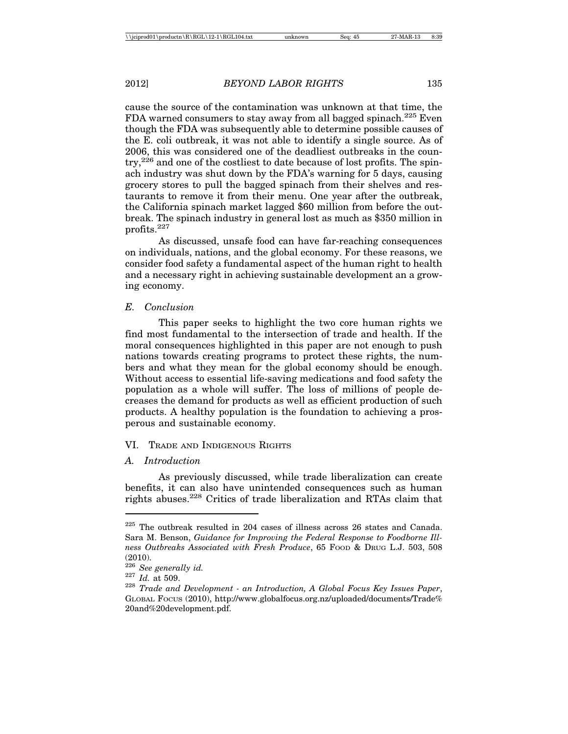cause the source of the contamination was unknown at that time, the FDA warned consumers to stay away from all bagged spinach.<sup>225</sup> Even though the FDA was subsequently able to determine possible causes of the E. coli outbreak, it was not able to identify a single source. As of 2006, this was considered one of the deadliest outbreaks in the coun- $\text{try.}^{226}$  and one of the costliest to date because of lost profits. The spinach industry was shut down by the FDA's warning for 5 days, causing grocery stores to pull the bagged spinach from their shelves and restaurants to remove it from their menu. One year after the outbreak, the California spinach market lagged \$60 million from before the outbreak. The spinach industry in general lost as much as \$350 million in profits.227

As discussed, unsafe food can have far-reaching consequences on individuals, nations, and the global economy. For these reasons, we consider food safety a fundamental aspect of the human right to health and a necessary right in achieving sustainable development an a growing economy.

### *E. Conclusion*

This paper seeks to highlight the two core human rights we find most fundamental to the intersection of trade and health. If the moral consequences highlighted in this paper are not enough to push nations towards creating programs to protect these rights, the numbers and what they mean for the global economy should be enough. Without access to essential life-saving medications and food safety the population as a whole will suffer. The loss of millions of people decreases the demand for products as well as efficient production of such products. A healthy population is the foundation to achieving a prosperous and sustainable economy.

# VI. TRADE AND INDIGENOUS RIGHTS

## *A. Introduction*

As previously discussed, while trade liberalization can create benefits, it can also have unintended consequences such as human rights abuses.<sup>228</sup> Critics of trade liberalization and RTAs claim that

<sup>225</sup> The outbreak resulted in 204 cases of illness across 26 states and Canada. Sara M. Benson, *Guidance for Improving the Federal Response to Foodborne Illness Outbreaks Associated with Fresh Produce*, 65 FOOD & DRUG L.J. 503, 508 (2010).<br><sup>226</sup> See generally id.

<sup>&</sup>lt;sup>227</sup> *Id.* at 509. <sup>227</sup> *Id.* at 509. <sup>228</sup> *Trade and Development - an Introduction, A Global Focus Key Issues Paper*, GLOBAL FOCUS (2010), http://www.globalfocus.org.nz/uploaded/documents/Trade% 20and%20development.pdf.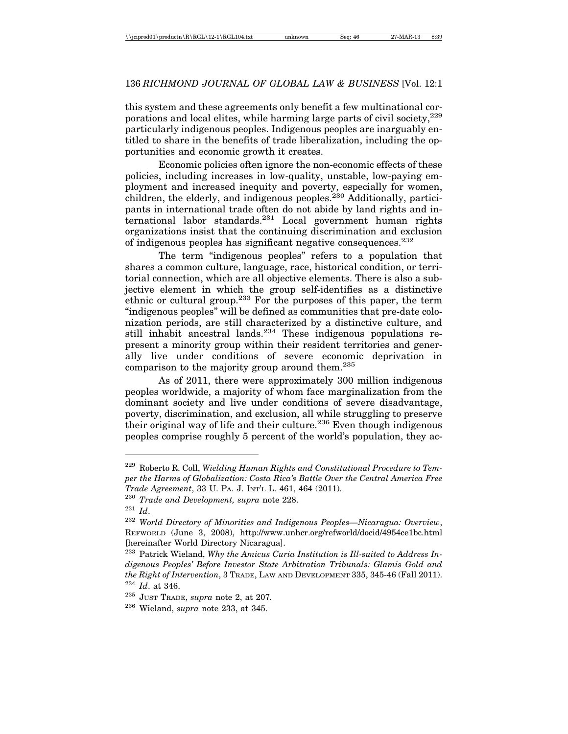this system and these agreements only benefit a few multinational corporations and local elites, while harming large parts of civil society,  $229$ particularly indigenous peoples. Indigenous peoples are inarguably entitled to share in the benefits of trade liberalization, including the opportunities and economic growth it creates.

Economic policies often ignore the non-economic effects of these policies, including increases in low-quality, unstable, low-paying employment and increased inequity and poverty, especially for women,  $\alpha$ children, the elderly, and indigenous peoples.<sup>230</sup> Additionally, participants in international trade often do not abide by land rights and international labor standards.<sup>231</sup> Local government human rights organizations insist that the continuing discrimination and exclusion of indigenous peoples has significant negative consequences.<sup>232</sup>

The term "indigenous peoples" refers to a population that shares a common culture, language, race, historical condition, or territorial connection, which are all objective elements. There is also a subjective element in which the group self-identifies as a distinctive ethnic or cultural group.<sup>233</sup> For the purposes of this paper, the term "indigenous peoples" will be defined as communities that pre-date colonization periods, are still characterized by a distinctive culture, and still inhabit ancestral lands.<sup>234</sup> These indigenous populations represent a minority group within their resident territories and generally live under conditions of severe economic deprivation in comparison to the majority group around them.235

As of 2011, there were approximately 300 million indigenous peoples worldwide, a majority of whom face marginalization from the dominant society and live under conditions of severe disadvantage, poverty, discrimination, and exclusion, all while struggling to preserve their original way of life and their culture.<sup>236</sup> Even though indigenous peoples comprise roughly 5 percent of the world's population, they ac-

<sup>229</sup> Roberto R. Coll, *Wielding Human Rights and Constitutional Procedure to Temper the Harms of Globalization: Costa Rica's Battle Over the Central America Free Trade Agreement*, 33 U. PA. J. INT'L L. 461, 464 (2011).

<sup>230</sup> *Trade and Development, supra* note 228.

<sup>231</sup> *Id*.

<sup>232</sup> *World Directory of Minorities and Indigenous Peoples—Nicaragua: Overview*, REFWORLD (June 3, 2008), http://www.unhcr.org/refworld/docid/4954ce1bc.html [hereinafter World Directory Nicaragua].

<sup>233</sup> Patrick Wieland, *Why the Amicus Curia Institution is Ill-suited to Address Indigenous Peoples' Before Investor State Arbitration Tribunals: Glamis Gold and the Right of Intervention*, 3 TRADE, LAW AND DEVELOPMENT 335, 345-46 (Fall 2011). <sup>234</sup> *Id*. at 346.

<sup>235</sup> JUST TRADE, *supra* note 2, at 207*.*

<sup>236</sup> Wieland, *supra* note 233, at 345.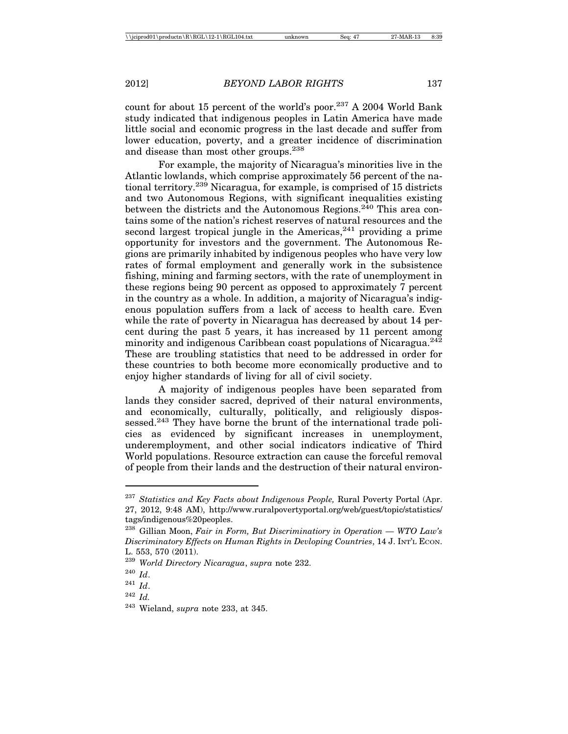count for about 15 percent of the world's poor.<sup>237</sup> A 2004 World Bank study indicated that indigenous peoples in Latin America have made little social and economic progress in the last decade and suffer from lower education, poverty, and a greater incidence of discrimination and disease than most other groups.<sup>238</sup>

For example, the majority of Nicaragua's minorities live in the Atlantic lowlands, which comprise approximately 56 percent of the national territory.239 Nicaragua, for example, is comprised of 15 districts and two Autonomous Regions, with significant inequalities existing between the districts and the Autonomous Regions.<sup>240</sup> This area contains some of the nation's richest reserves of natural resources and the second largest tropical jungle in the Americas,  $241$  providing a prime opportunity for investors and the government. The Autonomous Regions are primarily inhabited by indigenous peoples who have very low rates of formal employment and generally work in the subsistence fishing, mining and farming sectors, with the rate of unemployment in these regions being 90 percent as opposed to approximately 7 percent in the country as a whole. In addition, a majority of Nicaragua's indigenous population suffers from a lack of access to health care. Even while the rate of poverty in Nicaragua has decreased by about 14 percent during the past 5 years, it has increased by 11 percent among minority and indigenous Caribbean coast populations of Nicaragua.<sup>242</sup> These are troubling statistics that need to be addressed in order for these countries to both become more economically productive and to enjoy higher standards of living for all of civil society.

A majority of indigenous peoples have been separated from lands they consider sacred, deprived of their natural environments, and economically, culturally, politically, and religiously dispossessed.<sup>243</sup> They have borne the brunt of the international trade policies as evidenced by significant increases in unemployment, underemployment, and other social indicators indicative of Third World populations. Resource extraction can cause the forceful removal of people from their lands and the destruction of their natural environ-

<sup>237</sup> *Statistics and Key Facts about Indigenous People,* Rural Poverty Portal (Apr. 27, 2012, 9:48 AM), http://www.ruralpovertyportal.org/web/guest/topic/statistics/ tags/indigenous%20peoples.

<sup>238</sup> Gillian Moon, *Fair in Form, But Discriminatiory in Operation — WTO Law's Discriminatory Effects on Human Rights in Devloping Countries*, 14 J. INT'L ECON. L. 553, 570 (2011).

<sup>239</sup> *World Directory Nicaragua*, *supra* note 232.

<sup>240</sup> *Id*.

<sup>241</sup> *Id*.

<sup>242</sup> *Id.*

<sup>243</sup> Wieland, *supra* note 233, at 345.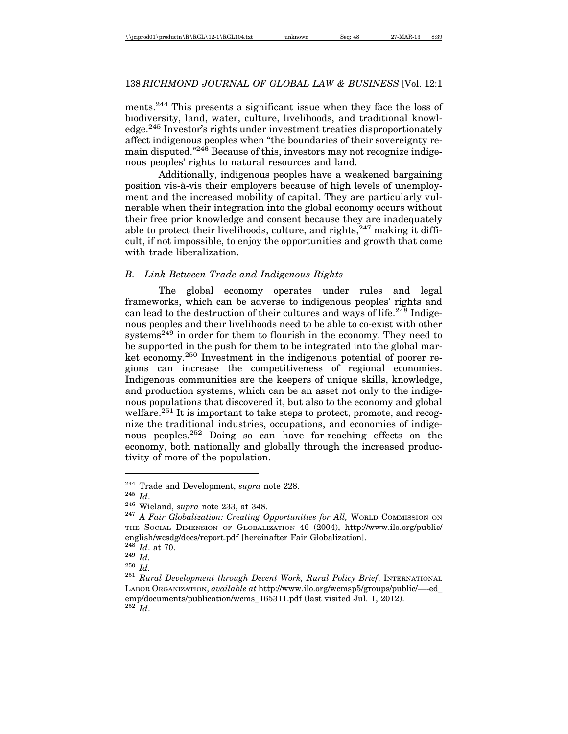ments.<sup>244</sup> This presents a significant issue when they face the loss of biodiversity, land, water, culture, livelihoods, and traditional knowledge.245 Investor's rights under investment treaties disproportionately affect indigenous peoples when "the boundaries of their sovereignty remain disputed."<sup>246</sup> Because of this, investors may not recognize indigenous peoples' rights to natural resources and land.

Additionally, indigenous peoples have a weakened bargaining position vis-à-vis their employers because of high levels of unemployment and the increased mobility of capital. They are particularly vulnerable when their integration into the global economy occurs without their free prior knowledge and consent because they are inadequately able to protect their livelihoods, culture, and rights,  $247$  making it difficult, if not impossible, to enjoy the opportunities and growth that come with trade liberalization.

### *B. Link Between Trade and Indigenous Rights*

The global economy operates under rules and legal frameworks, which can be adverse to indigenous peoples' rights and can lead to the destruction of their cultures and ways of life.<sup>248</sup> Indigenous peoples and their livelihoods need to be able to co-exist with other systems<sup>249</sup> in order for them to flourish in the economy. They need to be supported in the push for them to be integrated into the global market economy.<sup>250</sup> Investment in the indigenous potential of poorer regions can increase the competitiveness of regional economies. Indigenous communities are the keepers of unique skills, knowledge, and production systems, which can be an asset not only to the indigenous populations that discovered it, but also to the economy and global welfare.<sup>251</sup> It is important to take steps to protect, promote, and recognize the traditional industries, occupations, and economies of indigenous peoples.252 Doing so can have far-reaching effects on the economy, both nationally and globally through the increased productivity of more of the population.

<sup>&</sup>lt;sup>244</sup> Trade and Development, *supra* note 228.<br><sup>245</sup> *Id*. <sup>246</sup> Wieland, *supra* note 233, at 348.<br><sup>247</sup> *A Fair Globalization: Creating Opportunities for All,* WORLD COMMISSION ON THE SOCIAL DIMENSION OF GLOBALIZATION 46 (2004), http://www.ilo.org/public/ english/wcsdg/docs/report.pdf [hereinafter Fair Globalization].  $^{248}$   $Id.$  at 70.  $^{249}$   $Id.$ 

<sup>&</sup>lt;sup>250</sup> *Id. Id.* 251 *Id.* 251 *Rural Development through Decent Work, Rural Policy Brief*, INTERNATIONAL LABOR ORGANIZATION, *available at* http://www.ilo.org/wcmsp5/groups/public/—-ed\_ emp/documents/publication/wcms\_165311.pdf (last visited Jul. 1, 2012).  $^{252}$ *Id.*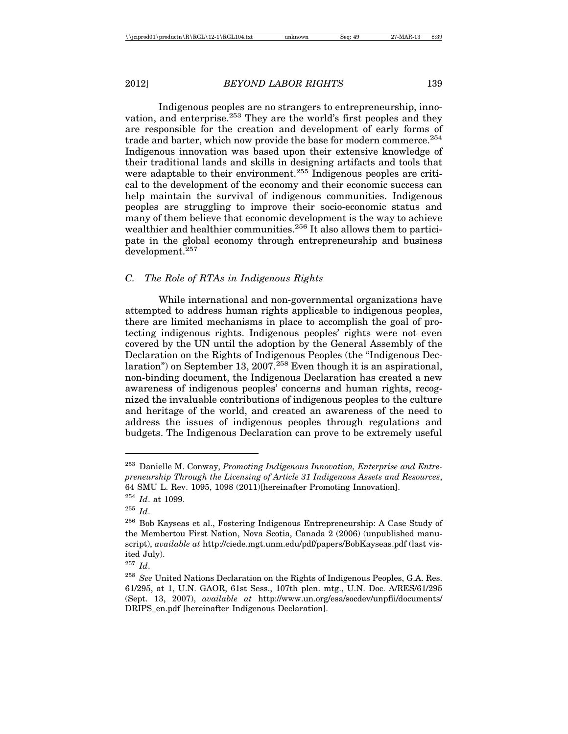Indigenous peoples are no strangers to entrepreneurship, innovation, and enterprise.<sup>253</sup> They are the world's first peoples and they are responsible for the creation and development of early forms of trade and barter, which now provide the base for modern commerce.<sup>254</sup> Indigenous innovation was based upon their extensive knowledge of their traditional lands and skills in designing artifacts and tools that were adaptable to their environment.<sup>255</sup> Indigenous peoples are critical to the development of the economy and their economic success can help maintain the survival of indigenous communities. Indigenous peoples are struggling to improve their socio-economic status and many of them believe that economic development is the way to achieve wealthier and healthier communities.<sup>256</sup> It also allows them to participate in the global economy through entrepreneurship and business development.257

### *C. The Role of RTAs in Indigenous Rights*

While international and non-governmental organizations have attempted to address human rights applicable to indigenous peoples, there are limited mechanisms in place to accomplish the goal of protecting indigenous rights. Indigenous peoples' rights were not even covered by the UN until the adoption by the General Assembly of the Declaration on the Rights of Indigenous Peoples (the "Indigenous Declaration") on September 13, 2007.<sup>258</sup> Even though it is an aspirational, non-binding document, the Indigenous Declaration has created a new awareness of indigenous peoples' concerns and human rights, recognized the invaluable contributions of indigenous peoples to the culture and heritage of the world, and created an awareness of the need to address the issues of indigenous peoples through regulations and budgets. The Indigenous Declaration can prove to be extremely useful

<sup>253</sup> Danielle M. Conway, *Promoting Indigenous Innovation, Enterprise and Entrepreneurship Through the Licensing of Article 31 Indigenous Assets and Resources*, 64 SMU L. Rev. 1095, 1098 (2011)[hereinafter Promoting Innovation].

<sup>254</sup> *Id*. at 1099.

<sup>255</sup> *Id*.

<sup>256</sup> Bob Kayseas et al., Fostering Indigenous Entrepreneurship: A Case Study of the Membertou First Nation, Nova Scotia, Canada 2 (2006) (unpublished manuscript), *available at* http://ciede.mgt.unm.edu/pdf/papers/BobKayseas.pdf (last visited July).

<sup>257</sup> *Id*.

<sup>258</sup> *See* United Nations Declaration on the Rights of Indigenous Peoples, G.A. Res. 61/295, at 1, U.N. GAOR, 61st Sess., 107th plen. mtg., U.N. Doc. A/RES/61/295 (Sept. 13, 2007), *available at* http://www.un.org/esa/socdev/unpfii/documents/ DRIPS\_en.pdf [hereinafter Indigenous Declaration].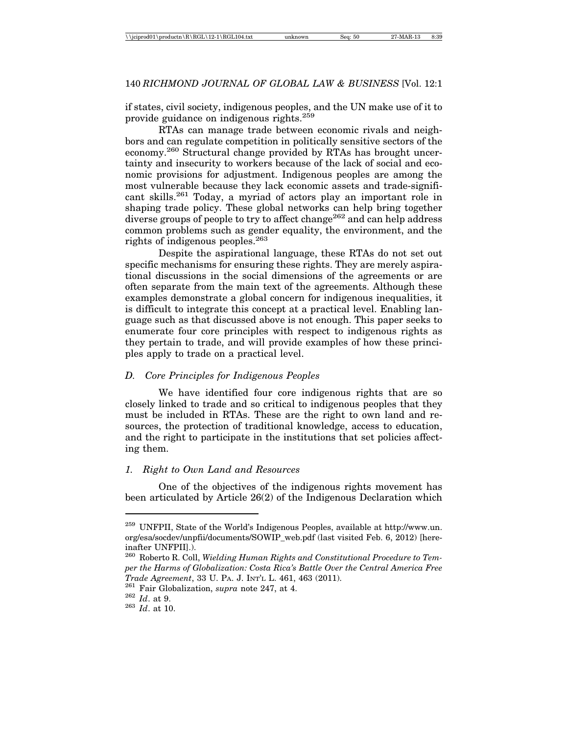if states, civil society, indigenous peoples, and the UN make use of it to provide guidance on indigenous rights.259

RTAs can manage trade between economic rivals and neighbors and can regulate competition in politically sensitive sectors of the economy.260 Structural change provided by RTAs has brought uncertainty and insecurity to workers because of the lack of social and economic provisions for adjustment. Indigenous peoples are among the most vulnerable because they lack economic assets and trade-significant skills.261 Today, a myriad of actors play an important role in shaping trade policy. These global networks can help bring together diverse groups of people to try to affect change<sup>262</sup> and can help address common problems such as gender equality, the environment, and the rights of indigenous peoples.<sup>263</sup>

Despite the aspirational language, these RTAs do not set out specific mechanisms for ensuring these rights. They are merely aspirational discussions in the social dimensions of the agreements or are often separate from the main text of the agreements. Although these examples demonstrate a global concern for indigenous inequalities, it is difficult to integrate this concept at a practical level. Enabling language such as that discussed above is not enough. This paper seeks to enumerate four core principles with respect to indigenous rights as they pertain to trade, and will provide examples of how these principles apply to trade on a practical level.

### *D. Core Principles for Indigenous Peoples*

We have identified four core indigenous rights that are so closely linked to trade and so critical to indigenous peoples that they must be included in RTAs. These are the right to own land and resources, the protection of traditional knowledge, access to education, and the right to participate in the institutions that set policies affecting them.

### *1. Right to Own Land and Resources*

One of the objectives of the indigenous rights movement has been articulated by Article 26(2) of the Indigenous Declaration which

 $^{259}$  UNFPII, State of the World's Indigenous Peoples, available at http://www.un. org/esa/socdev/unpfii/documents/SOWIP\_web.pdf (last visited Feb. 6, 2012) [hereinafter UNFPII].).

<sup>260</sup> Roberto R. Coll, *Wielding Human Rights and Constitutional Procedure to Temper the Harms of Globalization: Costa Rica's Battle Over the Central America Free Trade Agreement*, 33 U. PA. J. INT'L L. 461, 463 (2011).<br><sup>261</sup> Fair Globalization, *supra* note 247, at 4.<br><sup>262</sup> *Id*. at 9.<br><sup>263</sup> *Id*. at 10.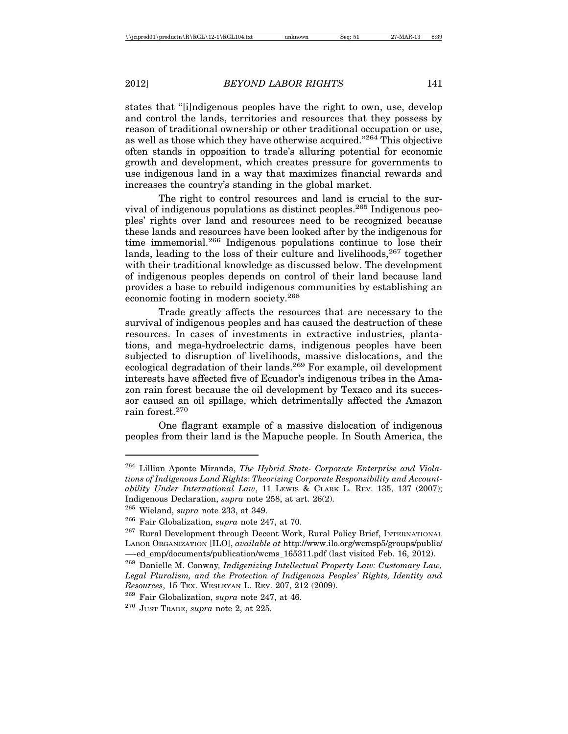states that "[i]ndigenous peoples have the right to own, use, develop and control the lands, territories and resources that they possess by reason of traditional ownership or other traditional occupation or use, as well as those which they have otherwise acquired."264 This objective often stands in opposition to trade's alluring potential for economic growth and development, which creates pressure for governments to use indigenous land in a way that maximizes financial rewards and increases the country's standing in the global market.

The right to control resources and land is crucial to the survival of indigenous populations as distinct peoples.265 Indigenous peoples' rights over land and resources need to be recognized because these lands and resources have been looked after by the indigenous for time immemorial.<sup>266</sup> Indigenous populations continue to lose their lands, leading to the loss of their culture and livelihoods,  $267$  together with their traditional knowledge as discussed below. The development of indigenous peoples depends on control of their land because land provides a base to rebuild indigenous communities by establishing an economic footing in modern society.268

Trade greatly affects the resources that are necessary to the survival of indigenous peoples and has caused the destruction of these resources. In cases of investments in extractive industries, plantations, and mega-hydroelectric dams, indigenous peoples have been subjected to disruption of livelihoods, massive dislocations, and the ecological degradation of their lands.<sup>269</sup> For example, oil development interests have affected five of Ecuador's indigenous tribes in the Amazon rain forest because the oil development by Texaco and its successor caused an oil spillage, which detrimentally affected the Amazon rain forest.270

One flagrant example of a massive dislocation of indigenous peoples from their land is the Mapuche people. In South America, the

<sup>264</sup> Lillian Aponte Miranda, *The Hybrid State- Corporate Enterprise and Violations of Indigenous Land Rights: Theorizing Corporate Responsibility and Accountability Under International Law*, 11 LEWIS & CLARK L. REV. 135, 137 (2007); Indigenous Declaration, *supra* note 258, at art. 26(2).

<sup>265</sup> Wieland, *supra* note 233, at 349.

<sup>266</sup> Fair Globalization, *supra* note 247, at 70.

 $^{267}$  Rural Development through Decent Work, Rural Policy Brief, INTERNATIONAL LABOR ORGANIZATION [ILO], *available at* http://www.ilo.org/wcmsp5/groups/public/ —-ed\_emp/documents/publication/wcms\_165311.pdf (last visited Feb. 16, 2012).

<sup>268</sup> Danielle M. Conway*, Indigenizing Intellectual Property Law: Customary Law, Legal Pluralism, and the Protection of Indigenous Peoples' Rights, Identity and Resources*, 15 TEX. WESLEYAN L. REV. 207, 212 (2009).

<sup>269</sup> Fair Globalization, *supra* note 247, at 46.

<sup>270</sup> JUST TRADE, *supra* note 2, at 225*.*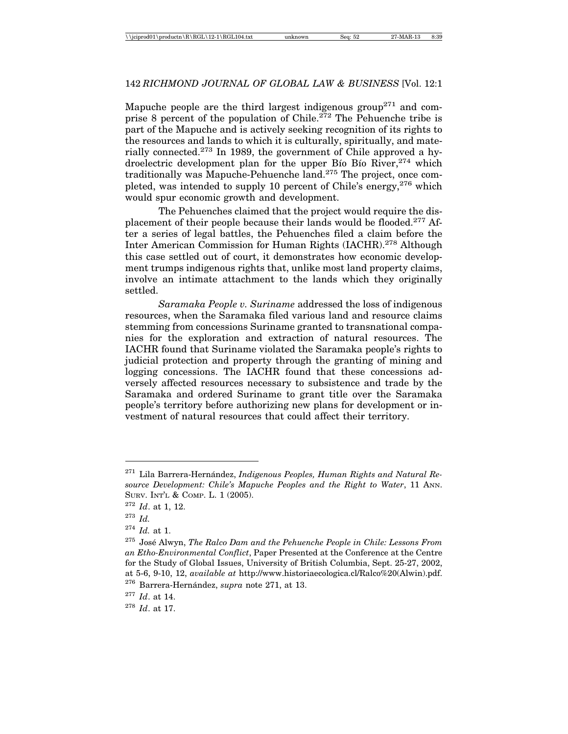Mapuche people are the third largest indigenous group<sup>271</sup> and comprise 8 percent of the population of Chile.<sup>272</sup> The Pehuenche tribe is part of the Mapuche and is actively seeking recognition of its rights to the resources and lands to which it is culturally, spiritually, and materially connected.<sup>273</sup> In 1989, the government of Chile approved a hydroelectric development plan for the upper Bio Bio River,  $274$  which traditionally was Mapuche-Pehuenche land.275 The project, once completed, was intended to supply 10 percent of Chile's energy,  $276$  which would spur economic growth and development.

The Pehuenches claimed that the project would require the displacement of their people because their lands would be flooded.277 After a series of legal battles, the Pehuenches filed a claim before the Inter American Commission for Human Rights (IACHR).278 Although this case settled out of court, it demonstrates how economic development trumps indigenous rights that, unlike most land property claims, involve an intimate attachment to the lands which they originally settled.

*Saramaka People v. Suriname* addressed the loss of indigenous resources, when the Saramaka filed various land and resource claims stemming from concessions Suriname granted to transnational companies for the exploration and extraction of natural resources. The IACHR found that Suriname violated the Saramaka people's rights to judicial protection and property through the granting of mining and logging concessions. The IACHR found that these concessions adversely affected resources necessary to subsistence and trade by the Saramaka and ordered Suriname to grant title over the Saramaka people's territory before authorizing new plans for development or investment of natural resources that could affect their territory.

<sup>&</sup>lt;sup>271</sup> Lila Barrera-Hernández, *Indigenous Peoples, Human Rights and Natural Resource Development: Chile's Mapuche Peoples and the Right to Water*, 11 ANN. SURV. INT'L & COMP. L. 1 (2005).

<sup>272</sup> *Id*. at 1, 12.

<sup>273</sup> *Id.*

<sup>274</sup> *Id.* at 1.

<sup>&</sup>lt;sup>275</sup> José Alwyn, *The Ralco Dam and the Pehuenche People in Chile: Lessons From an Etho-Environmental Conflict*, Paper Presented at the Conference at the Centre for the Study of Global Issues, University of British Columbia, Sept. 25-27, 2002, at 5-6, 9-10, 12, *available at* http://www.historiaecologica.cl/Ralco%20(Alwin).pdf. <sup>276</sup> Barrera-Hernández, *supra* note 271, at 13.

<sup>277</sup> *Id*. at 14.

<sup>278</sup> *Id*. at 17.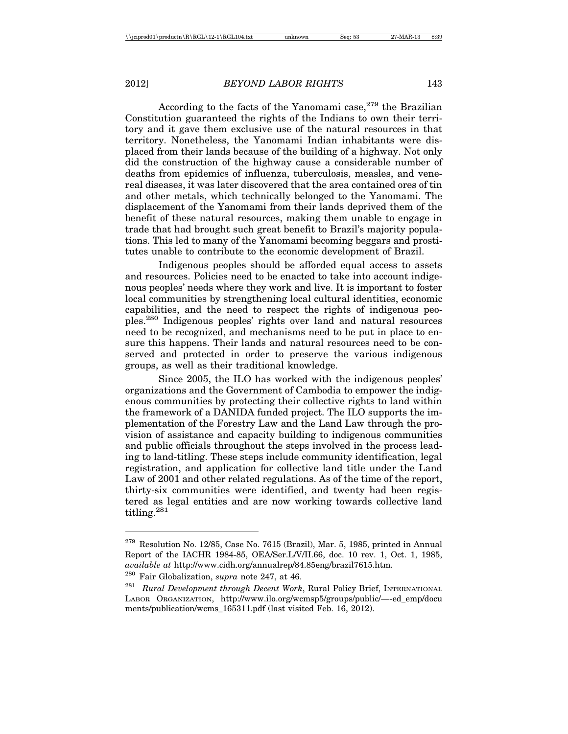According to the facts of the Yanomami case,  $279$  the Brazilian Constitution guaranteed the rights of the Indians to own their territory and it gave them exclusive use of the natural resources in that territory. Nonetheless, the Yanomami Indian inhabitants were displaced from their lands because of the building of a highway. Not only did the construction of the highway cause a considerable number of deaths from epidemics of influenza, tuberculosis, measles, and venereal diseases, it was later discovered that the area contained ores of tin and other metals, which technically belonged to the Yanomami. The displacement of the Yanomami from their lands deprived them of the benefit of these natural resources, making them unable to engage in trade that had brought such great benefit to Brazil's majority populations. This led to many of the Yanomami becoming beggars and prostitutes unable to contribute to the economic development of Brazil.

Indigenous peoples should be afforded equal access to assets and resources. Policies need to be enacted to take into account indigenous peoples' needs where they work and live. It is important to foster local communities by strengthening local cultural identities, economic capabilities, and the need to respect the rights of indigenous peoples.280 Indigenous peoples' rights over land and natural resources need to be recognized, and mechanisms need to be put in place to ensure this happens. Their lands and natural resources need to be conserved and protected in order to preserve the various indigenous groups, as well as their traditional knowledge.

Since 2005, the ILO has worked with the indigenous peoples' organizations and the Government of Cambodia to empower the indigenous communities by protecting their collective rights to land within the framework of a DANIDA funded project. The ILO supports the implementation of the Forestry Law and the Land Law through the provision of assistance and capacity building to indigenous communities and public officials throughout the steps involved in the process leading to land-titling. These steps include community identification, legal registration, and application for collective land title under the Land Law of 2001 and other related regulations. As of the time of the report, thirty-six communities were identified, and twenty had been registered as legal entities and are now working towards collective land titling.<sup>281</sup>

 $279$  Resolution No. 12/85, Case No. 7615 (Brazil), Mar. 5, 1985, printed in Annual Report of the IACHR 1984-85, OEA/Ser.L/V/II.66, doc. 10 rev. 1, Oct. 1, 1985, *available at* http://www.cidh.org/annualrep/84.85eng/brazil7615.htm.

<sup>280</sup> Fair Globalization, *supra* note 247, at 46.

<sup>281</sup> *Rural Development through Decent Work*, Rural Policy Brief, INTERNATIONAL LABOR ORGANIZATION, http://www.ilo.org/wcmsp5/groups/public/—-ed\_emp/docu ments/publication/wcms\_165311.pdf (last visited Feb. 16, 2012).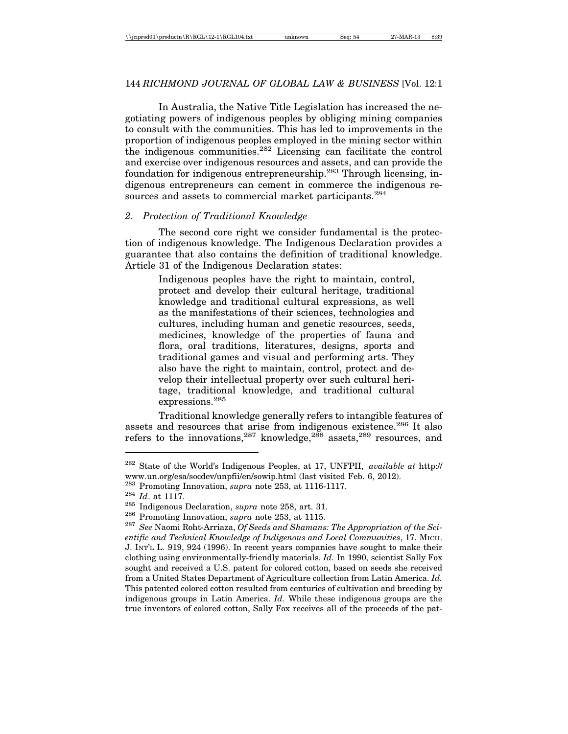In Australia, the Native Title Legislation has increased the negotiating powers of indigenous peoples by obliging mining companies to consult with the communities. This has led to improvements in the proportion of indigenous peoples employed in the mining sector within the indigenous communities.282 Licensing can facilitate the control and exercise over indigenous resources and assets, and can provide the foundation for indigenous entrepreneurship.283 Through licensing, indigenous entrepreneurs can cement in commerce the indigenous resources and assets to commercial market participants.<sup>284</sup>

### *2. Protection of Traditional Knowledge*

The second core right we consider fundamental is the protection of indigenous knowledge. The Indigenous Declaration provides a guarantee that also contains the definition of traditional knowledge. Article 31 of the Indigenous Declaration states:

> Indigenous peoples have the right to maintain, control, protect and develop their cultural heritage, traditional knowledge and traditional cultural expressions, as well as the manifestations of their sciences, technologies and cultures, including human and genetic resources, seeds, medicines, knowledge of the properties of fauna and flora, oral traditions, literatures, designs, sports and traditional games and visual and performing arts. They also have the right to maintain, control, protect and develop their intellectual property over such cultural heritage, traditional knowledge, and traditional cultural expressions.285

Traditional knowledge generally refers to intangible features of assets and resources that arise from indigenous existence.<sup>286</sup> It also refers to the innovations, <sup>287</sup> knowledge, <sup>288</sup> assets, <sup>289</sup> resources, and

<sup>282</sup> State of the World's Indigenous Peoples, at 17, UNFPII, *available at* http:// www.un.org/esa/socdev/unpfii/en/sowip.html (last visited Feb. 6, 2012).

<sup>&</sup>lt;sup>283</sup> Promoting Innovation, *supra* note 253, at 1116-1117.<br><sup>284</sup> *Id.* at 1117.<br><sup>285</sup> Indigenous Declaration, *supra* note 258, art. 31.<br><sup>286</sup> Promoting Innovation, *supra* note 253, at 1115.<br><sup>287</sup> See Naomi Roht-Arriaza *entific and Technical Knowledge of Indigenous and Local Communities*, 17. MICH. J. INT'L L. 919, 924 (1996). In recent years companies have sought to make their clothing using environmentally-friendly materials. *Id.* In 1990, scientist Sally Fox sought and received a U.S. patent for colored cotton, based on seeds she received from a United States Department of Agriculture collection from Latin America. *Id.* This patented colored cotton resulted from centuries of cultivation and breeding by indigenous groups in Latin America. *Id.* While these indigenous groups are the true inventors of colored cotton, Sally Fox receives all of the proceeds of the pat-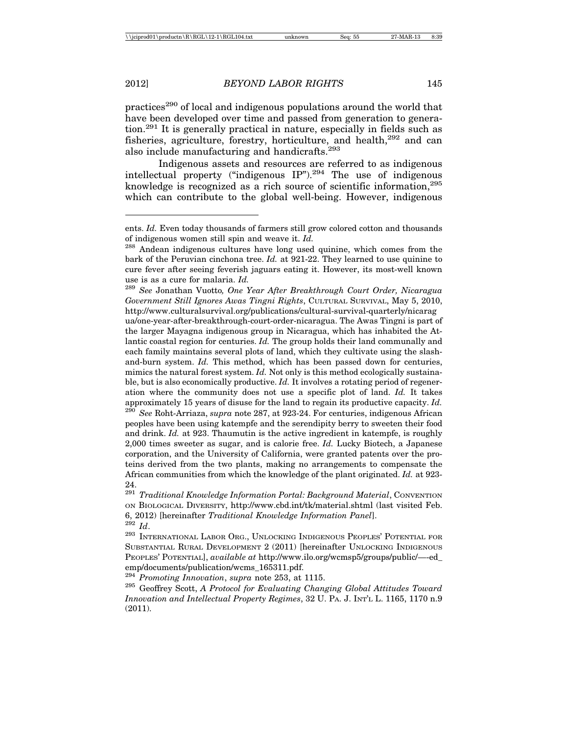practices290 of local and indigenous populations around the world that have been developed over time and passed from generation to generation.291 It is generally practical in nature, especially in fields such as fisheries, agriculture, forestry, horticulture, and health,<sup>292</sup> and can also include manufacturing and handicrafts.293

Indigenous assets and resources are referred to as indigenous intellectual property ("indigenous  $IP$ ").<sup>294</sup> The use of indigenous knowledge is recognized as a rich source of scientific information, <sup>295</sup> which can contribute to the global well-being. However, indigenous

<sup>289</sup> *See* Jonathan Vuotto*, One Year After Breakthrough Court Order, Nicaragua Government Still Ignores Awas Tingni Rights*, CULTURAL SURVIVAL, May 5, 2010, http://www.culturalsurvival.org/publications/cultural-survival-quarterly/nicarag

ua/one-year-after-breakthrough-court-order-nicaragua. The Awas Tingni is part of the larger Mayagna indigenous group in Nicaragua, which has inhabited the Atlantic coastal region for centuries. *Id.* The group holds their land communally and each family maintains several plots of land, which they cultivate using the slashand-burn system. *Id.* This method, which has been passed down for centuries, mimics the natural forest system. *Id.* Not only is this method ecologically sustainable, but is also economically productive. *Id.* It involves a rotating period of regeneration where the community does not use a specific plot of land. *Id.* It takes approximately 15 years of disuse for the land to regain its productive capacity. *Id.*

<sup>290</sup> *See* Roht-Arriaza, *supra* note 287, at 923-24. For centuries, indigenous African peoples have been using katempfe and the serendipity berry to sweeten their food and drink. *Id.* at 923. Thaumutin is the active ingredient in katempfe, is roughly 2,000 times sweeter as sugar, and is calorie free. *Id.* Lucky Biotech, a Japanese corporation, and the University of California, were granted patents over the proteins derived from the two plants, making no arrangements to compensate the African communities from which the knowledge of the plant originated. *Id.* at 923- 24.

<sup>291</sup> *Traditional Knowledge Information Portal: Background Material*, CONVENTION ON BIOLOGICAL DIVERSITY, http://www.cbd.int/tk/material.shtml (last visited Feb. 6, 2012) [hereinafter *Traditional Knowledge Information Panel*]. <sup>292</sup> *Id*.

 $^{293}$ INTERNATIONAL LABOR ORG., UNLOCKING INDIGENOUS PEOPLES' POTENTIAL FOR SUBSTANTIAL RURAL DEVELOPMENT 2 (2011) [hereinafter UNLOCKING INDIGENOUS PEOPLES' POTENTIAL], *available at* http://www.ilo.org/wcmsp5/groups/public/—-ed\_ emp/documents/publication/wcms\_165311.pdf.

<sup>294</sup> *Promoting Innovation*, *supra* note 253, at 1115.

<sup>295</sup> Geoffrey Scott, *A Protocol for Evaluating Changing Global Attitudes Toward Innovation and Intellectual Property Regimes*, 32 U. PA. J. INT'L L. 1165, 1170 n.9 (2011).

ents. *Id.* Even today thousands of farmers still grow colored cotton and thousands of indigenous women still spin and weave it. *Id.*

<sup>&</sup>lt;sup>288</sup> Andean indigenous cultures have long used quinine, which comes from the bark of the Peruvian cinchona tree. *Id.* at 921-22. They learned to use quinine to cure fever after seeing feverish jaguars eating it. However, its most-well known use is as a cure for malaria. *Id.*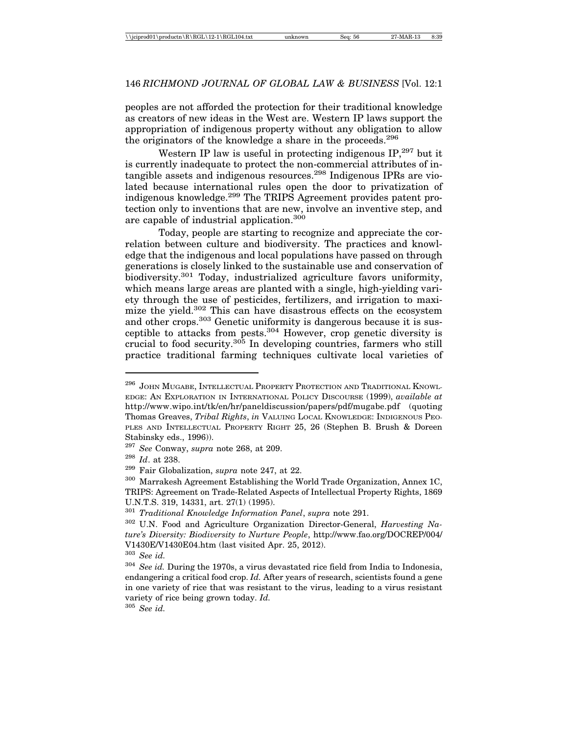peoples are not afforded the protection for their traditional knowledge as creators of new ideas in the West are. Western IP laws support the appropriation of indigenous property without any obligation to allow the originators of the knowledge a share in the proceeds.<sup>296</sup>

Western IP law is useful in protecting indigenous IP,<sup>297</sup> but it is currently inadequate to protect the non-commercial attributes of intangible assets and indigenous resources.298 Indigenous IPRs are violated because international rules open the door to privatization of indigenous knowledge.299 The TRIPS Agreement provides patent protection only to inventions that are new, involve an inventive step, and are capable of industrial application.<sup>300</sup>

Today, people are starting to recognize and appreciate the correlation between culture and biodiversity. The practices and knowledge that the indigenous and local populations have passed on through generations is closely linked to the sustainable use and conservation of biodiversity.<sup>301</sup> Today, industrialized agriculture favors uniformity, which means large areas are planted with a single, high-yielding variety through the use of pesticides, fertilizers, and irrigation to maximize the yield.<sup>302</sup> This can have disastrous effects on the ecosystem and other crops.<sup>303</sup> Genetic uniformity is dangerous because it is susceptible to attacks from pests.304 However, crop genetic diversity is crucial to food security.305 In developing countries, farmers who still practice traditional farming techniques cultivate local varieties of

<sup>305</sup> *See id.*

<sup>&</sup>lt;sup>296</sup> JOHN MUGABE, INTELLECTUAL PROPERTY PROTECTION AND TRADITIONAL KNOWL-EDGE: AN EXPLORATION IN INTERNATIONAL POLICY DISCOURSE (1999), *available at* http://www.wipo.int/tk/en/hr/paneldiscussion/papers/pdf/mugabe.pdf (quoting Thomas Greaves, *Tribal Rights*, *in* VALUING LOCAL KNOWLEDGE: INDIGENOUS PEO-PLES AND INTELLECTUAL PROPERTY RIGHT 25, 26 (Stephen B. Brush & Doreen Stabinsky eds., 1996)).

<sup>297</sup> *See* Conway, *supra* note 268, at 209.

<sup>298</sup> *Id*. at 238.

<sup>299</sup> Fair Globalization, *supra* note 247, at 22.

<sup>300</sup> Marrakesh Agreement Establishing the World Trade Organization, Annex 1C, TRIPS: Agreement on Trade-Related Aspects of Intellectual Property Rights, 1869 U.N.T.S. 319, 14331, art. 27(1) (1995).

<sup>301</sup> *Traditional Knowledge Information Panel*, *supra* note 291.

<sup>302</sup> U.N. Food and Agriculture Organization Director-General, *Harvesting Nature's Diversity: Biodiversity to Nurture People*, http://www.fao.org/DOCREP/004/ V1430E/V1430E04.htm (last visited Apr. 25, 2012).

<sup>303</sup> *See id.*

<sup>304</sup> *See id.* During the 1970s, a virus devastated rice field from India to Indonesia, endangering a critical food crop. *Id.* After years of research, scientists found a gene in one variety of rice that was resistant to the virus, leading to a virus resistant variety of rice being grown today. *Id.*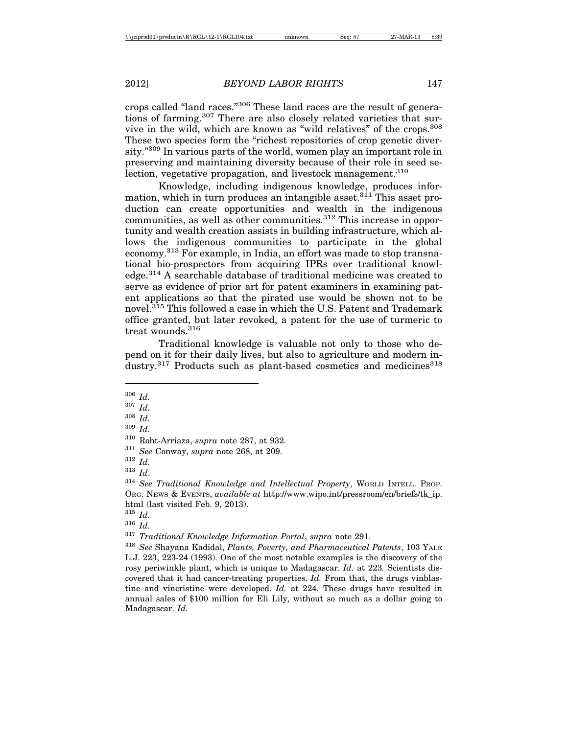crops called "land races."306 These land races are the result of generations of farming.<sup>307</sup> There are also closely related varieties that survive in the wild, which are known as "wild relatives" of the crops.308 These two species form the "richest repositories of crop genetic diversity."309 In various parts of the world, women play an important role in preserving and maintaining diversity because of their role in seed selection, vegetative propagation, and livestock management.<sup>310</sup>

Knowledge, including indigenous knowledge, produces information, which in turn produces an intangible asset.<sup>311</sup> This asset production can create opportunities and wealth in the indigenous  $commu$  this increase in opportunity and wealth creation assists in building infrastructure, which allows the indigenous communities to participate in the global economy.313 For example, in India, an effort was made to stop transnational bio-prospectors from acquiring IPRs over traditional knowledge.314 A searchable database of traditional medicine was created to serve as evidence of prior art for patent examiners in examining patent applications so that the pirated use would be shown not to be novel.<sup>315</sup> This followed a case in which the U.S. Patent and Trademark office granted, but later revoked, a patent for the use of turmeric to treat wounds <sup>316</sup>

Traditional knowledge is valuable not only to those who depend on it for their daily lives, but also to agriculture and modern industry.<sup>317</sup> Products such as plant-based cosmetics and medicines<sup>318</sup>

<sup>309</sup> *Id.*

<sup>306</sup> *Id.*

<sup>307</sup> *Id.*

<sup>308</sup> *Id.*

<sup>310</sup> Roht-Arriaza, *supra* note 287, at 932.

<sup>311</sup> *See* Conway, *supra* note 268, at 209.

<sup>312</sup> *Id.*

<sup>313</sup> *Id*.

<sup>314</sup> *See Traditional Knowledge and Intellectual Property*, WORLD INTELL. PROP. ORG. NEWS & EVENTS, *available at* http://www.wipo.int/pressroom/en/briefs/tk\_ip. html (last visited Feb. 9, 2013).

<sup>315</sup> *Id.*

<sup>316</sup> *Id.*

<sup>317</sup> *Traditional Knowledge Information Portal*, *supra* note 291.

<sup>318</sup> *See* Shayana Kadidal, *Plants, Poverty, and Pharmaceutical Patents*, 103 YALE L.J. 223, 223-24 (1993). One of the most notable examples is the discovery of the rosy periwinkle plant, which is unique to Madagascar. *Id.* at 223*.* Scientists discovered that it had cancer-treating properties. *Id.* From that, the drugs vinblastine and vincristine were developed. *Id.* at 224*.* These drugs have resulted in annual sales of \$100 million for Eli Lily, without so much as a dollar going to Madagascar. *Id.*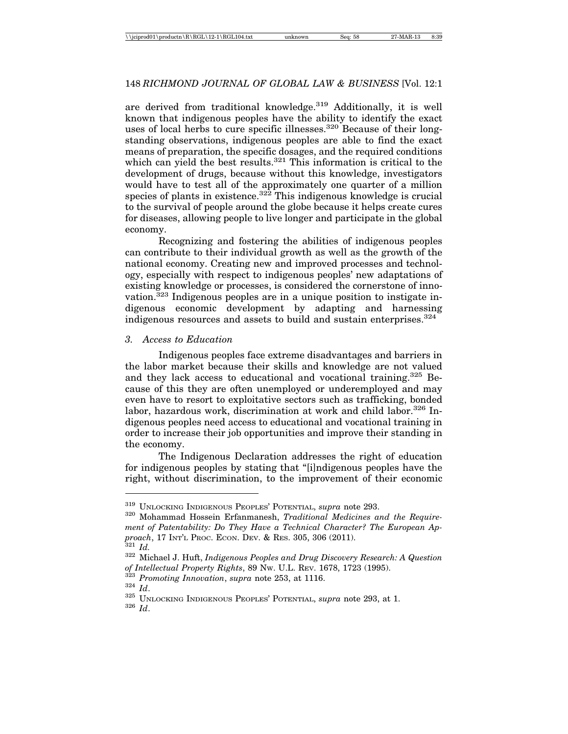are derived from traditional knowledge. $319$  Additionally, it is well known that indigenous peoples have the ability to identify the exact uses of local herbs to cure specific illnesses.<sup>320</sup> Because of their longstanding observations, indigenous peoples are able to find the exact means of preparation, the specific dosages, and the required conditions which can yield the best results.<sup>321</sup> This information is critical to the development of drugs, because without this knowledge, investigators would have to test all of the approximately one quarter of a million species of plants in existence.<sup>322</sup> This indigenous knowledge is crucial to the survival of people around the globe because it helps create cures for diseases, allowing people to live longer and participate in the global economy.

Recognizing and fostering the abilities of indigenous peoples can contribute to their individual growth as well as the growth of the national economy. Creating new and improved processes and technology, especially with respect to indigenous peoples' new adaptations of existing knowledge or processes, is considered the cornerstone of innovation.323 Indigenous peoples are in a unique position to instigate indigenous economic development by adapting and harnessing indigenous resources and assets to build and sustain enterprises.<sup>324</sup>

### *3. Access to Education*

Indigenous peoples face extreme disadvantages and barriers in the labor market because their skills and knowledge are not valued and they lack access to educational and vocational training.325 Because of this they are often unemployed or underemployed and may even have to resort to exploitative sectors such as trafficking, bonded labor, hazardous work, discrimination at work and child labor.<sup>326</sup> Indigenous peoples need access to educational and vocational training in order to increase their job opportunities and improve their standing in the economy.

The Indigenous Declaration addresses the right of education for indigenous peoples by stating that "[i]ndigenous peoples have the right, without discrimination, to the improvement of their economic

<sup>319</sup> UNLOCKING INDIGENOUS PEOPLES' POTENTIAL, *supra* note 293. <sup>320</sup> Mohammad Hossein Erfanmanesh, *Traditional Medicines and the Requirement of Patentability: Do They Have a Technical Character? The European Approach*, 17 INT'L PROC. ECON. DEV. & RES. 305, 306 (2011). <sup>321</sup> *Id.* <sup>322</sup> Michael J. Huft, *Indigenous Peoples and Drug Discovery Research: A Question*

<sup>%</sup> of Intellectual Property Rights, 89 Nw. U.L. REV. 1678, 1723 (1995).<br>  $^{323}$  Promoting Innovation, supra note 253, at 1116.<br>  $^{324}$ Id.<br>  $^{325}$  UNLOCKING INDIGENOUS PEOPLES' POTENTIAL, supra note 293, at 1.<br>  $^{326}$ Id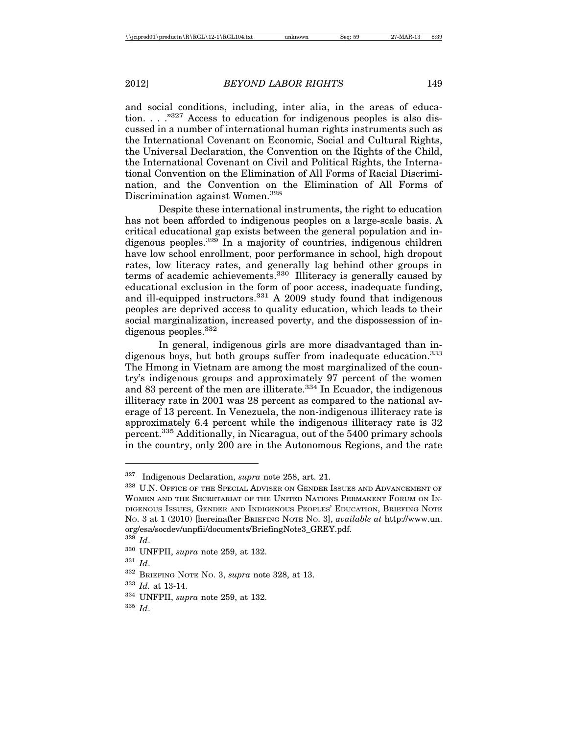and social conditions, including, inter alia, in the areas of education. . . . <sup>"327</sup> Access to education for indigenous peoples is also discussed in a number of international human rights instruments such as the International Covenant on Economic, Social and Cultural Rights, the Universal Declaration, the Convention on the Rights of the Child, the International Covenant on Civil and Political Rights, the International Convention on the Elimination of All Forms of Racial Discrimination, and the Convention on the Elimination of All Forms of Discrimination against Women.<sup>328</sup>

Despite these international instruments, the right to education has not been afforded to indigenous peoples on a large-scale basis. A critical educational gap exists between the general population and indigenous peoples.  $329 \text{ In a majority of countries, indigenous children}$ have low school enrollment, poor performance in school, high dropout rates, low literacy rates, and generally lag behind other groups in terms of academic achievements.330 Illiteracy is generally caused by educational exclusion in the form of poor access, inadequate funding, and ill-equipped instructors.<sup>331</sup> A 2009 study found that indigenous peoples are deprived access to quality education, which leads to their social marginalization, increased poverty, and the dispossession of indigenous peoples.<sup>332</sup>

In general, indigenous girls are more disadvantaged than indigenous boys, but both groups suffer from inadequate education.<sup>333</sup> The Hmong in Vietnam are among the most marginalized of the country's indigenous groups and approximately 97 percent of the women and 83 percent of the men are illiterate.<sup>334</sup> In Ecuador, the indigenous illiteracy rate in 2001 was 28 percent as compared to the national average of 13 percent. In Venezuela, the non-indigenous illiteracy rate is approximately 6.4 percent while the indigenous illiteracy rate is 32 percent.335 Additionally, in Nicaragua, out of the 5400 primary schools in the country, only 200 are in the Autonomous Regions, and the rate

<sup>335</sup> *Id*.

<sup>327</sup> Indigenous Declaration, *supra* note 258, art. 21.

 $328\,$  U.N. Office of the Special Adviser on Gender Issues and Advancement of WOMEN AND THE SECRETARIAT OF THE UNITED NATIONS PERMANENT FORUM ON IN-DIGENOUS ISSUES, GENDER AND INDIGENOUS PEOPLES' EDUCATION, BRIEFING NOTE NO. 3 at 1 (2010) [hereinafter BRIEFING NOTE NO. 3], *available at* http://www.un. org/esa/socdev/unpfii/documents/BriefingNote3\_GREY.pdf.

<sup>329</sup> *Id*.

<sup>330</sup> UNFPII, *supra* note 259, at 132.

<sup>331</sup> *Id*.

<sup>332</sup> BRIEFING NOTE NO. 3, *supra* note 328, at 13.

<sup>333</sup> *Id.* at 13-14.

<sup>334</sup> UNFPII, *supra* note 259, at 132.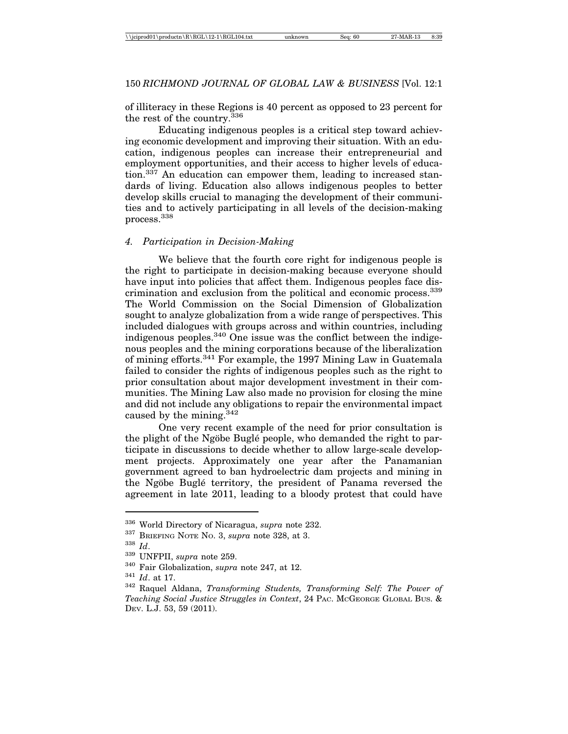of illiteracy in these Regions is 40 percent as opposed to 23 percent for the rest of the country.<sup>336</sup>

Educating indigenous peoples is a critical step toward achieving economic development and improving their situation. With an education, indigenous peoples can increase their entrepreneurial and employment opportunities, and their access to higher levels of education.<sup>337</sup> An education can empower them, leading to increased standards of living. Education also allows indigenous peoples to better develop skills crucial to managing the development of their communities and to actively participating in all levels of the decision-making process.338

#### *4. Participation in Decision-Making*

We believe that the fourth core right for indigenous people is the right to participate in decision-making because everyone should have input into policies that affect them. Indigenous peoples face discrimination and exclusion from the political and economic process.<sup>339</sup> The World Commission on the Social Dimension of Globalization sought to analyze globalization from a wide range of perspectives. This included dialogues with groups across and within countries, including indigenous peoples.340 One issue was the conflict between the indigenous peoples and the mining corporations because of the liberalization of mining efforts.341 For example, the 1997 Mining Law in Guatemala failed to consider the rights of indigenous peoples such as the right to prior consultation about major development investment in their communities. The Mining Law also made no provision for closing the mine and did not include any obligations to repair the environmental impact caused by the mining.342

One very recent example of the need for prior consultation is the plight of the Ngöbe Buglé people, who demanded the right to participate in discussions to decide whether to allow large-scale development projects. Approximately one year after the Panamanian government agreed to ban hydroelectric dam projects and mining in the Ngöbe Buglé territory, the president of Panama reversed the agreement in late 2011, leading to a bloody protest that could have

<sup>336</sup> World Directory of Nicaragua, *supra* note 232.

<sup>337</sup> BRIEFING NOTE NO. 3, *supra* note 328, at 3.

<sup>338</sup> *Id*.

<sup>339</sup> UNFPII, *supra* note 259.

<sup>340</sup> Fair Globalization, *supra* note 247, at 12.

<sup>341</sup> *Id*. at 17.

<sup>342</sup> Raquel Aldana, *Transforming Students, Transforming Self: The Power of Teaching Social Justice Struggles in Context*, 24 PAC. MCGEORGE GLOBAL BUS. & DEV. L.J. 53, 59 (2011).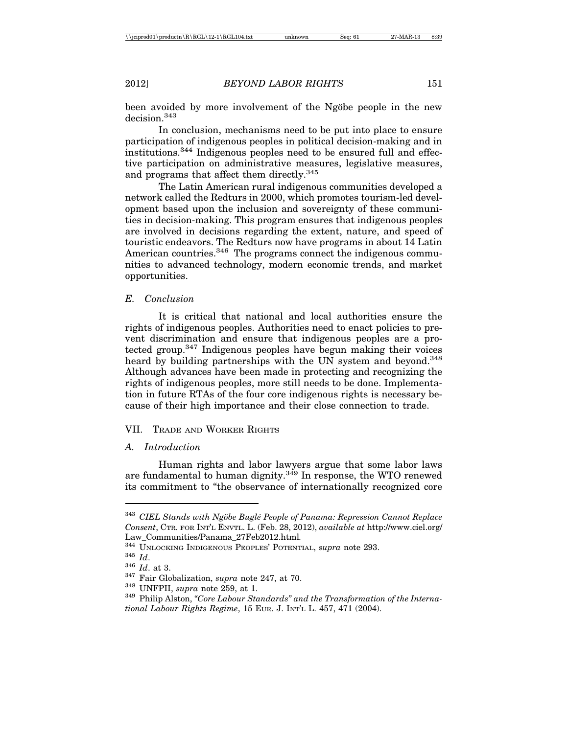been avoided by more involvement of the Ngöbe people in the new decision<sup>343</sup>

In conclusion, mechanisms need to be put into place to ensure participation of indigenous peoples in political decision-making and in institutions.344 Indigenous peoples need to be ensured full and effective participation on administrative measures, legislative measures, and programs that affect them directly.345

The Latin American rural indigenous communities developed a network called the Redturs in 2000, which promotes tourism-led development based upon the inclusion and sovereignty of these communities in decision-making. This program ensures that indigenous peoples are involved in decisions regarding the extent, nature, and speed of touristic endeavors. The Redturs now have programs in about 14 Latin American countries.<sup>346</sup> The programs connect the indigenous communities to advanced technology, modern economic trends, and market opportunities.

#### *E. Conclusion*

It is critical that national and local authorities ensure the rights of indigenous peoples. Authorities need to enact policies to prevent discrimination and ensure that indigenous peoples are a protected group.347 Indigenous peoples have begun making their voices heard by building partnerships with the UN system and beyond.<sup>348</sup> Although advances have been made in protecting and recognizing the rights of indigenous peoples, more still needs to be done. Implementation in future RTAs of the four core indigenous rights is necessary because of their high importance and their close connection to trade.

### VII. TRADE AND WORKER RIGHTS

### *A. Introduction*

Human rights and labor lawyers argue that some labor laws are fundamental to human dignity.<sup>349</sup> In response, the WTO renewed its commitment to "the observance of internationally recognized core

<sup>&</sup>lt;sup>343</sup> CIEL Stands with Ngöbe Buglé People of Panama: Repression Cannot Replace *Consent*, CTR. FOR INT'L ENVTL. L. (Feb. 28, 2012), *available at* http://www.ciel.org/

Law\_Communities/Panama\_27Feb2012.html*.*

<sup>&</sup>lt;sup>345</sup> *Id.*<br><sup>346</sup> *Id.* at 3.<br><sup>347</sup> Fair Globalization, supra note 247, at 70.<br><sup>348</sup> UNFPII, supra note 259, at 1.<br><sup>349</sup> Philip Alston, "*Core Labour Standards" and the Transformation of the International Labour Rights Regime*, 15 EUR. J. INT'L L. 457, 471 (2004).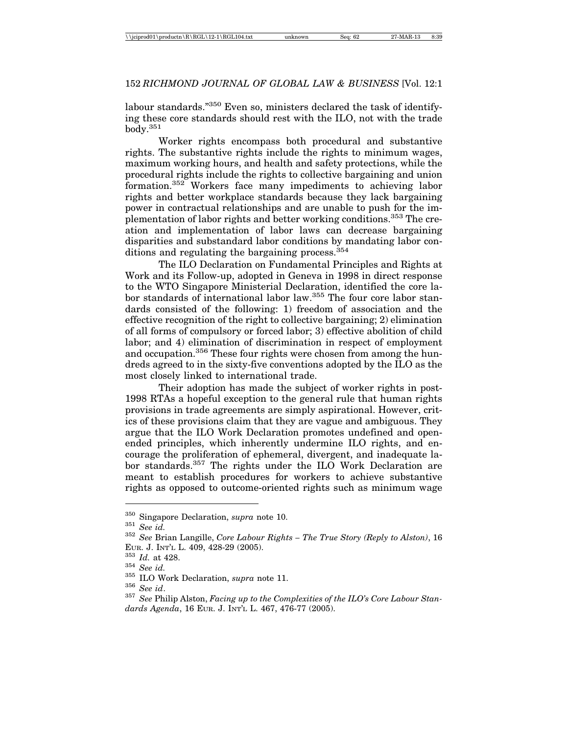labour standards."<sup>350</sup> Even so, ministers declared the task of identifying these core standards should rest with the ILO, not with the trade  $body.<sup>351</sup>$ 

Worker rights encompass both procedural and substantive rights. The substantive rights include the rights to minimum wages, maximum working hours, and health and safety protections, while the procedural rights include the rights to collective bargaining and union formation.352 Workers face many impediments to achieving labor rights and better workplace standards because they lack bargaining power in contractual relationships and are unable to push for the implementation of labor rights and better working conditions.353 The creation and implementation of labor laws can decrease bargaining disparities and substandard labor conditions by mandating labor conditions and regulating the bargaining process.<sup>354</sup>

The ILO Declaration on Fundamental Principles and Rights at Work and its Follow-up, adopted in Geneva in 1998 in direct response to the WTO Singapore Ministerial Declaration, identified the core labor standards of international labor law.<sup>355</sup> The four core labor standards consisted of the following: 1) freedom of association and the effective recognition of the right to collective bargaining; 2) elimination of all forms of compulsory or forced labor; 3) effective abolition of child labor; and 4) elimination of discrimination in respect of employment and occupation.<sup>356</sup> These four rights were chosen from among the hundreds agreed to in the sixty-five conventions adopted by the ILO as the most closely linked to international trade.

Their adoption has made the subject of worker rights in post-1998 RTAs a hopeful exception to the general rule that human rights provisions in trade agreements are simply aspirational. However, critics of these provisions claim that they are vague and ambiguous. They argue that the ILO Work Declaration promotes undefined and openended principles, which inherently undermine ILO rights, and encourage the proliferation of ephemeral, divergent, and inadequate labor standards.<sup>357</sup> The rights under the ILO Work Declaration are meant to establish procedures for workers to achieve substantive rights as opposed to outcome-oriented rights such as minimum wage

<sup>350</sup> Singapore Declaration, *supra* note 10. <sup>351</sup> *See id.* <sup>352</sup> *See* Brian Langille, *Core Labour Rights – The True Story (Reply to Alston)*, 16 EUR. J. INT'L L. 409, 428-29 (2005).<br>
<sup>353</sup> *Id.* at 428.<br>
<sup>354</sup> See id.<br>
<sup>355</sup> ILO Work Declaration, *supra* note 11.<br>
<sup>356</sup> See id.<br>
<sup>356</sup> See id.<br>
<sup>356</sup> See Philip Alston, *Facing up to the Complexities of the ILO's Cor* 

*dards Agenda*, 16 EUR. J. INT'L L. 467, 476-77 (2005).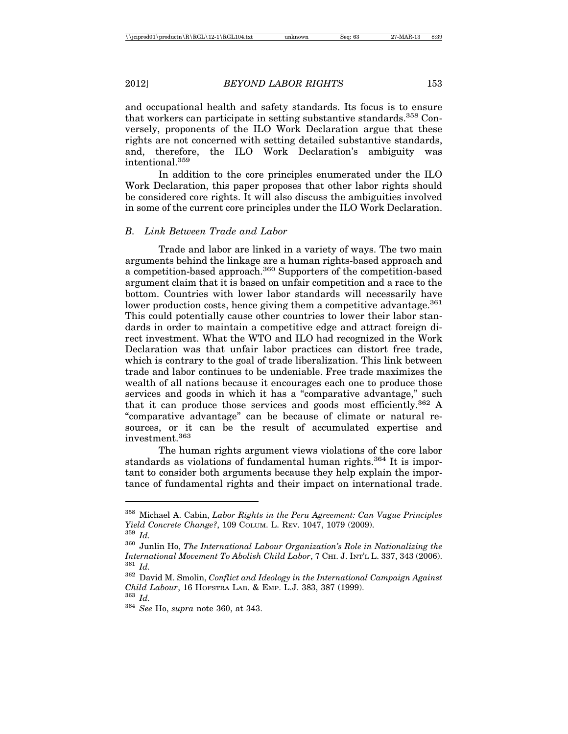and occupational health and safety standards. Its focus is to ensure that workers can participate in setting substantive standards.<sup>358</sup> Conversely, proponents of the ILO Work Declaration argue that these rights are not concerned with setting detailed substantive standards, and, therefore, the ILO Work Declaration's ambiguity was intentional<sup>359</sup>

In addition to the core principles enumerated under the ILO Work Declaration, this paper proposes that other labor rights should be considered core rights. It will also discuss the ambiguities involved in some of the current core principles under the ILO Work Declaration.

#### *B. Link Between Trade and Labor*

Trade and labor are linked in a variety of ways. The two main arguments behind the linkage are a human rights-based approach and a competition-based approach.360 Supporters of the competition-based argument claim that it is based on unfair competition and a race to the bottom. Countries with lower labor standards will necessarily have lower production costs, hence giving them a competitive advantage.<sup>361</sup> This could potentially cause other countries to lower their labor standards in order to maintain a competitive edge and attract foreign direct investment. What the WTO and ILO had recognized in the Work Declaration was that unfair labor practices can distort free trade, which is contrary to the goal of trade liberalization. This link between trade and labor continues to be undeniable. Free trade maximizes the wealth of all nations because it encourages each one to produce those services and goods in which it has a "comparative advantage," such that it can produce those services and goods most efficiently.<sup>362</sup> A "comparative advantage" can be because of climate or natural resources, or it can be the result of accumulated expertise and investment.363

The human rights argument views violations of the core labor standards as violations of fundamental human rights.<sup>364</sup> It is important to consider both arguments because they help explain the importance of fundamental rights and their impact on international trade.

<sup>358</sup> Michael A. Cabin, *Labor Rights in the Peru Agreement: Can Vague Principles Yield Concrete Change?*, 109 COLUM. L. REV. 1047, 1079 (2009).

<sup>359</sup> *Id.*

<sup>360</sup> Junlin Ho, *The International Labour Organization's Role in Nationalizing the International Movement To Abolish Child Labor*, 7 CHI. J. INT'L L. 337, 343 (2006). <sup>361</sup> *Id.*

<sup>362</sup> David M. Smolin, *Conflict and Ideology in the International Campaign Against Child Labour*, 16 HOFSTRA LAB. & EMP. L.J. 383, 387 (1999). <sup>363</sup> *Id.*

<sup>364</sup> *See* Ho, *supra* note 360, at 343.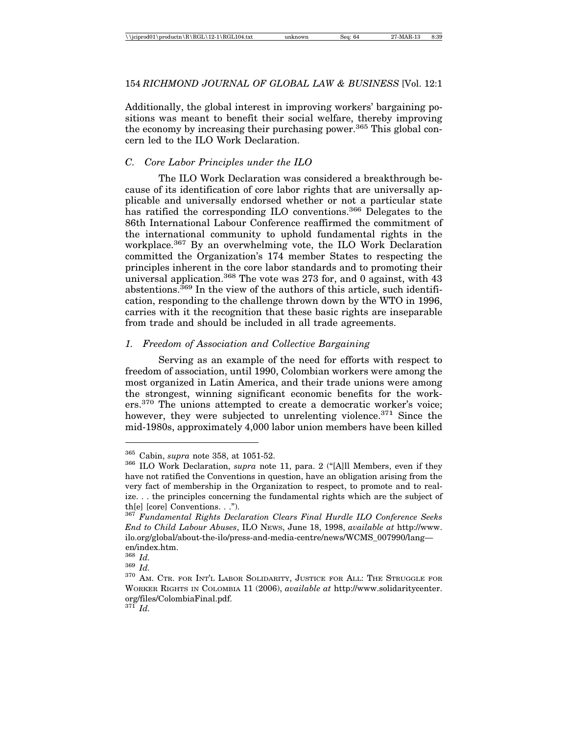Additionally, the global interest in improving workers' bargaining positions was meant to benefit their social welfare, thereby improving the economy by increasing their purchasing power.<sup>365</sup> This global concern led to the ILO Work Declaration.

### *C. Core Labor Principles under the ILO*

The ILO Work Declaration was considered a breakthrough because of its identification of core labor rights that are universally applicable and universally endorsed whether or not a particular state has ratified the corresponding ILO conventions.<sup>366</sup> Delegates to the 86th International Labour Conference reaffirmed the commitment of the international community to uphold fundamental rights in the workplace.367 By an overwhelming vote, the ILO Work Declaration committed the Organization's 174 member States to respecting the principles inherent in the core labor standards and to promoting their universal application.<sup>368</sup> The vote was 273 for, and 0 against, with  $43$ abstentions.<sup>369</sup> In the view of the authors of this article, such identification, responding to the challenge thrown down by the WTO in 1996, carries with it the recognition that these basic rights are inseparable from trade and should be included in all trade agreements.

### *1. Freedom of Association and Collective Bargaining*

Serving as an example of the need for efforts with respect to freedom of association, until 1990, Colombian workers were among the most organized in Latin America, and their trade unions were among the strongest, winning significant economic benefits for the workers.<sup>370</sup> The unions attempted to create a democratic worker's voice: however, they were subjected to unrelenting violence.<sup>371</sup> Since the mid-1980s, approximately 4,000 labor union members have been killed

<sup>365</sup> Cabin, *supra* note 358, at 1051-52. <sup>366</sup> ILO Work Declaration, *supra* note 11, para. 2 ("[A]ll Members, even if they have not ratified the Conventions in question, have an obligation arising from the very fact of membership in the Organization to respect, to promote and to realize. . . the principles concerning the fundamental rights which are the subject of th[e] [core] Conventions. . .").

<sup>367</sup> *Fundamental Rights Declaration Clears Final Hurdle ILO Conference Seeks End to Child Labour Abuses*, ILO NEWS, June 18, 1998, *available at* http://www. ilo.org/global/about-the-ilo/press-and-media-centre/news/WCMS\_007990/lang en/index.htm.<br> $\frac{368}{Id}$ .

<sup>368</sup> *Id.* <sup>369</sup> *Id.* <sup>370</sup> AM. CTR. FOR INT'L LABOR SOLIDARITY, JUSTICE FOR ALL: THE STRUGGLE FOR WORKER RIGHTS IN COLOMBIA 11 (2006), *available at* http://www.solidaritycenter. org/files/ColombiaFinal.pdf.

<sup>371</sup> *Id.*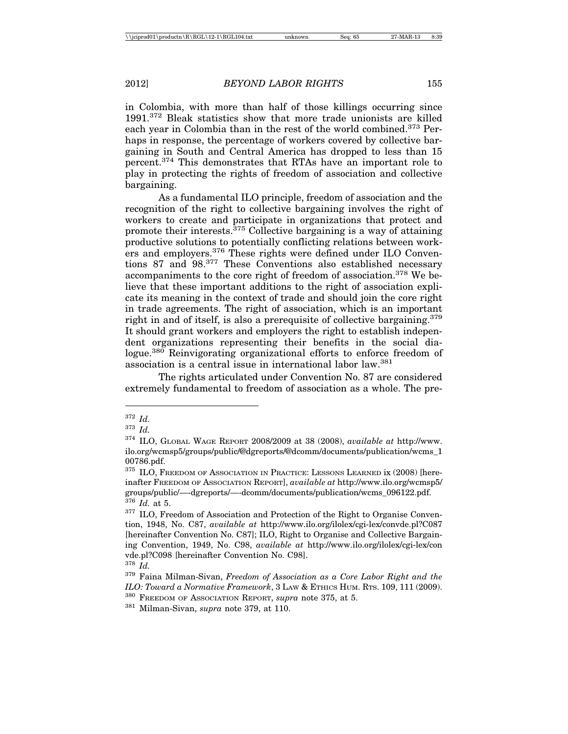in Colombia, with more than half of those killings occurring since 1991.372 Bleak statistics show that more trade unionists are killed each year in Colombia than in the rest of the world combined.<sup>373</sup> Perhaps in response, the percentage of workers covered by collective bargaining in South and Central America has dropped to less than 15 percent.374 This demonstrates that RTAs have an important role to play in protecting the rights of freedom of association and collective bargaining.

As a fundamental ILO principle, freedom of association and the recognition of the right to collective bargaining involves the right of workers to create and participate in organizations that protect and promote their interests.  $375$  Collective bargaining is a way of attaining productive solutions to potentially conflicting relations between workers and employers.<sup>376</sup> These rights were defined under ILO Conventions 87 and 98.377 These Conventions also established necessary accompaniments to the core right of freedom of association.378 We believe that these important additions to the right of association explicate its meaning in the context of trade and should join the core right in trade agreements. The right of association, which is an important right in and of itself, is also a prerequisite of collective bargaining.<sup>379</sup> It should grant workers and employers the right to establish independent organizations representing their benefits in the social dialogue.<sup>380</sup> Reinvigorating organizational efforts to enforce freedom of association is a central issue in international labor law.381

The rights articulated under Convention No. 87 are considered extremely fundamental to freedom of association as a whole. The pre-

<sup>372</sup> *Id.*

<sup>373</sup> *Id.*

<sup>374</sup> ILO, GLOBAL WAGE REPORT 2008/2009 at 38 (2008), *available at* http://www. ilo.org/wcmsp5/groups/public/@dgreports/@dcomm/documents/publication/wcms\_1 00786.pdf.

<sup>375</sup> ILO, FREEDOM OF ASSOCIATION IN PRACTICE: LESSONS LEARNED ix (2008) [hereinafter FREEDOM OF ASSOCIATION REPORT], *available at* http://www.ilo.org/wcmsp5/ groups/public/—-dgreports/—-dcomm/documents/publication/wcms\_096122.pdf. <sup>376</sup> *Id.* at 5.

 $377$  ILO, Freedom of Association and Protection of the Right to Organise Convention, 1948, No. C87, *available at* http://www.ilo.org/ilolex/cgi-lex/convde.pl?C087 [hereinafter Convention No. C87]; ILO, Right to Organise and Collective Bargaining Convention, 1949, No. C98, *available at* http://www.ilo.org/ilolex/cgi-lex/con vde.pl?C098 [hereinafter Convention No. C98].

<sup>378</sup> *Id.*

<sup>379</sup> Faina Milman-Sivan, *Freedom of Association as a Core Labor Right and the ILO: Toward a Normative Framework*, 3 LAW & ETHICS HUM. RTS. 109, 111 (2009).

<sup>380</sup> FREEDOM OF ASSOCIATION REPORT, *supra* note 375, at 5.

<sup>381</sup> Milman-Sivan, *supra* note 379, at 110.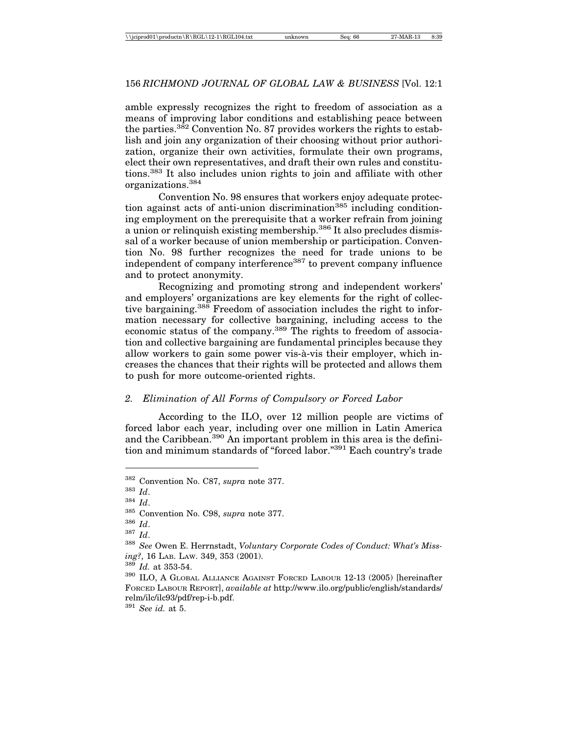amble expressly recognizes the right to freedom of association as a means of improving labor conditions and establishing peace between the parties.382 Convention No. 87 provides workers the rights to establish and join any organization of their choosing without prior authorization, organize their own activities, formulate their own programs, elect their own representatives, and draft their own rules and constitutions.383 It also includes union rights to join and affiliate with other organizations.384

Convention No. 98 ensures that workers enjoy adequate protection against acts of anti-union discrimination<sup>385</sup> including conditioning employment on the prerequisite that a worker refrain from joining a union or relinquish existing membership.<sup>386</sup> It also precludes dismissal of a worker because of union membership or participation. Convention No. 98 further recognizes the need for trade unions to be independent of company interference<sup>387</sup> to prevent company influence and to protect anonymity.

Recognizing and promoting strong and independent workers' and employers' organizations are key elements for the right of collective bargaining.<sup>388</sup> Freedom of association includes the right to information necessary for collective bargaining, including access to the economic status of the company.<sup>389</sup> The rights to freedom of association and collective bargaining are fundamental principles because they allow workers to gain some power vis-à-vis their employer, which increases the chances that their rights will be protected and allows them to push for more outcome-oriented rights.

#### *2. Elimination of All Forms of Compulsory or Forced Labor*

According to the ILO, over 12 million people are victims of forced labor each year, including over one million in Latin America and the Caribbean.<sup>390</sup> An important problem in this area is the definition and minimum standards of "forced labor."391 Each country's trade

<sup>391</sup> *See id.* at 5.

<sup>382</sup> Convention No. C87, *supra* note 377.

<sup>383</sup> *Id*.

<sup>384</sup> *Id*.

<sup>385</sup> Convention No. C98, *supra* note 377.

<sup>386</sup> *Id*.

<sup>387</sup> *Id*.

<sup>388</sup> *See* Owen E. Herrnstadt, *Voluntary Corporate Codes of Conduct: What's Missing?*, 16 LAB. LAW. 349, 353 (2001).

<sup>389</sup> *Id.* at 353-54.

<sup>&</sup>lt;sup>390</sup> ILO, A GLOBAL ALLIANCE AGAINST FORCED LABOUR 12-13 (2005) [hereinafter FORCED LABOUR REPORT], *available at* http://www.ilo.org/public/english/standards/ relm/ilc/ilc93/pdf/rep-i-b.pdf.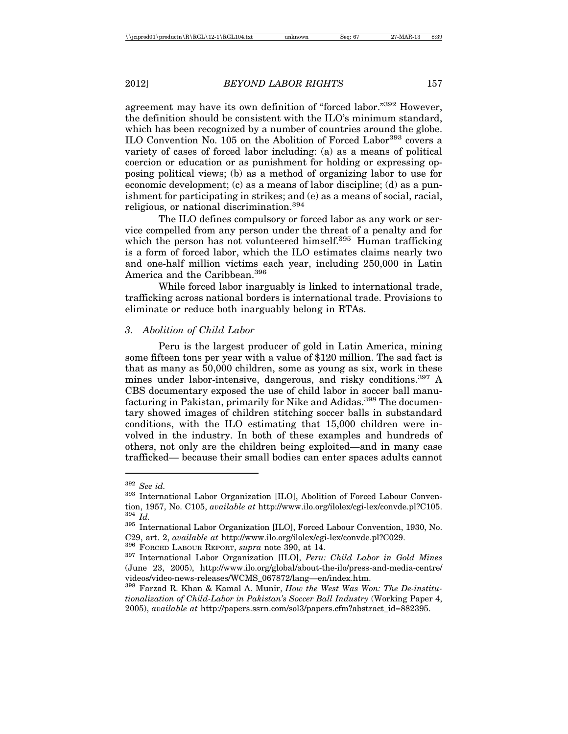agreement may have its own definition of "forced labor."392 However, the definition should be consistent with the ILO's minimum standard, which has been recognized by a number of countries around the globe. ILO Convention No. 105 on the Abolition of Forced Labor<sup>393</sup> covers a variety of cases of forced labor including: (a) as a means of political coercion or education or as punishment for holding or expressing opposing political views; (b) as a method of organizing labor to use for economic development; (c) as a means of labor discipline; (d) as a punishment for participating in strikes; and (e) as a means of social, racial, religious, or national discrimination.<sup>394</sup>

The ILO defines compulsory or forced labor as any work or service compelled from any person under the threat of a penalty and for which the person has not volunteered himself.<sup>395</sup> Human trafficking is a form of forced labor, which the ILO estimates claims nearly two and one-half million victims each year, including 250,000 in Latin America and the Caribbean.<sup>396</sup>

While forced labor inarguably is linked to international trade, trafficking across national borders is international trade. Provisions to eliminate or reduce both inarguably belong in RTAs.

#### *3. Abolition of Child Labor*

Peru is the largest producer of gold in Latin America, mining some fifteen tons per year with a value of \$120 million. The sad fact is that as many as 50,000 children, some as young as six, work in these mines under labor-intensive, dangerous, and risky conditions.<sup>397</sup> A CBS documentary exposed the use of child labor in soccer ball manufacturing in Pakistan, primarily for Nike and Adidas.<sup>398</sup> The documentary showed images of children stitching soccer balls in substandard conditions, with the ILO estimating that 15,000 children were involved in the industry. In both of these examples and hundreds of others, not only are the children being exploited—and in many case trafficked— because their small bodies can enter spaces adults cannot

<sup>&</sup>lt;sup>392</sup> *See id.* 393 International Labor Organization [ILO], Abolition of Forced Labour Convention, 1957, No. C105, *available at* http://www.ilo.org/ilolex/cgi-lex/convde.pl?C105.<br><sup>394</sup> *Id.* International Labor Organization [ILO], Forced Labour Convention, 1930, No.

C29, art. 2, *available at* http://www.ilo.org/ilolex/cgi-lex/convde.pl?C029. <sup>396</sup> FORCED LABOUR REPORT, *supra* note 390, at 14. <sup>397</sup> International Labor Organization [ILO], *Peru: Child Labor in Gold Mines*

<sup>(</sup>June 23, 2005), http://www.ilo.org/global/about-the-ilo/press-and-media-centre/ videos/video-news-releases/WCMS\_067872/lang—en/index.htm.

<sup>398</sup> Farzad R. Khan & Kamal A. Munir, *How the West Was Won: The De-institutionalization of Child-Labor in Pakistan's Soccer Ball Industry* (Working Paper 4, 2005), *available at* http://papers.ssrn.com/sol3/papers.cfm?abstract\_id=882395.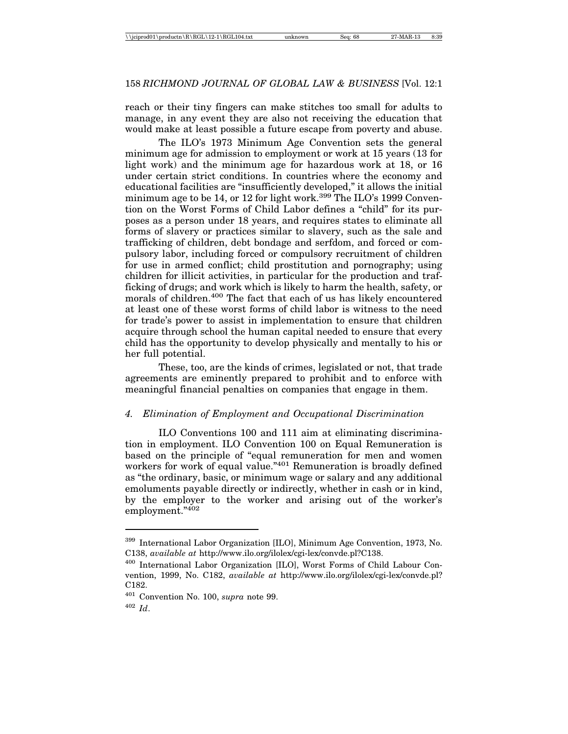reach or their tiny fingers can make stitches too small for adults to manage, in any event they are also not receiving the education that would make at least possible a future escape from poverty and abuse.

The ILO's 1973 Minimum Age Convention sets the general minimum age for admission to employment or work at 15 years (13 for light work) and the minimum age for hazardous work at 18, or 16 under certain strict conditions. In countries where the economy and educational facilities are "insufficiently developed," it allows the initial minimum age to be 14, or 12 for light work.<sup>399</sup> The ILO's 1999 Convention on the Worst Forms of Child Labor defines a "child" for its purposes as a person under 18 years, and requires states to eliminate all forms of slavery or practices similar to slavery, such as the sale and trafficking of children, debt bondage and serfdom, and forced or compulsory labor, including forced or compulsory recruitment of children for use in armed conflict; child prostitution and pornography; using children for illicit activities, in particular for the production and trafficking of drugs; and work which is likely to harm the health, safety, or morals of children.<sup>400</sup> The fact that each of us has likely encountered at least one of these worst forms of child labor is witness to the need for trade's power to assist in implementation to ensure that children acquire through school the human capital needed to ensure that every child has the opportunity to develop physically and mentally to his or her full potential.

These, too, are the kinds of crimes, legislated or not, that trade agreements are eminently prepared to prohibit and to enforce with meaningful financial penalties on companies that engage in them.

### *4. Elimination of Employment and Occupational Discrimination*

ILO Conventions 100 and 111 aim at eliminating discrimination in employment. ILO Convention 100 on Equal Remuneration is based on the principle of "equal remuneration for men and women workers for work of equal value."<sup>401</sup> Remuneration is broadly defined as "the ordinary, basic, or minimum wage or salary and any additional emoluments payable directly or indirectly, whether in cash or in kind, by the employer to the worker and arising out of the worker's employment."402

<sup>399</sup> International Labor Organization [ILO], Minimum Age Convention, 1973, No. C138, *available at* http://www.ilo.org/ilolex/cgi-lex/convde.pl?C138.

<sup>400</sup> International Labor Organization [ILO], Worst Forms of Child Labour Convention, 1999, No. C182, *available at* http://www.ilo.org/ilolex/cgi-lex/convde.pl? C182.

<sup>401</sup> Convention No. 100, *supra* note 99.

<sup>402</sup> *Id*.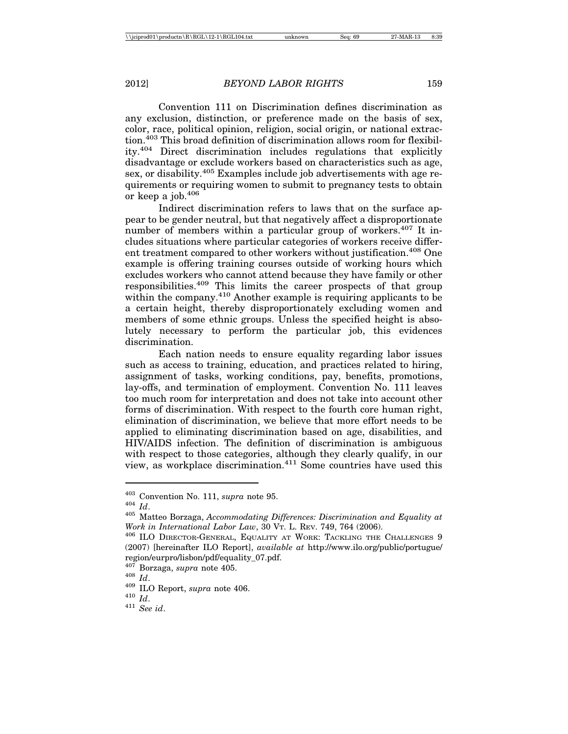Convention 111 on Discrimination defines discrimination as any exclusion, distinction, or preference made on the basis of sex, color, race, political opinion, religion, social origin, or national extraction.403 This broad definition of discrimination allows room for flexibility.404 Direct discrimination includes regulations that explicitly disadvantage or exclude workers based on characteristics such as age, sex, or disability.405 Examples include job advertisements with age requirements or requiring women to submit to pregnancy tests to obtain or keep a job.<sup>406</sup>

Indirect discrimination refers to laws that on the surface appear to be gender neutral, but that negatively affect a disproportionate number of members within a particular group of workers.<sup>407</sup> It includes situations where particular categories of workers receive different treatment compared to other workers without justification.<sup>408</sup> One example is offering training courses outside of working hours which excludes workers who cannot attend because they have family or other responsibilities.409 This limits the career prospects of that group within the company.<sup>410</sup> Another example is requiring applicants to be a certain height, thereby disproportionately excluding women and members of some ethnic groups. Unless the specified height is absolutely necessary to perform the particular job, this evidences discrimination.

Each nation needs to ensure equality regarding labor issues such as access to training, education, and practices related to hiring, assignment of tasks, working conditions, pay, benefits, promotions, lay-offs, and termination of employment. Convention No. 111 leaves too much room for interpretation and does not take into account other forms of discrimination. With respect to the fourth core human right, elimination of discrimination, we believe that more effort needs to be applied to eliminating discrimination based on age, disabilities, and HIV/AIDS infection. The definition of discrimination is ambiguous with respect to those categories, although they clearly qualify, in our view, as workplace discrimination.411 Some countries have used this

<sup>403</sup> Convention No. 111, *supra* note 95.

<sup>404</sup> *Id*.

<sup>405</sup> Matteo Borzaga, *Accommodating Differences: Discrimination and Equality at Work in International Labor Law*, 30 VT. L. REV. 749, 764 (2006).

<sup>406</sup> ILO DIRECTOR-GENERAL, EQUALITY AT WORK: TACKLING THE CHALLENGES 9 (2007) [hereinafter ILO Report], *available at* http://www.ilo.org/public/portugue/ region/eurpro/lisbon/pdf/equality\_07.pdf.

<sup>407</sup> Borzaga, *supra* note 405. <sup>408</sup> *Id*. <sup>409</sup> ILO Report, *supra* note 406. <sup>410</sup> *Id*. <sup>411</sup> *See id*.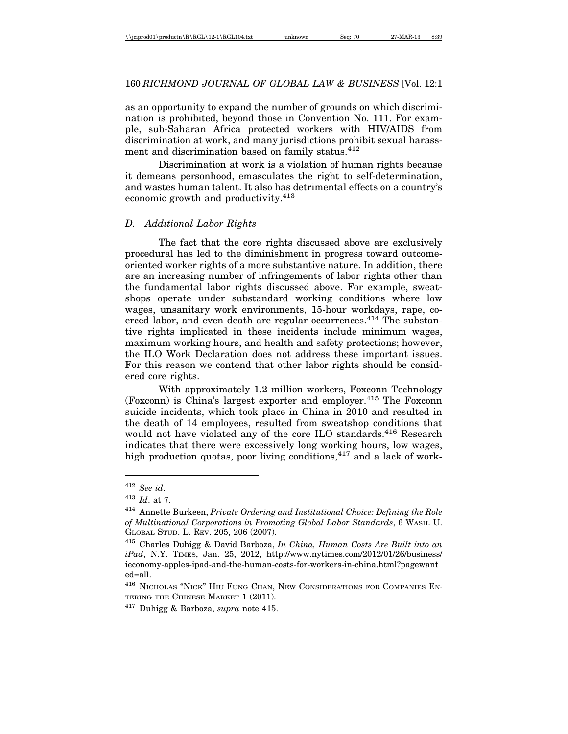as an opportunity to expand the number of grounds on which discrimination is prohibited, beyond those in Convention No. 111. For example, sub-Saharan Africa protected workers with HIV/AIDS from discrimination at work, and many jurisdictions prohibit sexual harassment and discrimination based on family status.<sup>412</sup>

Discrimination at work is a violation of human rights because it demeans personhood, emasculates the right to self-determination, and wastes human talent. It also has detrimental effects on a country's economic growth and productivity.413

#### *D. Additional Labor Rights*

The fact that the core rights discussed above are exclusively procedural has led to the diminishment in progress toward outcomeoriented worker rights of a more substantive nature. In addition, there are an increasing number of infringements of labor rights other than the fundamental labor rights discussed above. For example, sweatshops operate under substandard working conditions where low wages, unsanitary work environments, 15-hour workdays, rape, coerced labor, and even death are regular occurrences.<sup>414</sup> The substantive rights implicated in these incidents include minimum wages, maximum working hours, and health and safety protections; however, the ILO Work Declaration does not address these important issues. For this reason we contend that other labor rights should be considered core rights.

With approximately 1.2 million workers, Foxconn Technology (Foxconn) is China's largest exporter and employer.<sup>415</sup> The Foxconn suicide incidents, which took place in China in 2010 and resulted in the death of 14 employees, resulted from sweatshop conditions that would not have violated any of the core ILO standards.<sup>416</sup> Research indicates that there were excessively long working hours, low wages, high production quotas, poor living conditions,  $4^{17}$  and a lack of work-

<sup>412</sup> *See id*.

<sup>413</sup> *Id*. at 7.

<sup>414</sup> Annette Burkeen, *Private Ordering and Institutional Choice: Defining the Role of Multinational Corporations in Promoting Global Labor Standards*, 6 WASH. U. GLOBAL STUD. L. REV. 205, 206 (2007).

<sup>415</sup> Charles Duhigg & David Barboza, *In China, Human Costs Are Built into an iPad*, N.Y. TIMES, Jan. 25, 2012, http://www.nytimes.com/2012/01/26/business/ ieconomy-apples-ipad-and-the-human-costs-for-workers-in-china.html?pagewant ed=all.

<sup>416</sup> NICHOLAS "NICK" HIU FUNG CHAN, NEW CONSIDERATIONS FOR COMPANIES EN-TERING THE CHINESE MARKET 1 (2011).

<sup>417</sup> Duhigg & Barboza, *supra* note 415.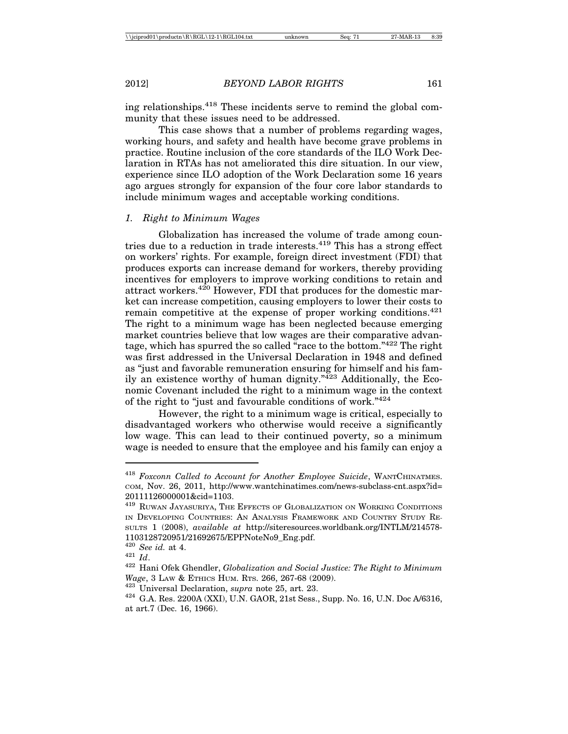ing relationships.418 These incidents serve to remind the global community that these issues need to be addressed.

This case shows that a number of problems regarding wages, working hours, and safety and health have become grave problems in practice. Routine inclusion of the core standards of the ILO Work Declaration in RTAs has not ameliorated this dire situation. In our view, experience since ILO adoption of the Work Declaration some 16 years ago argues strongly for expansion of the four core labor standards to include minimum wages and acceptable working conditions.

#### *1. Right to Minimum Wages*

Globalization has increased the volume of trade among countries due to a reduction in trade interests.<sup>419</sup> This has a strong effect on workers' rights. For example, foreign direct investment (FDI) that produces exports can increase demand for workers, thereby providing incentives for employers to improve working conditions to retain and attract workers.420 However, FDI that produces for the domestic market can increase competition, causing employers to lower their costs to remain competitive at the expense of proper working conditions.  $421$ The right to a minimum wage has been neglected because emerging market countries believe that low wages are their comparative advantage, which has spurred the so called "race to the bottom."422 The right was first addressed in the Universal Declaration in 1948 and defined as "just and favorable remuneration ensuring for himself and his family an existence worthy of human dignity." $423$  Additionally, the Economic Covenant included the right to a minimum wage in the context of the right to "just and favourable conditions of work."424

However, the right to a minimum wage is critical, especially to disadvantaged workers who otherwise would receive a significantly low wage. This can lead to their continued poverty, so a minimum wage is needed to ensure that the employee and his family can enjoy a

<sup>418</sup> *Foxconn Called to Account for Another Employee Suicide*, WANTCHINATMES. COM, Nov. 26, 2011, http://www.wantchinatimes.com/news-subclass-cnt.aspx?id= 20111126000001&cid=1103.

 $^{419}$  RUWAN JAYASURIYA, THE EFFECTS OF GLOBALIZATION ON WORKING CONDITIONS IN DEVELOPING COUNTRIES: AN ANALYSIS FRAMEWORK AND COUNTRY STUDY RE-SULTS 1 (2008), *available at* http://siteresources.worldbank.org/INTLM/214578- 1103128720951/21692675/EPPNoteNo9\_Eng.pdf.  $^{420}$   $\,See$   $id.$  at 4.

<sup>&</sup>lt;sup>421</sup> *Id.* **See 1. 422** Hani Ofek Ghendler, *Globalization and Social Justice: The Right to Minimum Wage*, 3 LAW & ETHICS HUM. RTS. 266, 267-68 (2009).<br><sup>423</sup> Universal Declaration, *supra* note 25, art. 23.<br><sup>424</sup> G.A. Res. 2200A (XXI), U.N. GAOR, 21st Sess., Supp. No. 16, U.N. Doc A/6316,

at art.7 (Dec. 16, 1966).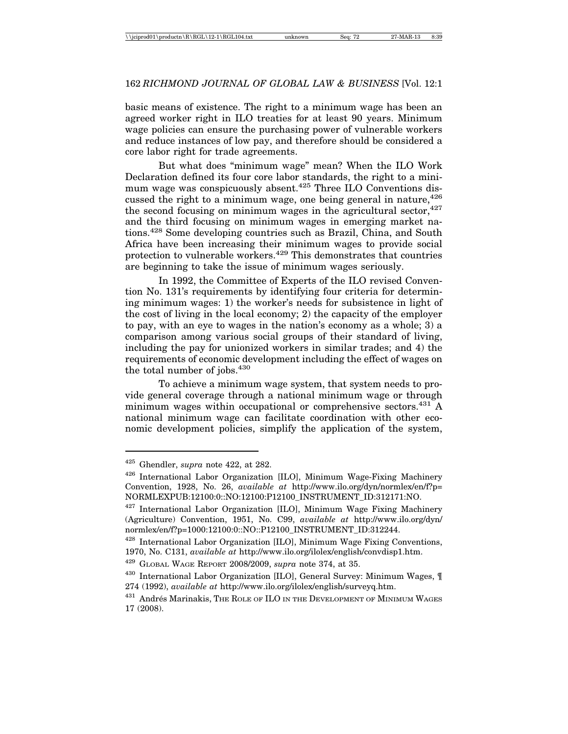basic means of existence. The right to a minimum wage has been an agreed worker right in ILO treaties for at least 90 years. Minimum wage policies can ensure the purchasing power of vulnerable workers and reduce instances of low pay, and therefore should be considered a core labor right for trade agreements.

But what does "minimum wage" mean? When the ILO Work Declaration defined its four core labor standards, the right to a minimum wage was conspicuously absent.<sup>425</sup> Three ILO Conventions discussed the right to a minimum wage, one being general in nature.<sup>426</sup> the second focusing on minimum wages in the agricultural sector,  $427$ and the third focusing on minimum wages in emerging market nations.428 Some developing countries such as Brazil, China, and South Africa have been increasing their minimum wages to provide social protection to vulnerable workers.429 This demonstrates that countries are beginning to take the issue of minimum wages seriously.

In 1992, the Committee of Experts of the ILO revised Convention No. 131's requirements by identifying four criteria for determining minimum wages: 1) the worker's needs for subsistence in light of the cost of living in the local economy; 2) the capacity of the employer to pay, with an eye to wages in the nation's economy as a whole; 3) a comparison among various social groups of their standard of living, including the pay for unionized workers in similar trades; and 4) the requirements of economic development including the effect of wages on the total number of jobs.<sup>430</sup>

To achieve a minimum wage system, that system needs to provide general coverage through a national minimum wage or through minimum wages within occupational or comprehensive sectors.<sup>431</sup> A national minimum wage can facilitate coordination with other economic development policies, simplify the application of the system,

<sup>425</sup> Ghendler, *supra* note 422, at 282.

<sup>426</sup> International Labor Organization [ILO], Minimum Wage-Fixing Machinery Convention, 1928, No. 26, *available at* http://www.ilo.org/dyn/normlex/en/f?p= NORMLEXPUB:12100:0::NO:12100:P12100\_INSTRUMENT\_ID:312171:NO.

 $427$  International Labor Organization [ILO], Minimum Wage Fixing Machinery (Agriculture) Convention, 1951, No. C99, *available at* http://www.ilo.org/dyn/ normlex/en/f?p=1000:12100:0::NO::P12100\_INSTRUMENT\_ID:312244.

 $428$  International Labor Organization [ILO], Minimum Wage Fixing Conventions, 1970, No. C131, *available at* http://www.ilo.org/ilolex/english/convdisp1.htm.

<sup>429</sup> GLOBAL WAGE REPORT 2008/2009, *supra* note 374, at 35.

 $430$  International Labor Organization [ILO], General Survey: Minimum Wages,  $\P$ 274 (1992), *available at* http://www.ilo.org/ilolex/english/surveyq.htm.

<sup>&</sup>lt;sup>431</sup> Andrés Marinakis, The Role of ILO in the Development of Minimum Wages 17 (2008).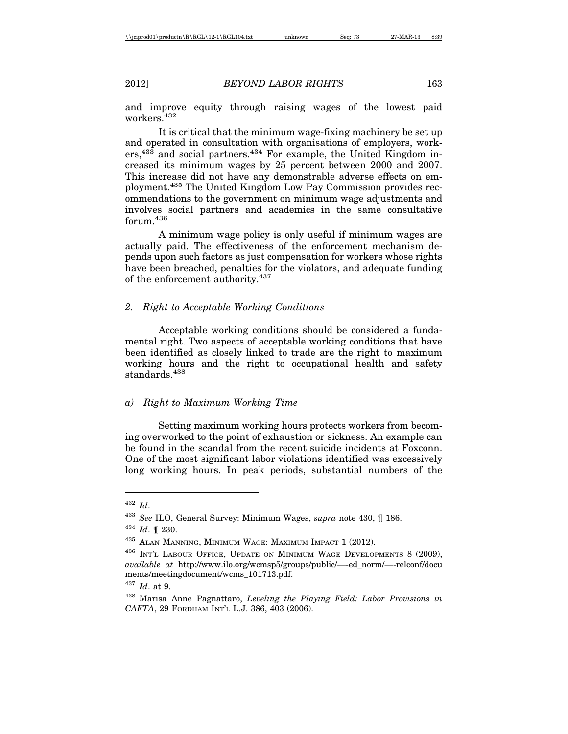and improve equity through raising wages of the lowest paid workers<sup>432</sup>

It is critical that the minimum wage-fixing machinery be set up and operated in consultation with organisations of employers, workers,<sup>433</sup> and social partners.<sup>434</sup> For example, the United Kingdom increased its minimum wages by 25 percent between 2000 and 2007. This increase did not have any demonstrable adverse effects on employment.435 The United Kingdom Low Pay Commission provides recommendations to the government on minimum wage adjustments and involves social partners and academics in the same consultative forum.436

A minimum wage policy is only useful if minimum wages are actually paid. The effectiveness of the enforcement mechanism depends upon such factors as just compensation for workers whose rights have been breached, penalties for the violators, and adequate funding of the enforcement authority.  $\rm ^{437}$ 

### *2. Right to Acceptable Working Conditions*

Acceptable working conditions should be considered a fundamental right. Two aspects of acceptable working conditions that have been identified as closely linked to trade are the right to maximum working hours and the right to occupational health and safety standards<sup>438</sup>

#### *a) Right to Maximum Working Time*

Setting maximum working hours protects workers from becoming overworked to the point of exhaustion or sickness. An example can be found in the scandal from the recent suicide incidents at Foxconn. One of the most significant labor violations identified was excessively long working hours. In peak periods, substantial numbers of the

<sup>432</sup> *Id*.

<sup>433</sup> *See* ILO, General Survey: Minimum Wages, *supra* note 430, ¶ 186.

<sup>434</sup> *Id*. ¶ 230.

<sup>435</sup> ALAN MANNING, MINIMUM WAGE: MAXIMUM IMPACT 1 (2012).

<sup>&</sup>lt;sup>436</sup> INT'L LABOUR OFFICE, UPDATE ON MINIMUM WAGE DEVELOPMENTS 8 (2009), *available at* http://www.ilo.org/wcmsp5/groups/public/—-ed\_norm/—-relconf/docu ments/meetingdocument/wcms\_101713.pdf.

<sup>437</sup> *Id*. at 9.

<sup>438</sup> Marisa Anne Pagnattaro, *Leveling the Playing Field: Labor Provisions in CAFTA*, 29 FORDHAM INT'L L.J. 386, 403 (2006).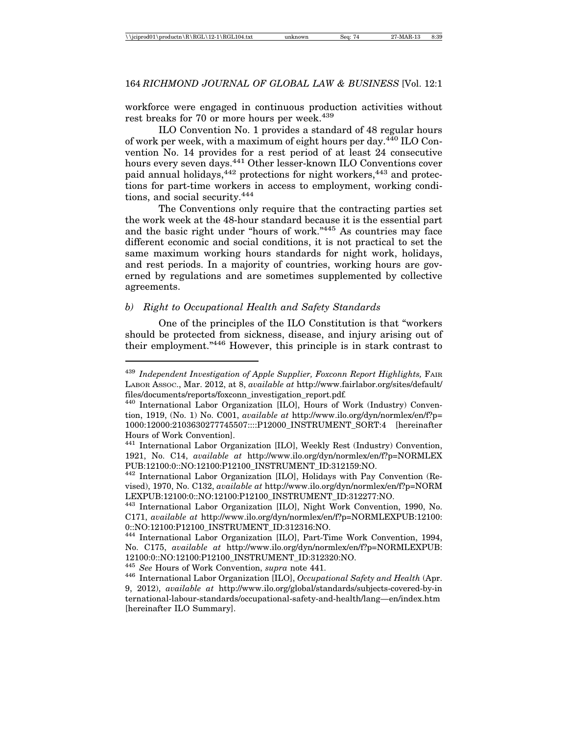workforce were engaged in continuous production activities without rest breaks for 70 or more hours per week.<sup>439</sup>

ILO Convention No. 1 provides a standard of 48 regular hours of work per week, with a maximum of eight hours per day.440 ILO Convention No. 14 provides for a rest period of at least 24 consecutive hours every seven days.<sup>441</sup> Other lesser-known ILO Conventions cover paid annual holidays,<sup>442</sup> protections for night workers,<sup>443</sup> and protections for part-time workers in access to employment, working conditions, and social security.444

The Conventions only require that the contracting parties set the work week at the 48-hour standard because it is the essential part and the basic right under "hours of work."445 As countries may face different economic and social conditions, it is not practical to set the same maximum working hours standards for night work, holidays, and rest periods. In a majority of countries, working hours are governed by regulations and are sometimes supplemented by collective agreements.

## *b) Right to Occupational Health and Safety Standards*

One of the principles of the ILO Constitution is that "workers should be protected from sickness, disease, and injury arising out of their employment."446 However, this principle is in stark contrast to

<sup>439</sup> *Independent Investigation of Apple Supplier, Foxconn Report Highlights,* FAIR LABOR ASSOC., Mar. 2012, at 8, *available at* http://www.fairlabor.org/sites/default/ files/documents/reports/foxconn\_investigation\_report.pdf*.* <sup>440</sup> International Labor Organization [ILO], Hours of Work (Industry) Conven-

tion, 1919, (No. 1) No. C001, *available at* http://www.ilo.org/dyn/normlex/en/f?p= 1000:12000:2103630277745507::::P12000\_INSTRUMENT\_SORT:4 [hereinafter Hours of Work Convention].

<sup>441</sup> International Labor Organization [ILO], Weekly Rest (Industry) Convention, 1921, No. C14, *available at* http://www.ilo.org/dyn/normlex/en/f?p=NORMLEX PUB:12100:0::NO:12100:P12100\_INSTRUMENT\_ID:312159:NO.

<sup>442</sup> International Labor Organization [ILO], Holidays with Pay Convention (Revised), 1970, No. C132, *available at* http://www.ilo.org/dyn/normlex/en/f?p=NORM LEXPUB:12100:0::NO:12100:P12100\_INSTRUMENT\_ID:312277:NO.

<sup>443</sup> International Labor Organization [ILO], Night Work Convention, 1990, No. C171, *available at* http://www.ilo.org/dyn/normlex/en/f?p=NORMLEXPUB:12100: 0::NO:12100:P12100\_INSTRUMENT\_ID:312316:NO.

<sup>444</sup> International Labor Organization [ILO], Part-Time Work Convention, 1994, No. C175, *available at* http://www.ilo.org/dyn/normlex/en/f?p=NORMLEXPUB: 12100:0::NO:12100:P12100\_INSTRUMENT\_ID:312320:NO.

<sup>445</sup> *See* Hours of Work Convention, *supra* note 441. <sup>446</sup> International Labor Organization [ILO], *Occupational Safety and Health* (Apr. 9, 2012), *available at* http://www.ilo.org/global/standards/subjects-covered-by-in ternational-labour-standards/occupational-safety-and-health/lang—en/index.htm [hereinafter ILO Summary].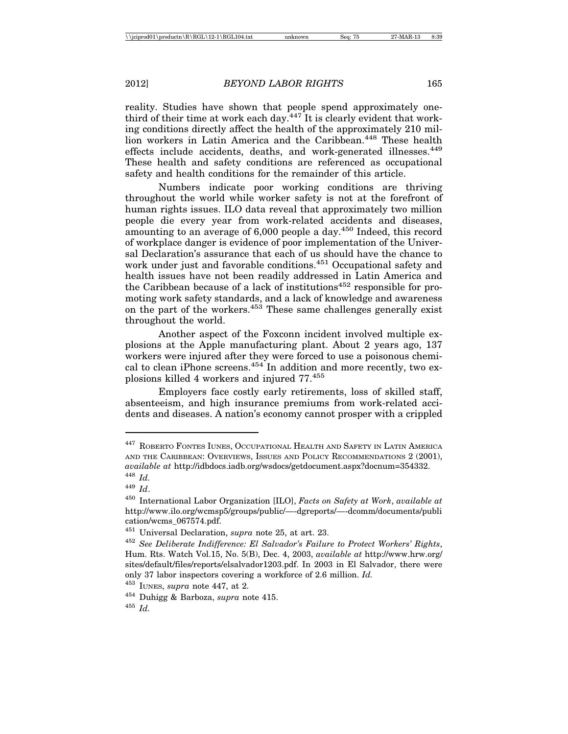reality. Studies have shown that people spend approximately onethird of their time at work each day.  $447$  It is clearly evident that working conditions directly affect the health of the approximately 210 million workers in Latin America and the Caribbean.<sup>448</sup> These health effects include accidents, deaths, and work-generated illnesses.<sup>449</sup> These health and safety conditions are referenced as occupational safety and health conditions for the remainder of this article.

Numbers indicate poor working conditions are thriving throughout the world while worker safety is not at the forefront of human rights issues. ILO data reveal that approximately two million people die every year from work-related accidents and diseases, amounting to an average of 6,000 people a day.<sup>450</sup> Indeed, this record of workplace danger is evidence of poor implementation of the Universal Declaration's assurance that each of us should have the chance to work under just and favorable conditions.<sup>451</sup> Occupational safety and health issues have not been readily addressed in Latin America and the Caribbean because of a lack of institutions<sup>452</sup> responsible for promoting work safety standards, and a lack of knowledge and awareness on the part of the workers.453 These same challenges generally exist throughout the world.

Another aspect of the Foxconn incident involved multiple explosions at the Apple manufacturing plant. About 2 years ago, 137 workers were injured after they were forced to use a poisonous chemical to clean iPhone screens.<sup>454</sup> In addition and more recently, two explosions killed 4 workers and injured 77.455

Employers face costly early retirements, loss of skilled staff, absenteeism, and high insurance premiums from work-related accidents and diseases. A nation's economy cannot prosper with a crippled

<sup>447</sup> ROBERTO FONTES IUNES, OCCUPATIONAL HEALTH AND SAFETY IN LATIN AMERICA AND THE CARIBBEAN: OVERVIEWS, ISSUES AND POLICY RECOMMENDATIONS 2 (2001), *available at* http://idbdocs.iadb.org/wsdocs/getdocument.aspx?docnum=354332. <sup>448</sup> *Id.*

<sup>449</sup> *Id*.

<sup>450</sup> International Labor Organization [ILO], *Facts on Safety at Work*, *available at* http://www.ilo.org/wcmsp5/groups/public/—-dgreports/—-dcomm/documents/publi cation/wcms\_067574.pdf.

<sup>451</sup> Universal Declaration, *supra* note 25, at art. 23.

<sup>452</sup> *See Deliberate Indifference: El Salvador's Failure to Protect Workers' Rights*, Hum. Rts. Watch Vol.15, No. 5(B), Dec. 4, 2003, *available at* http://www.hrw.org/ sites/default/files/reports/elsalvador1203.pdf. In 2003 in El Salvador, there were only 37 labor inspectors covering a workforce of 2.6 million. *Id.*

<sup>453</sup> IUNES, *supra* note 447, at 2.

<sup>454</sup> Duhigg & Barboza, *supra* note 415.

<sup>455</sup> *Id.*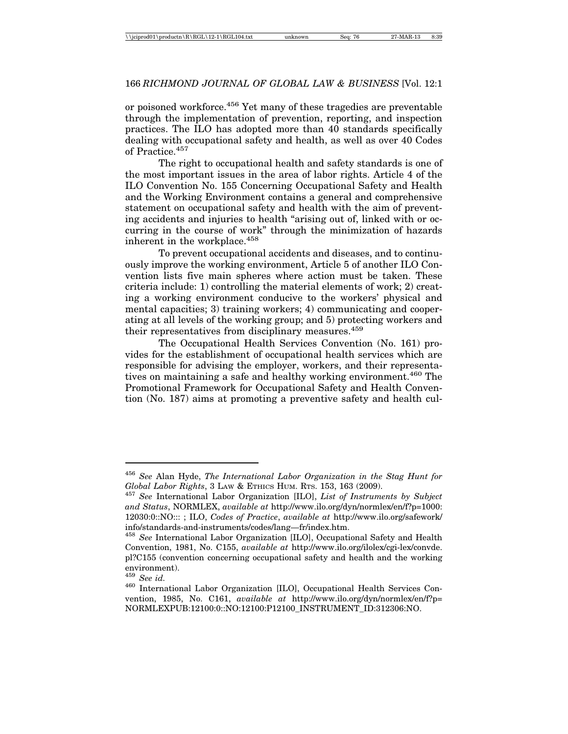or poisoned workforce.<sup>456</sup> Yet many of these tragedies are preventable through the implementation of prevention, reporting, and inspection practices. The ILO has adopted more than 40 standards specifically dealing with occupational safety and health, as well as over 40 Codes of Practice.457

The right to occupational health and safety standards is one of the most important issues in the area of labor rights. Article 4 of the ILO Convention No. 155 Concerning Occupational Safety and Health and the Working Environment contains a general and comprehensive statement on occupational safety and health with the aim of preventing accidents and injuries to health "arising out of, linked with or occurring in the course of work" through the minimization of hazards inherent in the workplace.<sup>458</sup>

To prevent occupational accidents and diseases, and to continuously improve the working environment, Article 5 of another ILO Convention lists five main spheres where action must be taken. These criteria include: 1) controlling the material elements of work; 2) creating a working environment conducive to the workers' physical and mental capacities; 3) training workers; 4) communicating and cooperating at all levels of the working group; and 5) protecting workers and their representatives from disciplinary measures.<sup>459</sup>

The Occupational Health Services Convention (No. 161) provides for the establishment of occupational health services which are responsible for advising the employer, workers, and their representatives on maintaining a safe and healthy working environment.<sup>460</sup> The Promotional Framework for Occupational Safety and Health Convention (No. 187) aims at promoting a preventive safety and health cul-

<sup>456</sup> *See* Alan Hyde, *The International Labor Organization in the Stag Hunt for Global Labor Rights*, 3 LAW & ETHICS HUM. RTS. 153, 163 (2009). <sup>457</sup> *See* International Labor Organization [ILO], *List of Instruments by Subject*

*and Status*, NORMLEX, *available at* http://www.ilo.org/dyn/normlex/en/f?p=1000: 12030:0::NO::: ; ILO, *Codes of Practice*, *available at* http://www.ilo.org/safework/ info/standards-and-instruments/codes/lang—fr/index.htm.

<sup>458</sup> *See* International Labor Organization [ILO], Occupational Safety and Health Convention, 1981, No. C155, *available at* http://www.ilo.org/ilolex/cgi-lex/convde. pl?C155 (convention concerning occupational safety and health and the working environment).<br><sup>459</sup> See id.

<sup>&</sup>lt;sup>460</sup> International Labor Organization [ILO], Occupational Health Services Convention, 1985, No. C161, *available at* http://www.ilo.org/dyn/normlex/en/f?p= NORMLEXPUB:12100:0::NO:12100:P12100\_INSTRUMENT\_ID:312306:NO.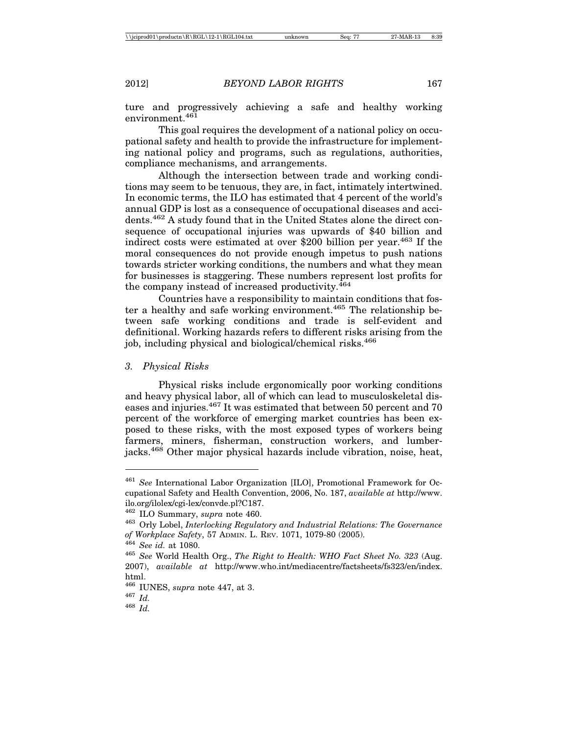ture and progressively achieving a safe and healthy working environment.<sup>461</sup>

This goal requires the development of a national policy on occupational safety and health to provide the infrastructure for implementing national policy and programs, such as regulations, authorities, compliance mechanisms, and arrangements.

Although the intersection between trade and working conditions may seem to be tenuous, they are, in fact, intimately intertwined. In economic terms, the ILO has estimated that 4 percent of the world's annual GDP is lost as a consequence of occupational diseases and accidents.462 A study found that in the United States alone the direct consequence of occupational injuries was upwards of \$40 billion and indirect costs were estimated at over \$200 billion per year.<sup>463</sup> If the moral consequences do not provide enough impetus to push nations towards stricter working conditions, the numbers and what they mean for businesses is staggering. These numbers represent lost profits for the company instead of increased productivity.<sup>464</sup>

Countries have a responsibility to maintain conditions that foster a healthy and safe working environment.<sup>465</sup> The relationship between safe working conditions and trade is self-evident and definitional. Working hazards refers to different risks arising from the job, including physical and biological/chemical risks.466

*3. Physical Risks*

Physical risks include ergonomically poor working conditions and heavy physical labor, all of which can lead to musculoskeletal diseases and injuries.<sup>467</sup> It was estimated that between 50 percent and 70 percent of the workforce of emerging market countries has been exposed to these risks, with the most exposed types of workers being farmers, miners, fisherman, construction workers, and lumberjacks.468 Other major physical hazards include vibration, noise, heat,

<sup>461</sup> *See* International Labor Organization [ILO], Promotional Framework for Occupational Safety and Health Convention, 2006, No. 187, *available at* http://www. ilo.org/ilolex/cgi-lex/convde.pl?C187.

<sup>462</sup> ILO Summary, *supra* note 460.

<sup>463</sup> Orly Lobel, *Interlocking Regulatory and Industrial Relations: The Governance of Workplace Safety*, 57 ADMIN. L. REV. 1071, 1079-80 (2005).

<sup>464</sup> *See id.* at 1080.

<sup>465</sup> *See* World Health Org., *The Right to Health: WHO Fact Sheet No. 323* (Aug. 2007), *available at* http://www.who.int/mediacentre/factsheets/fs323/en/index. html.

<sup>466</sup> IUNES, *supra* note 447, at 3.

<sup>467</sup> *Id.*

<sup>468</sup> *Id.*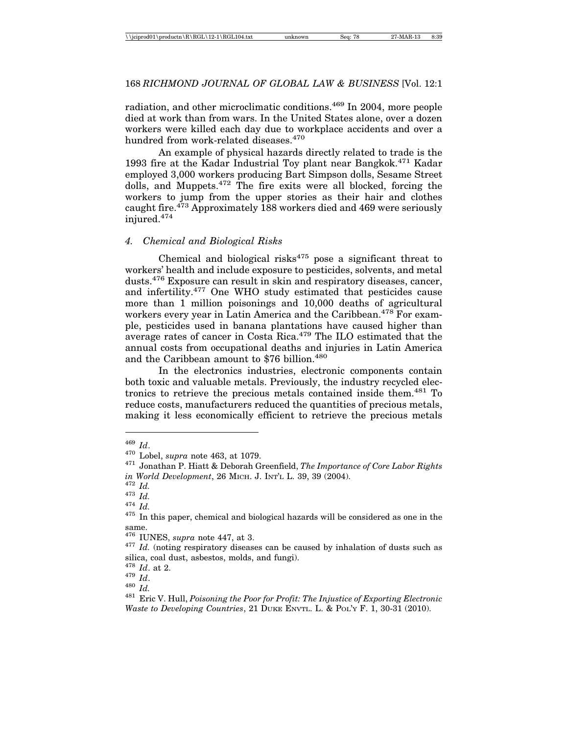radiation, and other microclimatic conditions.<sup>469</sup> In 2004, more people died at work than from wars. In the United States alone, over a dozen workers were killed each day due to workplace accidents and over a hundred from work-related diseases.<sup>470</sup>

An example of physical hazards directly related to trade is the 1993 fire at the Kadar Industrial Toy plant near Bangkok.<sup>471</sup> Kadar employed 3,000 workers producing Bart Simpson dolls, Sesame Street dolls, and Muppets.472 The fire exits were all blocked, forcing the workers to jump from the upper stories as their hair and clothes caught fire.<sup>473</sup> Approximately 188 workers died and 469 were seriously injured.474

#### *4. Chemical and Biological Risks*

Chemical and biological risks $475$  pose a significant threat to workers' health and include exposure to pesticides, solvents, and metal dusts.476 Exposure can result in skin and respiratory diseases, cancer, and infertility.477 One WHO study estimated that pesticides cause more than 1 million poisonings and 10,000 deaths of agricultural workers every year in Latin America and the Caribbean.<sup>478</sup> For example, pesticides used in banana plantations have caused higher than average rates of cancer in Costa Rica. $479$  The ILO estimated that the annual costs from occupational deaths and injuries in Latin America and the Caribbean amount to \$76 billion. $480$ 

In the electronics industries, electronic components contain both toxic and valuable metals. Previously, the industry recycled electronics to retrieve the precious metals contained inside them.481 To reduce costs, manufacturers reduced the quantities of precious metals, making it less economically efficient to retrieve the precious metals

<sup>&</sup>lt;sup>469</sup> *Id.*<br><sup>470</sup> Lobel, *supra* note 463, at 1079.

<sup>&</sup>lt;sup>471</sup> Jonathan P. Hiatt & Deborah Greenfield, *The Importance of Core Labor Rights in World Development*, 26 MICH. J. INT'L L. 39, 39 (2004).<br><sup>472</sup> *Id.*<br><sup>473</sup> *Id.*  $H$ <sup>17</sup> *Id.* 475 In this paper, chemical and biological hazards will be considered as one in the

same.

<sup>&</sup>lt;sup>476</sup> IUNES, *supra* note 447, at 3.<br><sup>477</sup> *Id.* (noting respiratory diseases can be caused by inhalation of dusts such as silica, coal dust, asbestos, molds, and fungi).  $^{478}$   $Id.$  at 2.

<sup>478</sup> *Id*. at 2. <sup>479</sup> *Id*. <sup>480</sup> *Id.* <sup>481</sup> Eric V. Hull, *Poisoning the Poor for Profit: The Injustice of Exporting Electronic Waste to Developing Countries*, 21 DUKE ENVTL. L. & POL'Y F. 1, 30-31 (2010).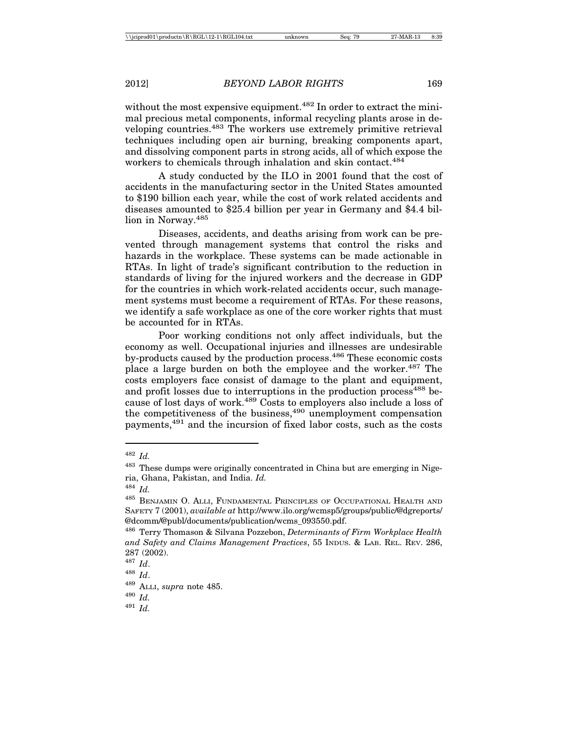without the most expensive equipment.<sup>482</sup> In order to extract the minimal precious metal components, informal recycling plants arose in developing countries.483 The workers use extremely primitive retrieval techniques including open air burning, breaking components apart, and dissolving component parts in strong acids, all of which expose the workers to chemicals through inhalation and skin contact.<sup>484</sup>

A study conducted by the ILO in 2001 found that the cost of accidents in the manufacturing sector in the United States amounted to \$190 billion each year, while the cost of work related accidents and diseases amounted to \$25.4 billion per year in Germany and \$4.4 billion in Norway.<sup>485</sup>

Diseases, accidents, and deaths arising from work can be prevented through management systems that control the risks and hazards in the workplace. These systems can be made actionable in RTAs. In light of trade's significant contribution to the reduction in standards of living for the injured workers and the decrease in GDP for the countries in which work-related accidents occur, such management systems must become a requirement of RTAs. For these reasons, we identify a safe workplace as one of the core worker rights that must be accounted for in RTAs.

Poor working conditions not only affect individuals, but the economy as well. Occupational injuries and illnesses are undesirable by-products caused by the production process.<sup>486</sup> These economic costs place a large burden on both the employee and the worker.<sup>487</sup> The costs employers face consist of damage to the plant and equipment, and profit losses due to interruptions in the production process<sup>488</sup> because of lost days of work.<sup>489</sup> Costs to employers also include a loss of the competitiveness of the business, $490$  unemployment compensation payments,491 and the incursion of fixed labor costs, such as the costs

<sup>491</sup> *Id.*

<sup>482</sup> *Id.*

<sup>&</sup>lt;sup>483</sup> These dumps were originally concentrated in China but are emerging in Nigeria, Ghana, Pakistan, and India. *Id.*

<sup>484</sup> *Id.*

 $^{485}$  Benjamin O. Alli, Fundamental Principles of Occupational Health and SAFETY 7 (2001), *available at* http://www.ilo.org/wcmsp5/groups/public/@dgreports/ @dcomm/@publ/documents/publication/wcms\_093550.pdf.

<sup>486</sup> Terry Thomason & Silvana Pozzebon, *Determinants of Firm Workplace Health and Safety and Claims Management Practices*, 55 INDUS. & LAB. REL. REV. 286, 287 (2002).

<sup>487</sup> *Id*.

<sup>488</sup> *Id*.

<sup>489</sup> ALLI, *supra* note 485.

<sup>490</sup> *Id.*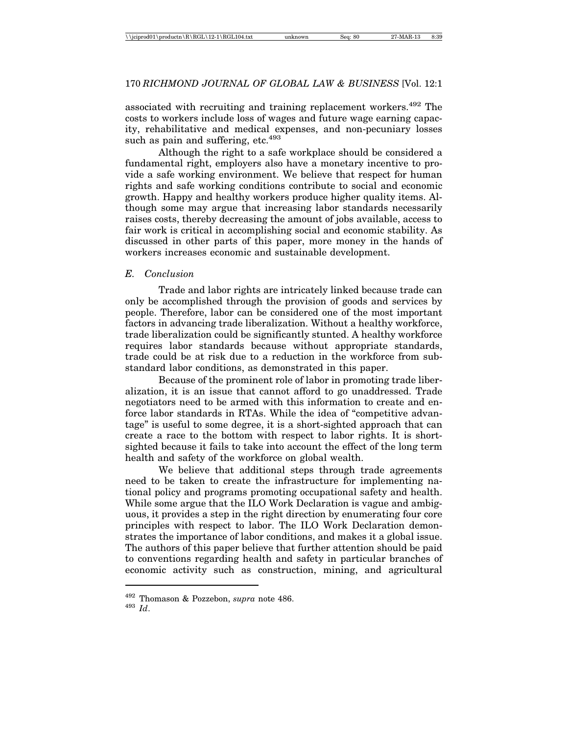associated with recruiting and training replacement workers.<sup>492</sup> The costs to workers include loss of wages and future wage earning capacity, rehabilitative and medical expenses, and non-pecuniary losses such as pain and suffering,  $etc.<sup>493</sup>$ 

Although the right to a safe workplace should be considered a fundamental right, employers also have a monetary incentive to provide a safe working environment. We believe that respect for human rights and safe working conditions contribute to social and economic growth. Happy and healthy workers produce higher quality items. Although some may argue that increasing labor standards necessarily raises costs, thereby decreasing the amount of jobs available, access to fair work is critical in accomplishing social and economic stability. As discussed in other parts of this paper, more money in the hands of workers increases economic and sustainable development.

## *E. Conclusion*

Trade and labor rights are intricately linked because trade can only be accomplished through the provision of goods and services by people. Therefore, labor can be considered one of the most important factors in advancing trade liberalization. Without a healthy workforce, trade liberalization could be significantly stunted. A healthy workforce requires labor standards because without appropriate standards, trade could be at risk due to a reduction in the workforce from substandard labor conditions, as demonstrated in this paper.

Because of the prominent role of labor in promoting trade liberalization, it is an issue that cannot afford to go unaddressed. Trade negotiators need to be armed with this information to create and enforce labor standards in RTAs. While the idea of "competitive advantage" is useful to some degree, it is a short-sighted approach that can create a race to the bottom with respect to labor rights. It is shortsighted because it fails to take into account the effect of the long term health and safety of the workforce on global wealth.

We believe that additional steps through trade agreements need to be taken to create the infrastructure for implementing national policy and programs promoting occupational safety and health. While some argue that the ILO Work Declaration is vague and ambiguous, it provides a step in the right direction by enumerating four core principles with respect to labor. The ILO Work Declaration demonstrates the importance of labor conditions, and makes it a global issue. The authors of this paper believe that further attention should be paid to conventions regarding health and safety in particular branches of economic activity such as construction, mining, and agricultural

 $^{492}$  Thomason & Pozzebon,  ${supra}\,$  note 486.  $^{493}$   $Id$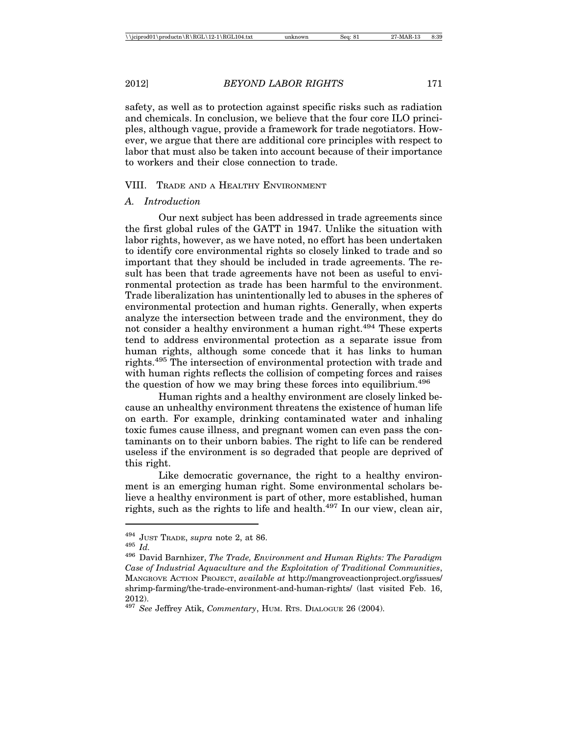safety, as well as to protection against specific risks such as radiation and chemicals. In conclusion, we believe that the four core ILO principles, although vague, provide a framework for trade negotiators. However, we argue that there are additional core principles with respect to labor that must also be taken into account because of their importance to workers and their close connection to trade.

### VIII. TRADE AND A HEALTHY ENVIRONMENT

#### *A. Introduction*

Our next subject has been addressed in trade agreements since the first global rules of the GATT in 1947. Unlike the situation with labor rights, however, as we have noted, no effort has been undertaken to identify core environmental rights so closely linked to trade and so important that they should be included in trade agreements. The result has been that trade agreements have not been as useful to environmental protection as trade has been harmful to the environment. Trade liberalization has unintentionally led to abuses in the spheres of environmental protection and human rights. Generally, when experts analyze the intersection between trade and the environment, they do not consider a healthy environment a human right.<sup>494</sup> These experts tend to address environmental protection as a separate issue from human rights, although some concede that it has links to human rights.495 The intersection of environmental protection with trade and with human rights reflects the collision of competing forces and raises the question of how we may bring these forces into equilibrium.<sup>496</sup>

Human rights and a healthy environment are closely linked because an unhealthy environment threatens the existence of human life on earth. For example, drinking contaminated water and inhaling toxic fumes cause illness, and pregnant women can even pass the contaminants on to their unborn babies. The right to life can be rendered useless if the environment is so degraded that people are deprived of this right.

Like democratic governance, the right to a healthy environment is an emerging human right. Some environmental scholars believe a healthy environment is part of other, more established, human rights, such as the rights to life and health.<sup>497</sup> In our view, clean air,

<sup>494</sup> JUST TRADE, *supra* note 2, at 86. <sup>495</sup> *Id.* <sup>496</sup> David Barnhizer, *The Trade, Environment and Human Rights: The Paradigm Case of Industrial Aquaculture and the Exploitation of Traditional Communities*, MANGROVE ACTION PROJECT, *available at* http://mangroveactionproject.org/issues/ shrimp-farming/the-trade-environment-and-human-rights/ (last visited Feb. 16, 2012).

<sup>497</sup> *See* Jeffrey Atik, *Commentary*, HUM. RTS. DIALOGUE 26 (2004).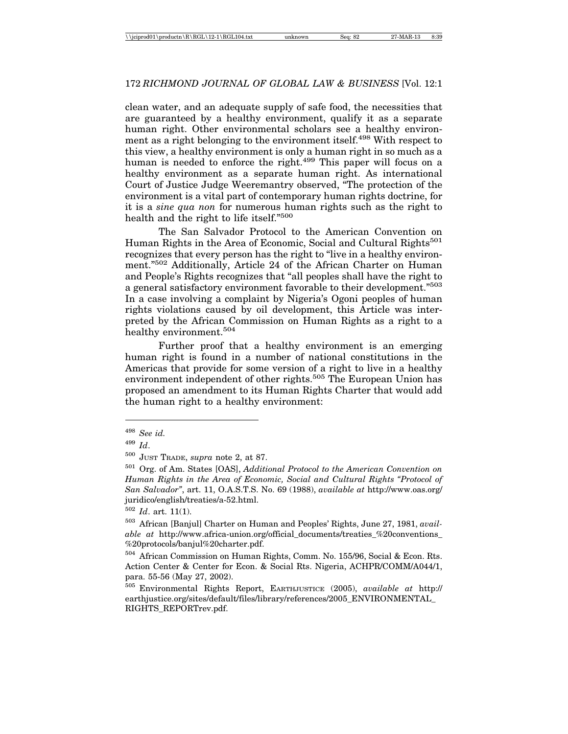clean water, and an adequate supply of safe food, the necessities that are guaranteed by a healthy environment, qualify it as a separate human right. Other environmental scholars see a healthy environment as a right belonging to the environment itself.<sup>498</sup> With respect to this view, a healthy environment is only a human right in so much as a human is needed to enforce the right.<sup>499</sup> This paper will focus on a healthy environment as a separate human right. As international Court of Justice Judge Weeremantry observed, "The protection of the environment is a vital part of contemporary human rights doctrine, for it is a *sine qua non* for numerous human rights such as the right to health and the right to life itself."<sup>500</sup>

The San Salvador Protocol to the American Convention on Human Rights in the Area of Economic, Social and Cultural Rights<sup>501</sup> recognizes that every person has the right to "live in a healthy environment."502 Additionally, Article 24 of the African Charter on Human and People's Rights recognizes that "all peoples shall have the right to a general satisfactory environment favorable to their development."503 In a case involving a complaint by Nigeria's Ogoni peoples of human rights violations caused by oil development, this Article was interpreted by the African Commission on Human Rights as a right to a healthy environment.<sup>504</sup>

Further proof that a healthy environment is an emerging human right is found in a number of national constitutions in the Americas that provide for some version of a right to live in a healthy environment independent of other rights.<sup>505</sup> The European Union has proposed an amendment to its Human Rights Charter that would add the human right to a healthy environment:

<sup>498</sup> *See id.*

<sup>499</sup> *Id*.

<sup>500</sup> JUST TRADE, *supra* note 2, at 87.

<sup>501</sup> Org. of Am. States [OAS], *Additional Protocol to the American Convention on Human Rights in the Area of Economic, Social and Cultural Rights "Protocol of San Salvador"*, art. 11, O.A.S.T.S. No. 69 (1988), *available at* http://www.oas.org/ juridico/english/treaties/a-52.html.

<sup>502</sup> *Id*. art. 11(1).

<sup>503</sup> African [Banjul] Charter on Human and Peoples' Rights, June 27, 1981, *available at* http://www.africa-union.org/official\_documents/treaties\_%20conventions\_ %20protocols/banjul%20charter.pdf.

<sup>504</sup> African Commission on Human Rights, Comm. No. 155/96, Social & Econ. Rts. Action Center & Center for Econ. & Social Rts. Nigeria, ACHPR/COMM/A044/1, para. 55-56 (May 27, 2002).

<sup>505</sup> Environmental Rights Report, EARTHJUSTICE (2005), *available at* http:// earthjustice.org/sites/default/files/library/references/2005\_ENVIRONMENTAL\_ RIGHTS\_REPORTrev.pdf.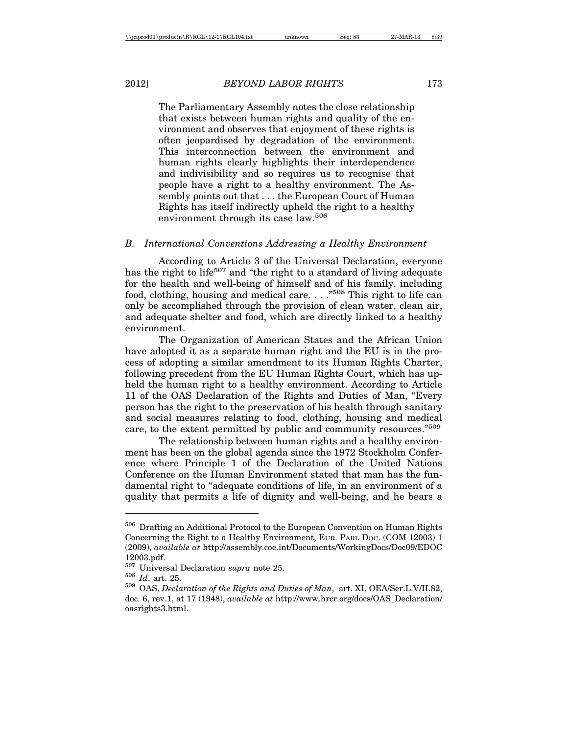The Parliamentary Assembly notes the close relationship that exists between human rights and quality of the environment and observes that enjoyment of these rights is often jeopardised by degradation of the environment. This interconnection between the environment and human rights clearly highlights their interdependence and indivisibility and so requires us to recognise that people have a right to a healthy environment. The Assembly points out that . . . the European Court of Human Rights has itself indirectly upheld the right to a healthy environment through its case law.<sup>506</sup>

#### *B. International Conventions Addressing a Healthy Environment*

According to Article 3 of the Universal Declaration, everyone has the right to life<sup>507</sup> and "the right to a standard of living adequate for the health and well-being of himself and of his family, including food, clothing, housing and medical care. . . ."508 This right to life can only be accomplished through the provision of clean water, clean air, and adequate shelter and food, which are directly linked to a healthy environment.

The Organization of American States and the African Union have adopted it as a separate human right and the EU is in the process of adopting a similar amendment to its Human Rights Charter, following precedent from the EU Human Rights Court, which has upheld the human right to a healthy environment. According to Article 11 of the OAS Declaration of the Rights and Duties of Man, "Every person has the right to the preservation of his health through sanitary and social measures relating to food, clothing, housing and medical care, to the extent permitted by public and community resources."509

The relationship between human rights and a healthy environment has been on the global agenda since the 1972 Stockholm Conference where Principle 1 of the Declaration of the United Nations Conference on the Human Environment stated that man has the fundamental right to "adequate conditions of life, in an environment of a quality that permits a life of dignity and well-being, and he bears a

<sup>506</sup> Drafting an Additional Protocol to the European Convention on Human Rights Concerning the Right to a Healthy Environment, EUR. PARL DOC. (COM 12003) 1 (2009), *available at* http://assembly.coe.int/Documents/WorkingDocs/Doc09/EDOC 12003.pdf.

<sup>507</sup> Universal Declaration *supra* note 25. <sup>508</sup> *Id*. art. 25. <sup>509</sup> OAS, *Declaration of the Rights and Duties of Man*, art. XI, OEA/Ser.L.V/II.82, doc. 6, rev.1, at 17 (1948), *available at* http://www.hrcr.org/docs/OAS\_Declaration/ oasrights3.html.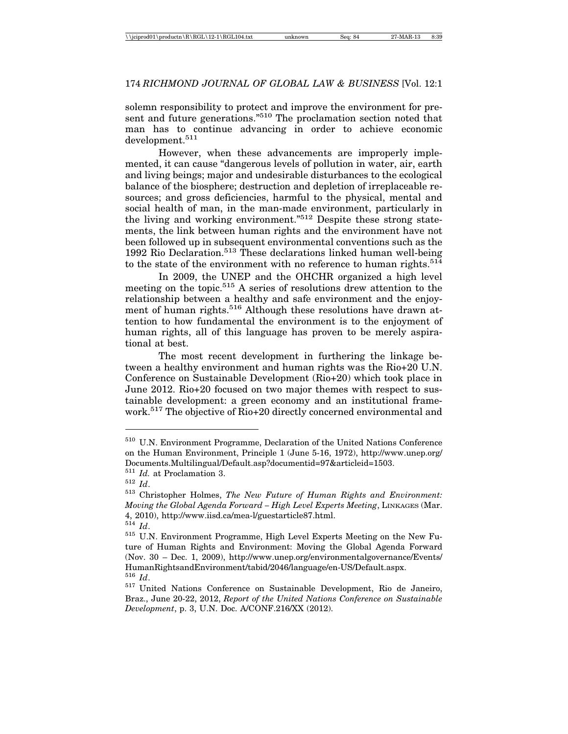solemn responsibility to protect and improve the environment for present and future generations."510 The proclamation section noted that man has to continue advancing in order to achieve economic development.<sup>511</sup>

However, when these advancements are improperly implemented, it can cause "dangerous levels of pollution in water, air, earth and living beings; major and undesirable disturbances to the ecological balance of the biosphere; destruction and depletion of irreplaceable resources; and gross deficiencies, harmful to the physical, mental and social health of man, in the man-made environment, particularly in the living and working environment."512 Despite these strong statements, the link between human rights and the environment have not been followed up in subsequent environmental conventions such as the 1992 Rio Declaration.513 These declarations linked human well-being to the state of the environment with no reference to human rights.  $514$ 

In 2009, the UNEP and the OHCHR organized a high level meeting on the topic.515 A series of resolutions drew attention to the relationship between a healthy and safe environment and the enjoyment of human rights.<sup>516</sup> Although these resolutions have drawn attention to how fundamental the environment is to the enjoyment of human rights, all of this language has proven to be merely aspirational at best.

The most recent development in furthering the linkage between a healthy environment and human rights was the Rio+20 U.N. Conference on Sustainable Development (Rio+20) which took place in June 2012. Rio+20 focused on two major themes with respect to sustainable development: a green economy and an institutional framework.<sup>517</sup> The objective of Rio+20 directly concerned environmental and

<sup>510</sup> U.N. Environment Programme, Declaration of the United Nations Conference on the Human Environment, Principle 1 (June 5-16, 1972), http://www.unep.org/ Documents.Multilingual/Default.asp?documentid=97&articleid=1503.

<sup>511</sup> *Id.* at Proclamation 3.

<sup>512</sup> *Id*.

<sup>513</sup> Christopher Holmes, *The New Future of Human Rights and Environment: Moving the Global Agenda Forward – High Level Experts Meeting*, LINKAGES (Mar. 4, 2010), http://www.iisd.ca/mea-l/guestarticle87.html. <sup>514</sup> *Id*.

<sup>515</sup> U.N. Environment Programme, High Level Experts Meeting on the New Future of Human Rights and Environment: Moving the Global Agenda Forward (Nov. 30 – Dec. 1, 2009), http://www.unep.org/environmentalgovernance/Events/ HumanRightsandEnvironment/tabid/2046/language/en-US/Default.aspx. <sup>516</sup> *Id*.

<sup>517</sup> United Nations Conference on Sustainable Development, Rio de Janeiro, Braz., June 20-22, 2012, *Report of the United Nations Conference on Sustainable Development*, p. 3, U.N. Doc. A/CONF.216/XX (2012).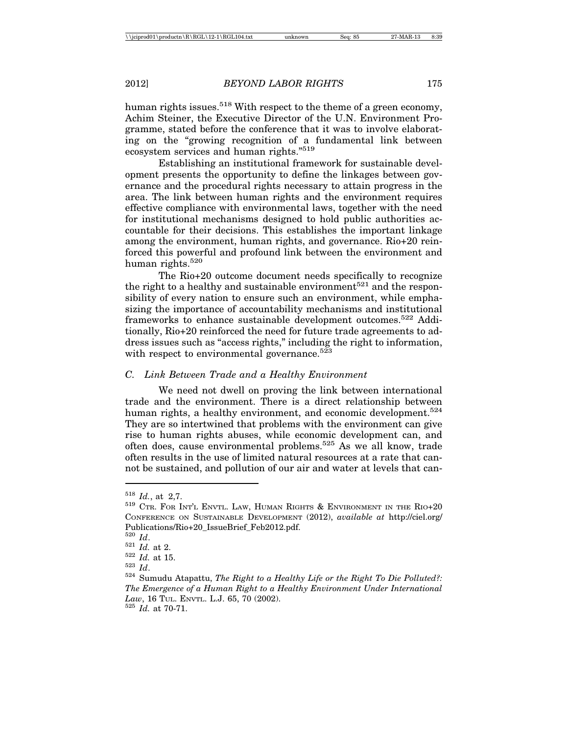human rights issues.<sup>518</sup> With respect to the theme of a green economy, Achim Steiner, the Executive Director of the U.N. Environment Programme, stated before the conference that it was to involve elaborating on the "growing recognition of a fundamental link between ecosystem services and human rights."519

Establishing an institutional framework for sustainable development presents the opportunity to define the linkages between governance and the procedural rights necessary to attain progress in the area. The link between human rights and the environment requires effective compliance with environmental laws, together with the need for institutional mechanisms designed to hold public authorities accountable for their decisions. This establishes the important linkage among the environment, human rights, and governance. Rio+20 reinforced this powerful and profound link between the environment and human rights.520

The Rio+20 outcome document needs specifically to recognize the right to a healthy and sustainable environment<sup>521</sup> and the responsibility of every nation to ensure such an environment, while emphasizing the importance of accountability mechanisms and institutional frameworks to enhance sustainable development outcomes.522 Additionally, Rio+20 reinforced the need for future trade agreements to address issues such as "access rights," including the right to information, with respect to environmental governance.<sup>523</sup>

### *C. Link Between Trade and a Healthy Environment*

We need not dwell on proving the link between international trade and the environment. There is a direct relationship between human rights, a healthy environment, and economic development.<sup>524</sup> They are so intertwined that problems with the environment can give rise to human rights abuses, while economic development can, and often does, cause environmental problems.525 As we all know, trade often results in the use of limited natural resources at a rate that cannot be sustained, and pollution of our air and water at levels that can-

 $518$  *Id.*, at 2,7.<br> $519$  Ctr. For Int'l Envtl. Law, Human Rights & Environment in the Rio+20 CONFERENCE ON SUSTAINABLE DEVELOPMENT (2012), *available at* http://ciel.org/ Publications/Rio+20\_IssueBrief\_Feb2012.pdf.<br><sup>520</sup> Id.

<sup>520</sup> *Id*. <sup>521</sup> *Id.* at 2. <sup>522</sup> *Id.* at 15. <sup>523</sup> *Id*. <sup>524</sup> Sumudu Atapattu, *The Right to a Healthy Life or the Right To Die Polluted?: The Emergence of a Human Right to a Healthy Environment Under International Law*, 16 TUL. ENVTL. L.J. 65, 70 (2002). <sup>525</sup> *Id.* at 70-71.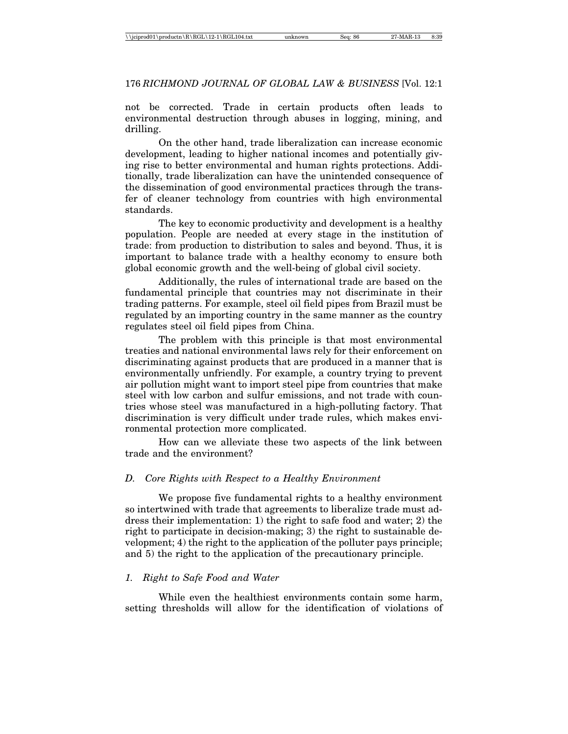not be corrected. Trade in certain products often leads to environmental destruction through abuses in logging, mining, and drilling.

On the other hand, trade liberalization can increase economic development, leading to higher national incomes and potentially giving rise to better environmental and human rights protections. Additionally, trade liberalization can have the unintended consequence of the dissemination of good environmental practices through the transfer of cleaner technology from countries with high environmental standards.

The key to economic productivity and development is a healthy population. People are needed at every stage in the institution of trade: from production to distribution to sales and beyond. Thus, it is important to balance trade with a healthy economy to ensure both global economic growth and the well-being of global civil society.

Additionally, the rules of international trade are based on the fundamental principle that countries may not discriminate in their trading patterns. For example, steel oil field pipes from Brazil must be regulated by an importing country in the same manner as the country regulates steel oil field pipes from China.

The problem with this principle is that most environmental treaties and national environmental laws rely for their enforcement on discriminating against products that are produced in a manner that is environmentally unfriendly. For example, a country trying to prevent air pollution might want to import steel pipe from countries that make steel with low carbon and sulfur emissions, and not trade with countries whose steel was manufactured in a high-polluting factory. That discrimination is very difficult under trade rules, which makes environmental protection more complicated.

How can we alleviate these two aspects of the link between trade and the environment?

# *D. Core Rights with Respect to a Healthy Environment*

We propose five fundamental rights to a healthy environment so intertwined with trade that agreements to liberalize trade must address their implementation: 1) the right to safe food and water; 2) the right to participate in decision-making; 3) the right to sustainable development; 4) the right to the application of the polluter pays principle; and 5) the right to the application of the precautionary principle.

# *1. Right to Safe Food and Water*

While even the healthiest environments contain some harm, setting thresholds will allow for the identification of violations of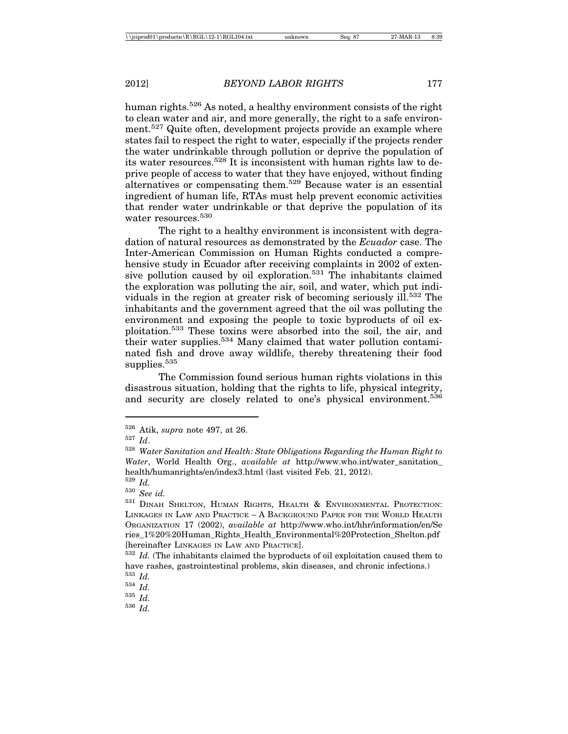human rights.<sup>526</sup> As noted, a healthy environment consists of the right to clean water and air, and more generally, the right to a safe environment.<sup>527</sup> Quite often, development projects provide an example where states fail to respect the right to water, especially if the projects render the water undrinkable through pollution or deprive the population of its water resources.<sup>528</sup> It is inconsistent with human rights law to deprive people of access to water that they have enjoyed, without finding alternatives or compensating them.<sup>529</sup> Because water is an essential ingredient of human life, RTAs must help prevent economic activities that render water undrinkable or that deprive the population of its water resources.<sup>530</sup>

The right to a healthy environment is inconsistent with degradation of natural resources as demonstrated by the *Ecuador* case. The Inter-American Commission on Human Rights conducted a comprehensive study in Ecuador after receiving complaints in 2002 of extensive pollution caused by oil exploration.531 The inhabitants claimed the exploration was polluting the air, soil, and water, which put individuals in the region at greater risk of becoming seriously ill.<sup>532</sup> The inhabitants and the government agreed that the oil was polluting the environment and exposing the people to toxic byproducts of oil exploitation.533 These toxins were absorbed into the soil, the air, and their water supplies.534 Many claimed that water pollution contaminated fish and drove away wildlife, thereby threatening their food supplies.<sup>535</sup>

The Commission found serious human rights violations in this disastrous situation, holding that the rights to life, physical integrity, and security are closely related to one's physical environment.<sup>536</sup>

<sup>534</sup> *Id.*

<sup>535</sup> *Id.*

<sup>536</sup> *Id.*

<sup>526</sup> Atik, *supra* note 497, at 26.

<sup>527</sup> *Id*.

<sup>528</sup> *Water Sanitation and Health: State Obligations Regarding the Human Right to Water*, World Health Org., *available at* http://www.who.int/water\_sanitation\_ health/humanrights/en/index3.html (last visited Feb. 21, 2012). <sup>529</sup> *Id.*

<sup>530</sup> *See id.*

<sup>531</sup> DINAH SHELTON, HUMAN RIGHTS, HEALTH & ENVIRONMENTAL PROTECTION: LINKAGES IN LAW AND PRACTICE – A BACKGROUND PAPER FOR THE WORLD HEALTH ORGANIZATION 17 (2002), *available at* http://www.who.int/hhr/information/en/Se ries\_1%20%20Human\_Rights\_Health\_Environmental%20Protection\_Shelton.pdf [hereinafter LINKAGES IN LAW AND PRACTICE].

<sup>532</sup> *Id.* (The inhabitants claimed the byproducts of oil exploitation caused them to have rashes, gastrointestinal problems, skin diseases, and chronic infections.) <sup>533</sup> *Id.*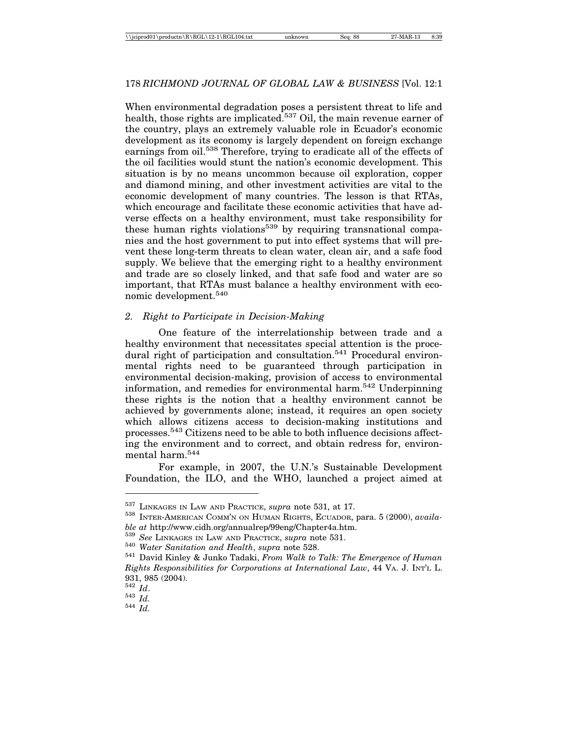When environmental degradation poses a persistent threat to life and health, those rights are implicated.<sup>537</sup> Oil, the main revenue earner of the country, plays an extremely valuable role in Ecuador's economic development as its economy is largely dependent on foreign exchange earnings from oil.<sup>538</sup> Therefore, trying to eradicate all of the effects of the oil facilities would stunt the nation's economic development. This situation is by no means uncommon because oil exploration, copper and diamond mining, and other investment activities are vital to the economic development of many countries. The lesson is that RTAs, which encourage and facilitate these economic activities that have adverse effects on a healthy environment, must take responsibility for these human rights violations<sup>539</sup> by requiring transnational companies and the host government to put into effect systems that will prevent these long-term threats to clean water, clean air, and a safe food supply. We believe that the emerging right to a healthy environment and trade are so closely linked, and that safe food and water are so important, that RTAs must balance a healthy environment with economic development.540

## *2. Right to Participate in Decision-Making*

One feature of the interrelationship between trade and a healthy environment that necessitates special attention is the procedural right of participation and consultation.<sup>541</sup> Procedural environmental rights need to be guaranteed through participation in environmental decision-making, provision of access to environmental information, and remedies for environmental harm.542 Underpinning these rights is the notion that a healthy environment cannot be achieved by governments alone; instead, it requires an open society which allows citizens access to decision-making institutions and processes.543 Citizens need to be able to both influence decisions affecting the environment and to correct, and obtain redress for, environmental harm.544

For example, in 2007, the U.N.'s Sustainable Development Foundation, the ILO, and the WHO, launched a project aimed at

<sup>&</sup>lt;sup>537</sup> LINKAGES IN LAW AND PRACTICE, *supra* note 531, at 17.<br><sup>538</sup> INTER-AMERICAN COMM'N ON HUMAN RIGHTS, ECUADOR, para. 5 (2000), *availa*-

ble at http://www.cidh.org/annualrep/99eng/Chapter4a.htm.<br><sup>539</sup> See LINKAGES IN LAW AND PRACTICE, supra note 531.<br><sup>540</sup> Water Sanitation and Health, supra note 528.<br><sup>541</sup> David Kinley & Junko Tadaki, *From Walk to Talk: Th Rights Responsibilities for Corporations at International Law*, 44 VA. J. INT'L L.  $931, 985$  (2004).<br><sup>542</sup> *Id*.

<sup>542</sup> *Id*. 543 *Id.* 544 *Id.*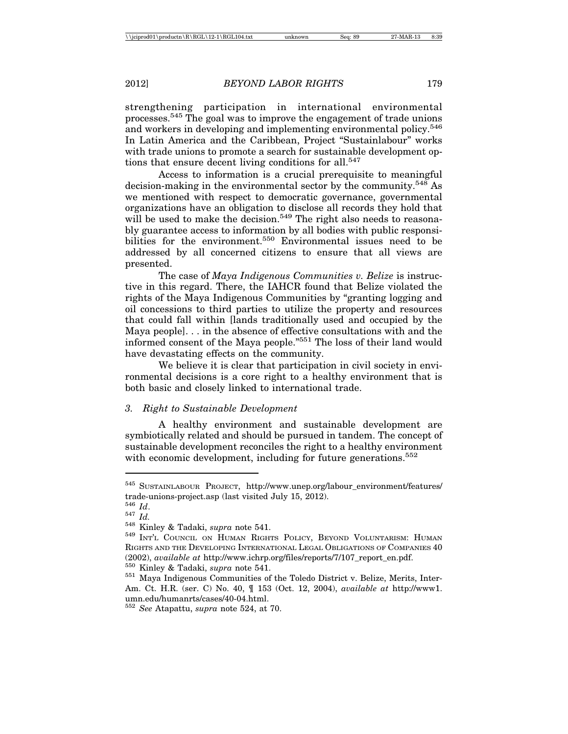strengthening participation in international environmental processes.545 The goal was to improve the engagement of trade unions and workers in developing and implementing environmental policy.<sup>546</sup> In Latin America and the Caribbean, Project "Sustainlabour" works with trade unions to promote a search for sustainable development options that ensure decent living conditions for all.<sup>547</sup>

Access to information is a crucial prerequisite to meaningful decision-making in the environmental sector by the community.<sup>548</sup> As we mentioned with respect to democratic governance, governmental organizations have an obligation to disclose all records they hold that will be used to make the decision.<sup>549</sup> The right also needs to reasonably guarantee access to information by all bodies with public responsibilities for the environment.<sup>550</sup> Environmental issues need to be addressed by all concerned citizens to ensure that all views are presented.

The case of *Maya Indigenous Communities v. Belize* is instructive in this regard. There, the IAHCR found that Belize violated the rights of the Maya Indigenous Communities by "granting logging and oil concessions to third parties to utilize the property and resources that could fall within [lands traditionally used and occupied by the Maya people]. . . in the absence of effective consultations with and the informed consent of the Maya people."551 The loss of their land would have devastating effects on the community.

We believe it is clear that participation in civil society in environmental decisions is a core right to a healthy environment that is both basic and closely linked to international trade.

## *3. Right to Sustainable Development*

A healthy environment and sustainable development are symbiotically related and should be pursued in tandem. The concept of sustainable development reconciles the right to a healthy environment with economic development, including for future generations.<sup>552</sup>

<sup>545</sup> SUSTAINLABOUR PROJECT, http://www.unep.org/labour\_environment/features/ trade-unions-project.asp (last visited July 15, 2012).<br> $^{546}$  *Id.* 

<sup>546</sup> *Id*. <sup>547</sup> *Id.* <sup>548</sup> Kinley & Tadaki, *supra* note 541. <sup>549</sup> INT'L COUNCIL ON HUMAN RIGHTS POLICY, BEYOND VOLUNTARISM: HUMAN RIGHTS AND THE DEVELOPING INTERNATIONAL LEGAL OBLIGATIONS OF COMPANIES 40 (2002), *available at* http://www.ichrp.org/files/reports/7/107\_report\_en.pdf. <sup>550</sup> Kinley & Tadaki, *supra* note 541. <sup>551</sup> Maya Indigenous Communities of the Toledo District v. Belize, Merits, Inter-

Am. Ct. H.R. (ser. C) No. 40, ¶ 153 (Oct. 12, 2004), *available at* http://www1. umn.edu/humanrts/cases/40-04.html.

<sup>552</sup> *See* Atapattu, *supra* note 524, at 70.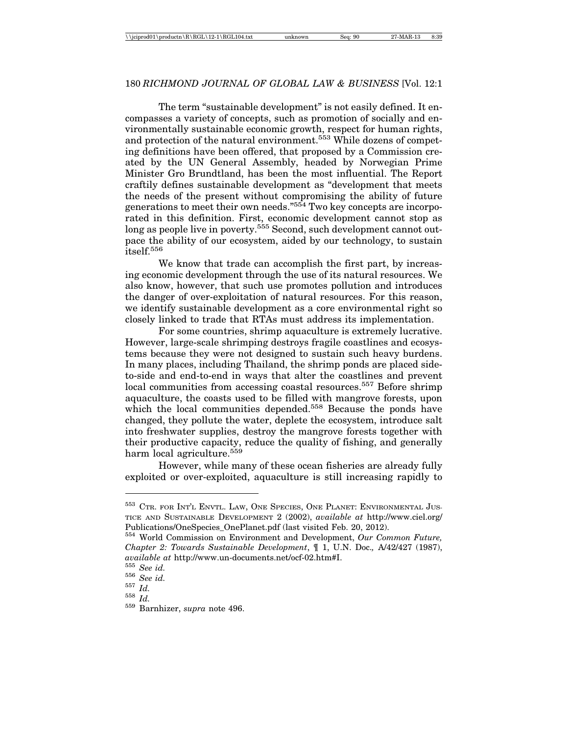## 180 *RICHMOND JOURNAL OF GLOBAL LAW & BUSINESS* [Vol. 12:1

The term "sustainable development" is not easily defined. It encompasses a variety of concepts, such as promotion of socially and environmentally sustainable economic growth, respect for human rights, and protection of the natural environment.<sup>553</sup> While dozens of competing definitions have been offered, that proposed by a Commission created by the UN General Assembly, headed by Norwegian Prime Minister Gro Brundtland, has been the most influential. The Report craftily defines sustainable development as "development that meets the needs of the present without compromising the ability of future generations to meet their own needs."554 Two key concepts are incorporated in this definition. First, economic development cannot stop as long as people live in poverty.<sup>555</sup> Second, such development cannot outpace the ability of our ecosystem, aided by our technology, to sustain itself.556

We know that trade can accomplish the first part, by increasing economic development through the use of its natural resources. We also know, however, that such use promotes pollution and introduces the danger of over-exploitation of natural resources. For this reason, we identify sustainable development as a core environmental right so closely linked to trade that RTAs must address its implementation.

For some countries, shrimp aquaculture is extremely lucrative. However, large-scale shrimping destroys fragile coastlines and ecosystems because they were not designed to sustain such heavy burdens. In many places, including Thailand, the shrimp ponds are placed sideto-side and end-to-end in ways that alter the coastlines and prevent local communities from accessing coastal resources.<sup>557</sup> Before shrimp aquaculture, the coasts used to be filled with mangrove forests, upon which the local communities depended.<sup>558</sup> Because the ponds have changed, they pollute the water, deplete the ecosystem, introduce salt into freshwater supplies, destroy the mangrove forests together with their productive capacity, reduce the quality of fishing, and generally harm local agriculture.<sup>559</sup>

However, while many of these ocean fisheries are already fully exploited or over-exploited, aquaculture is still increasing rapidly to

<sup>&</sup>lt;sup>553</sup> CTR. FOR INT'L ENVTL. LAW, ONE SPECIES, ONE PLANET: ENVIRONMENTAL JUS-TICE AND SUSTAINABLE DEVELOPMENT 2 (2002), *available at* http://www.ciel.org/ Publications/OneSpecies\_OnePlanet.pdf (last visited Feb. 20, 2012).

<sup>554</sup> World Commission on Environment and Development, *Our Common Future, Chapter 2: Towards Sustainable Development*, ¶ 1, U.N. Doc.*,* A/42/427 (1987), *available at* http://www.un-documents.net/ocf-02.htm#I. <sup>555</sup> *See id.* <sup>556</sup> *See id.* <sup>557</sup> *Id.* <sup>558</sup> *Id.* <sup>559</sup> Barnhizer, *supra* note 496.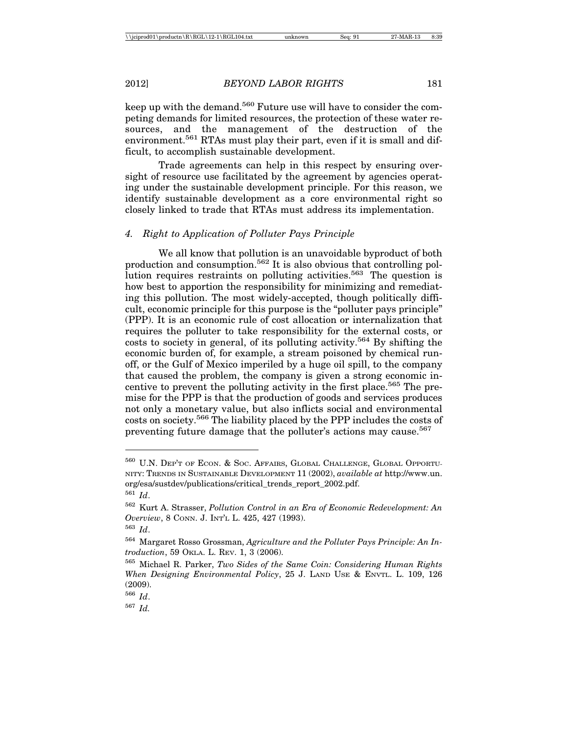keep up with the demand.<sup>560</sup> Future use will have to consider the competing demands for limited resources, the protection of these water resources, and the management of the destruction of the environment.<sup>561</sup> RTAs must play their part, even if it is small and difficult, to accomplish sustainable development.

Trade agreements can help in this respect by ensuring oversight of resource use facilitated by the agreement by agencies operating under the sustainable development principle. For this reason, we identify sustainable development as a core environmental right so closely linked to trade that RTAs must address its implementation.

### *4. Right to Application of Polluter Pays Principle*

We all know that pollution is an unavoidable byproduct of both production and consumption.562 It is also obvious that controlling pollution requires restraints on polluting activities.<sup>563</sup> The question is how best to apportion the responsibility for minimizing and remediating this pollution. The most widely-accepted, though politically difficult, economic principle for this purpose is the "polluter pays principle" (PPP). It is an economic rule of cost allocation or internalization that requires the polluter to take responsibility for the external costs, or costs to society in general, of its polluting activity.<sup>564</sup> By shifting the economic burden of, for example, a stream poisoned by chemical runoff, or the Gulf of Mexico imperiled by a huge oil spill, to the company that caused the problem, the company is given a strong economic incentive to prevent the polluting activity in the first place.<sup>565</sup> The premise for the PPP is that the production of goods and services produces not only a monetary value, but also inflicts social and environmental costs on society.566 The liability placed by the PPP includes the costs of preventing future damage that the polluter's actions may cause.<sup>567</sup>

<sup>560</sup> U.N. DEP'T OF ECON. & SOC. AFFAIRS, GLOBAL CHALLENGE, GLOBAL OPPORTU-NITY: TRENDS IN SUSTAINABLE DEVELOPMENT 11 (2002), *available at* http://www.un. org/esa/sustdev/publications/critical\_trends\_report\_2002.pdf.

<sup>561</sup> *Id*.

<sup>562</sup> Kurt A. Strasser, *Pollution Control in an Era of Economic Redevelopment: An Overview*, 8 CONN. J. INT'L L. 425, 427 (1993).

<sup>563</sup> *Id*.

<sup>564</sup> Margaret Rosso Grossman, *Agriculture and the Polluter Pays Principle: An Introduction*, 59 OKLA. L. REV. 1, 3 (2006).

<sup>565</sup> Michael R. Parker, *Two Sides of the Same Coin: Considering Human Rights When Designing Environmental Policy*, 25 J. LAND USE & ENVTL. L. 109, 126 (2009).

<sup>566</sup> *Id*.

<sup>567</sup> *Id.*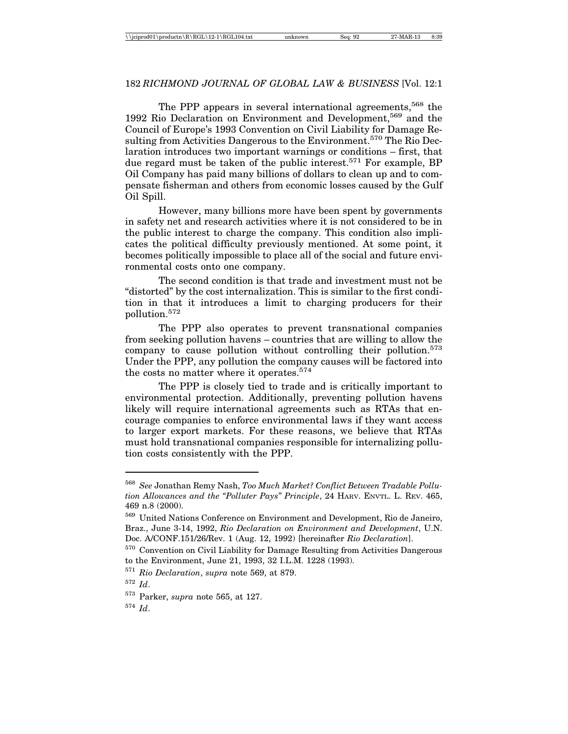# 182 *RICHMOND JOURNAL OF GLOBAL LAW & BUSINESS* [Vol. 12:1

The PPP appears in several international agreements,<sup>568</sup> the 1992 Rio Declaration on Environment and Development,569 and the Council of Europe's 1993 Convention on Civil Liability for Damage Resulting from Activities Dangerous to the Environment.<sup>570</sup> The Rio Declaration introduces two important warnings or conditions – first, that due regard must be taken of the public interest.<sup>571</sup> For example, BP Oil Company has paid many billions of dollars to clean up and to compensate fisherman and others from economic losses caused by the Gulf Oil Spill.

However, many billions more have been spent by governments in safety net and research activities where it is not considered to be in the public interest to charge the company. This condition also implicates the political difficulty previously mentioned. At some point, it becomes politically impossible to place all of the social and future environmental costs onto one company.

The second condition is that trade and investment must not be "distorted" by the cost internalization. This is similar to the first condition in that it introduces a limit to charging producers for their pollution.572

The PPP also operates to prevent transnational companies from seeking pollution havens – countries that are willing to allow the company to cause pollution without controlling their pollution.573 Under the PPP, any pollution the company causes will be factored into the costs no matter where it operates.<sup>574</sup>

The PPP is closely tied to trade and is critically important to environmental protection. Additionally, preventing pollution havens likely will require international agreements such as RTAs that encourage companies to enforce environmental laws if they want access to larger export markets. For these reasons, we believe that RTAs must hold transnational companies responsible for internalizing pollution costs consistently with the PPP.

<sup>574</sup> *Id*.

<sup>568</sup> *See* Jonathan Remy Nash, *Too Much Market? Conflict Between Tradable Pollution Allowances and the "Polluter Pays" Principle*, 24 HARV. ENVTL. L. REV. 465, 469 n.8 (2000).

<sup>569</sup> United Nations Conference on Environment and Development, Rio de Janeiro, Braz., June 3-14, 1992, *Rio Declaration on Environment and Development*, U.N. Doc. A/CONF.151/26/Rev. 1 (Aug. 12, 1992) [hereinafter *Rio Declaration*].

 $\,$  570 Convention on Civil Liability for Damage Resulting from Activities Dangerous to the Environment, June 21, 1993, 32 I.L.M. 1228 (1993).

<sup>571</sup> *Rio Declaration*, *supra* note 569, at 879.

<sup>572</sup> *Id*.

<sup>573</sup> Parker, *supra* note 565, at 127.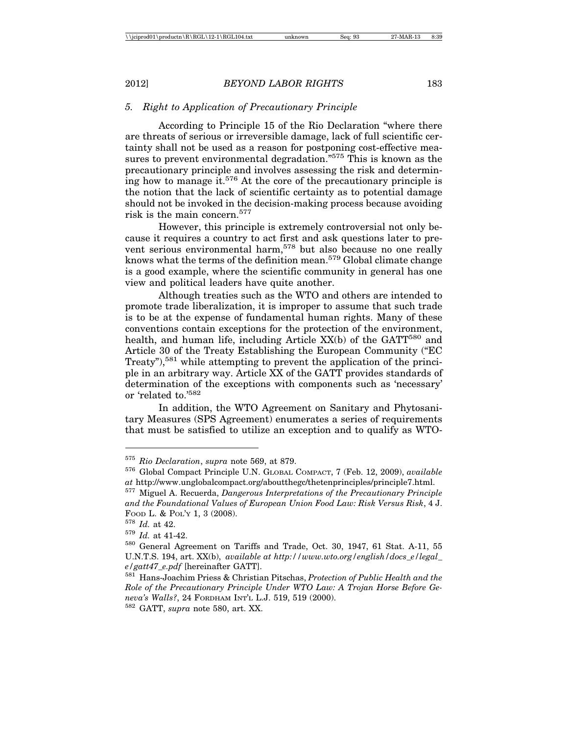## *5. Right to Application of Precautionary Principle*

According to Principle 15 of the Rio Declaration "where there are threats of serious or irreversible damage, lack of full scientific certainty shall not be used as a reason for postponing cost-effective measures to prevent environmental degradation."575 This is known as the precautionary principle and involves assessing the risk and determining how to manage it.<sup>576</sup> At the core of the precautionary principle is the notion that the lack of scientific certainty as to potential damage should not be invoked in the decision-making process because avoiding risk is the main concern.577

However, this principle is extremely controversial not only because it requires a country to act first and ask questions later to prevent serious environmental harm,<sup>578</sup> but also because no one really knows what the terms of the definition mean.<sup>579</sup> Global climate change is a good example, where the scientific community in general has one view and political leaders have quite another.

Although treaties such as the WTO and others are intended to promote trade liberalization, it is improper to assume that such trade is to be at the expense of fundamental human rights. Many of these conventions contain exceptions for the protection of the environment, health, and human life, including Article  $XX(b)$  of the GATT<sup>580</sup> and Article 30 of the Treaty Establishing the European Community ("EC Treaty"),<sup>581</sup> while attempting to prevent the application of the principle in an arbitrary way. Article XX of the GATT provides standards of determination of the exceptions with components such as 'necessary' or 'related to.'582

In addition, the WTO Agreement on Sanitary and Phytosanitary Measures (SPS Agreement) enumerates a series of requirements that must be satisfied to utilize an exception and to qualify as WTO-

<sup>575</sup> *Rio Declaration*, *supra* note 569, at 879.

<sup>576</sup> Global Compact Principle U.N. GLOBAL COMPACT, 7 (Feb. 12, 2009), *available at* http://www.unglobalcompact.org/aboutthegc/thetenprinciples/principle7.html.

<sup>577</sup> Miguel A. Recuerda, *Dangerous Interpretations of the Precautionary Principle and the Foundational Values of European Union Food Law: Risk Versus Risk*, 4 J. FOOD L. & POL'Y 1, 3 (2008).

<sup>578</sup> *Id.* at 42.

<sup>579</sup> *Id.* at 41-42.

<sup>580</sup> General Agreement on Tariffs and Trade, Oct. 30, 1947, 61 Stat. A-11, 55 U.N.T.S. 194, art. XX(b), *available at http://www.wto.org/english/docs\_e/legal\_ e/gatt47\_e.pdf* [hereinafter GATT].

<sup>581</sup> Hans-Joachim Priess & Christian Pitschas, *Protection of Public Health and the Role of the Precautionary Principle Under WTO Law: A Trojan Horse Before Geneva's Walls?*, 24 FORDHAM INT'L L.J. 519, 519 (2000).

<sup>582</sup> GATT, *supra* note 580, art. XX.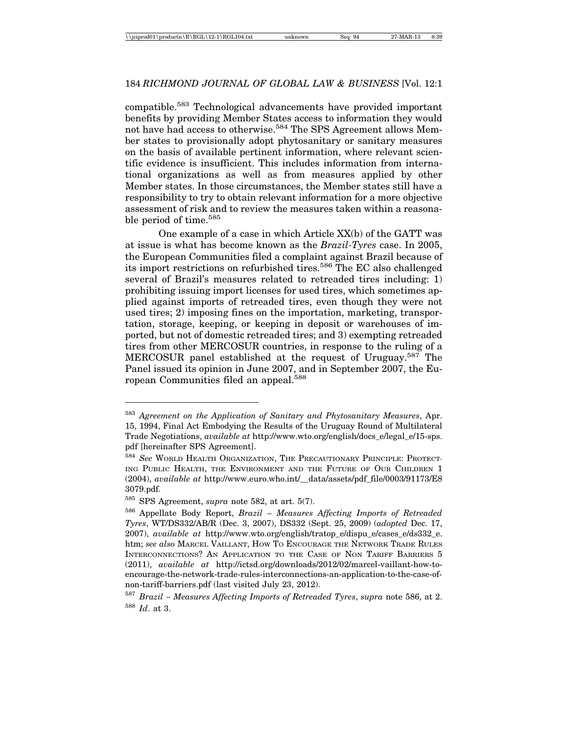compatible.583 Technological advancements have provided important benefits by providing Member States access to information they would not have had access to otherwise.<sup>584</sup> The SPS Agreement allows Member states to provisionally adopt phytosanitary or sanitary measures on the basis of available pertinent information, where relevant scientific evidence is insufficient. This includes information from international organizations as well as from measures applied by other Member states. In those circumstances, the Member states still have a responsibility to try to obtain relevant information for a more objective assessment of risk and to review the measures taken within a reasonable period of time.<sup>585</sup>

One example of a case in which Article XX(b) of the GATT was at issue is what has become known as the *Brazil-Tyres* case. In 2005, the European Communities filed a complaint against Brazil because of its import restrictions on refurbished tires.<sup>586</sup> The EC also challenged several of Brazil's measures related to retreaded tires including: 1) prohibiting issuing import licenses for used tires, which sometimes applied against imports of retreaded tires, even though they were not used tires; 2) imposing fines on the importation, marketing, transportation, storage, keeping, or keeping in deposit or warehouses of imported, but not of domestic retreaded tires; and 3) exempting retreaded tires from other MERCOSUR countries, in response to the ruling of a MERCOSUR panel established at the request of Uruguay.587 The Panel issued its opinion in June 2007, and in September 2007, the European Communities filed an appeal.588

<sup>583</sup> *Agreement on the Application of Sanitary and Phytosanitary Measures*, Apr. 15, 1994, Final Act Embodying the Results of the Uruguay Round of Multilateral Trade Negotiations, *available at* http://www.wto.org/english/docs\_e/legal\_e/15-sps. pdf [hereinafter SPS Agreement].

<sup>584</sup> *See* WORLD HEALTH ORGANIZATION, THE PRECAUTIONARY PRINCIPLE: PROTECT-ING PUBLIC HEALTH, THE ENVIRONMENT AND THE FUTURE OF OUR CHILDREN 1 (2004), *available at* http://www.euro.who.int/\_\_data/assets/pdf\_file/0003/91173/E8 3079.pdf.

<sup>585</sup> SPS Agreement, *supra* note 582, at art. 5(7).

<sup>586</sup> Appellate Body Report, *Brazil – Measures Affecting Imports of Retreaded Tyres*, WT/DS332/AB/R (Dec. 3, 2007), DS332 (Sept. 25, 2009) (*adopted* Dec. 17, 2007), *available at* http://www.wto.org/english/tratop\_e/dispu\_e/cases\_e/ds332\_e. htm; *see also* MARCEL VAILLANT, HOW TO ENCOURAGE THE NETWORK TRADE RULES INTERCONNECTIONS? AN APPLICATION TO THE CASE OF NON TARIFF BARRIERS 5 (2011), *available at* http://ictsd.org/downloads/2012/02/marcel-vaillant-how-toencourage-the-network-trade-rules-interconnections-an-application-to-the-case-ofnon-tariff-barriers.pdf (last visited July 23, 2012).

<sup>587</sup> *Brazil – Measures Affecting Imports of Retreaded Tyres*, *supra* note 586, at 2. <sup>588</sup> *Id*. at 3.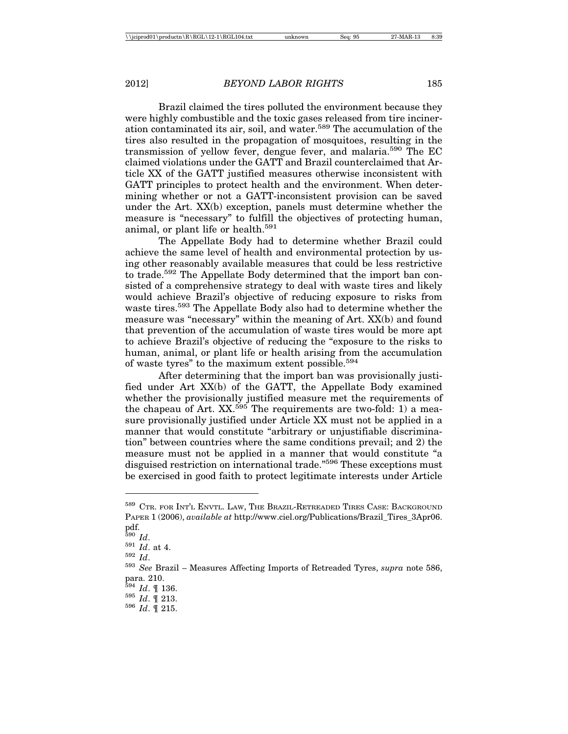Brazil claimed the tires polluted the environment because they were highly combustible and the toxic gases released from tire incineration contaminated its air, soil, and water.589 The accumulation of the tires also resulted in the propagation of mosquitoes, resulting in the transmission of yellow fever, dengue fever, and malaria.590 The EC claimed violations under the GATT and Brazil counterclaimed that Article XX of the GATT justified measures otherwise inconsistent with GATT principles to protect health and the environment. When determining whether or not a GATT-inconsistent provision can be saved under the Art. XX(b) exception, panels must determine whether the measure is "necessary" to fulfill the objectives of protecting human, animal, or plant life or health.<sup>591</sup>

The Appellate Body had to determine whether Brazil could achieve the same level of health and environmental protection by using other reasonably available measures that could be less restrictive to trade.592 The Appellate Body determined that the import ban consisted of a comprehensive strategy to deal with waste tires and likely would achieve Brazil's objective of reducing exposure to risks from waste tires.<sup>593</sup> The Appellate Body also had to determine whether the measure was "necessary" within the meaning of Art. XX(b) and found that prevention of the accumulation of waste tires would be more apt to achieve Brazil's objective of reducing the "exposure to the risks to human, animal, or plant life or health arising from the accumulation of waste tyres" to the maximum extent possible.594

After determining that the import ban was provisionally justified under Art XX(b) of the GATT, the Appellate Body examined whether the provisionally justified measure met the requirements of the chapeau of Art.  $XX$ <sup>595</sup> The requirements are two-fold: 1) a measure provisionally justified under Article XX must not be applied in a manner that would constitute "arbitrary or unjustifiable discrimination" between countries where the same conditions prevail; and 2) the measure must not be applied in a manner that would constitute "a disguised restriction on international trade."596 These exceptions must be exercised in good faith to protect legitimate interests under Article

<sup>589</sup> CTR. FOR INT'L ENVTL. LAW, THE BRAZIL-RETREADED TIRES CASE: BACKGROUND PAPER 1 (2006), *available at* http://www.ciel.org/Publications/Brazil\_Tires\_3Apr06. pdf.<br> $^{590}$  Id.

<sup>590</sup> *Id*. <sup>591</sup> *Id*. at 4. <sup>592</sup> *Id*. <sup>593</sup> *See* Brazil – Measures Affecting Imports of Retreaded Tyres, *supra* note 586, para. 210.<br><sup>594</sup> *Id.* ¶ 136.

<sup>594</sup> *Id*. ¶ 136. <sup>595</sup> *Id*. ¶ 213. <sup>596</sup> *Id*. ¶ 215.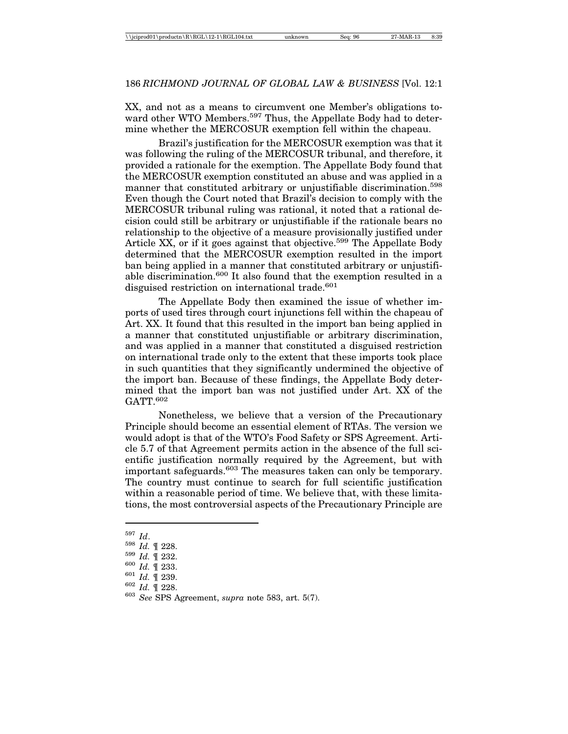XX, and not as a means to circumvent one Member's obligations toward other WTO Members.<sup>597</sup> Thus, the Appellate Body had to determine whether the MERCOSUR exemption fell within the chapeau.

Brazil's justification for the MERCOSUR exemption was that it was following the ruling of the MERCOSUR tribunal, and therefore, it provided a rationale for the exemption. The Appellate Body found that the MERCOSUR exemption constituted an abuse and was applied in a manner that constituted arbitrary or unjustifiable discrimination.<sup>598</sup> Even though the Court noted that Brazil's decision to comply with the MERCOSUR tribunal ruling was rational, it noted that a rational decision could still be arbitrary or unjustifiable if the rationale bears no relationship to the objective of a measure provisionally justified under Article XX, or if it goes against that objective.<sup>599</sup> The Appellate Body determined that the MERCOSUR exemption resulted in the import ban being applied in a manner that constituted arbitrary or unjustifiable discrimination.600 It also found that the exemption resulted in a disguised restriction on international trade.<sup>601</sup>

The Appellate Body then examined the issue of whether imports of used tires through court injunctions fell within the chapeau of Art. XX. It found that this resulted in the import ban being applied in a manner that constituted unjustifiable or arbitrary discrimination, and was applied in a manner that constituted a disguised restriction on international trade only to the extent that these imports took place in such quantities that they significantly undermined the objective of the import ban. Because of these findings, the Appellate Body determined that the import ban was not justified under Art. XX of the GATT 602

Nonetheless, we believe that a version of the Precautionary Principle should become an essential element of RTAs. The version we would adopt is that of the WTO's Food Safety or SPS Agreement. Article 5.7 of that Agreement permits action in the absence of the full scientific justification normally required by the Agreement, but with important safeguards.<sup>603</sup> The measures taken can only be temporary. The country must continue to search for full scientific justification within a reasonable period of time. We believe that, with these limitations, the most controversial aspects of the Precautionary Principle are

<sup>597</sup> *Id*. <sup>598</sup> *Id.* ¶ 228. <sup>599</sup> *Id.* ¶ 232. <sup>600</sup> *Id.* ¶ 233. <sup>601</sup> *Id.* ¶ 239. <sup>602</sup> *Id.* ¶ 228. <sup>603</sup> *See* SPS Agreement, *supra* note 583, art. 5(7).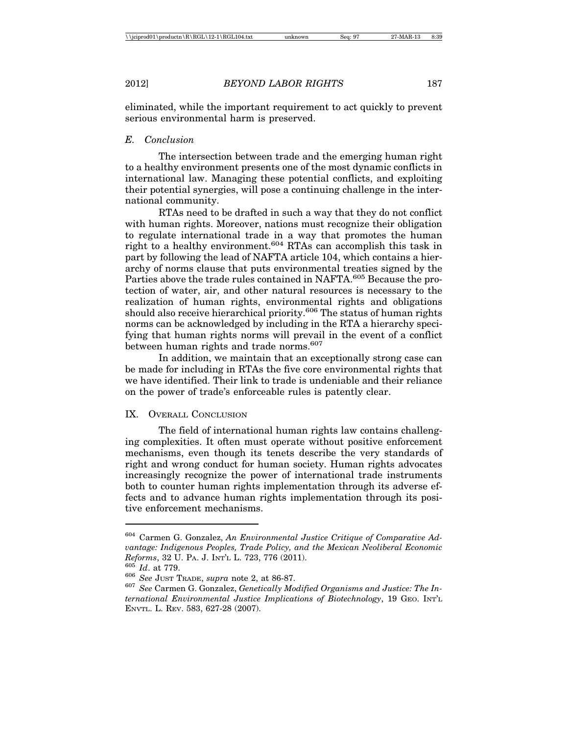eliminated, while the important requirement to act quickly to prevent serious environmental harm is preserved.

## *E. Conclusion*

The intersection between trade and the emerging human right to a healthy environment presents one of the most dynamic conflicts in international law. Managing these potential conflicts, and exploiting their potential synergies, will pose a continuing challenge in the international community.

RTAs need to be drafted in such a way that they do not conflict with human rights. Moreover, nations must recognize their obligation to regulate international trade in a way that promotes the human right to a healthy environment.<sup>604</sup> RTAs can accomplish this task in part by following the lead of NAFTA article 104, which contains a hierarchy of norms clause that puts environmental treaties signed by the Parties above the trade rules contained in NAFTA.<sup>605</sup> Because the protection of water, air, and other natural resources is necessary to the realization of human rights, environmental rights and obligations should also receive hierarchical priority.<sup>606</sup> The status of human rights norms can be acknowledged by including in the RTA a hierarchy specifying that human rights norms will prevail in the event of a conflict between human rights and trade norms.<sup>607</sup>

In addition, we maintain that an exceptionally strong case can be made for including in RTAs the five core environmental rights that we have identified. Their link to trade is undeniable and their reliance on the power of trade's enforceable rules is patently clear.

## IX. OVERALL CONCLUSION

The field of international human rights law contains challenging complexities. It often must operate without positive enforcement mechanisms, even though its tenets describe the very standards of right and wrong conduct for human society. Human rights advocates increasingly recognize the power of international trade instruments both to counter human rights implementation through its adverse effects and to advance human rights implementation through its positive enforcement mechanisms.

<sup>604</sup> Carmen G. Gonzalez, *An Environmental Justice Critique of Comparative Advantage: Indigenous Peoples, Trade Policy, and the Mexican Neoliberal Economic* Reforms, 32 U. P.A. J. INT'L L. 723, 776 (2011).<br><sup>605</sup> Id. at 779.<br><sup>606</sup> See Just Trane, supra note 2, at 86-87.<br><sup>607</sup> See Carmen G. Gonzalez, *Genetically Modified Organisms and Justice: The In*-

*ternational Environmental Justice Implications of Biotechnology*, 19 GEO. INT'L ENVTL. L. REV. 583, 627-28 (2007).